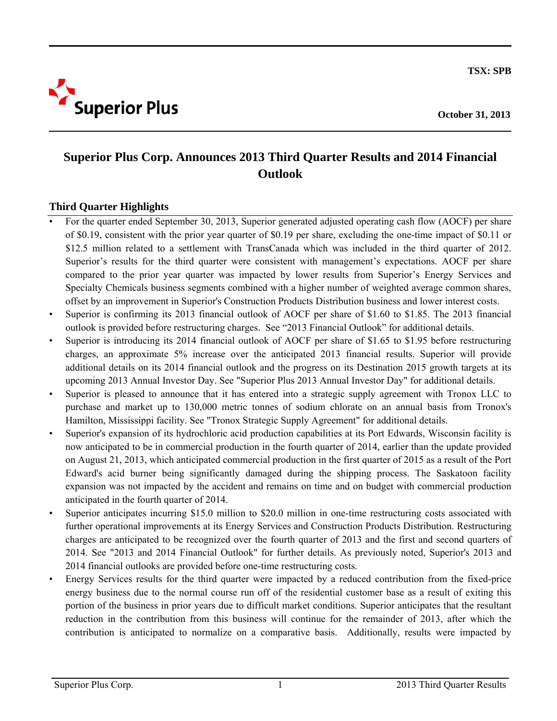**TSX: SPB** 



# **Superior Plus Corp. Announces 2013 Third Quarter Results and 2014 Financial Outlook**

## **Third Quarter Highlights**

- For the quarter ended September 30, 2013, Superior generated adjusted operating cash flow (AOCF) per share of \$0.19, consistent with the prior year quarter of \$0.19 per share, excluding the one-time impact of \$0.11 or \$12.5 million related to a settlement with TransCanada which was included in the third quarter of 2012. Superior's results for the third quarter were consistent with management's expectations. AOCF per share compared to the prior year quarter was impacted by lower results from Superior's Energy Services and Specialty Chemicals business segments combined with a higher number of weighted average common shares, offset by an improvement in Superior's Construction Products Distribution business and lower interest costs.
- Superior is confirming its 2013 financial outlook of AOCF per share of \$1.60 to \$1.85. The 2013 financial outlook is provided before restructuring charges. See "2013 Financial Outlook" for additional details.
- Superior is introducing its 2014 financial outlook of AOCF per share of \$1.65 to \$1.95 before restructuring charges, an approximate 5% increase over the anticipated 2013 financial results. Superior will provide additional details on its 2014 financial outlook and the progress on its Destination 2015 growth targets at its upcoming 2013 Annual Investor Day. See "Superior Plus 2013 Annual Investor Day" for additional details.
- Superior is pleased to announce that it has entered into a strategic supply agreement with Tronox LLC to purchase and market up to 130,000 metric tonnes of sodium chlorate on an annual basis from Tronox's Hamilton, Mississippi facility. See "Tronox Strategic Supply Agreement" for additional details.
- Superior's expansion of its hydrochloric acid production capabilities at its Port Edwards, Wisconsin facility is now anticipated to be in commercial production in the fourth quarter of 2014, earlier than the update provided on August 21, 2013, which anticipated commercial production in the first quarter of 2015 as a result of the Port Edward's acid burner being significantly damaged during the shipping process. The Saskatoon facility expansion was not impacted by the accident and remains on time and on budget with commercial production anticipated in the fourth quarter of 2014.
- Superior anticipates incurring \$15.0 million to \$20.0 million in one-time restructuring costs associated with further operational improvements at its Energy Services and Construction Products Distribution. Restructuring charges are anticipated to be recognized over the fourth quarter of 2013 and the first and second quarters of 2014. See "2013 and 2014 Financial Outlook" for further details. As previously noted, Superior's 2013 and 2014 financial outlooks are provided before one-time restructuring costs.
- Energy Services results for the third quarter were impacted by a reduced contribution from the fixed-price energy business due to the normal course run off of the residential customer base as a result of exiting this portion of the business in prior years due to difficult market conditions. Superior anticipates that the resultant reduction in the contribution from this business will continue for the remainder of 2013, after which the contribution is anticipated to normalize on a comparative basis. Additionally, results were impacted by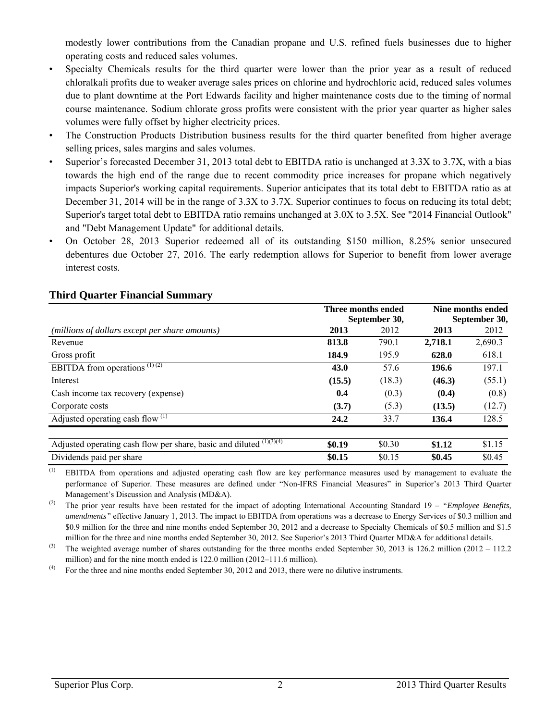modestly lower contributions from the Canadian propane and U.S. refined fuels businesses due to higher operating costs and reduced sales volumes.

- Specialty Chemicals results for the third quarter were lower than the prior year as a result of reduced chloralkali profits due to weaker average sales prices on chlorine and hydrochloric acid, reduced sales volumes due to plant downtime at the Port Edwards facility and higher maintenance costs due to the timing of normal course maintenance. Sodium chlorate gross profits were consistent with the prior year quarter as higher sales volumes were fully offset by higher electricity prices.
- The Construction Products Distribution business results for the third quarter benefited from higher average selling prices, sales margins and sales volumes.
- Superior's forecasted December 31, 2013 total debt to EBITDA ratio is unchanged at 3.3X to 3.7X, with a bias towards the high end of the range due to recent commodity price increases for propane which negatively impacts Superior's working capital requirements. Superior anticipates that its total debt to EBITDA ratio as at December 31, 2014 will be in the range of 3.3X to 3.7X. Superior continues to focus on reducing its total debt; Superior's target total debt to EBITDA ratio remains unchanged at 3.0X to 3.5X. See "2014 Financial Outlook" and "Debt Management Update" for additional details.
- On October 28, 2013 Superior redeemed all of its outstanding \$150 million, 8.25% senior unsecured debentures due October 27, 2016. The early redemption allows for Superior to benefit from lower average interest costs.

|                                                                                           | Three months ended | September 30, | Nine months ended<br>September 30, |         |
|-------------------------------------------------------------------------------------------|--------------------|---------------|------------------------------------|---------|
| (millions of dollars except per share amounts)                                            | 2013               | 2012          | 2013                               | 2012    |
| Revenue                                                                                   | 813.8              | 790.1         | 2,718.1                            | 2,690.3 |
| Gross profit                                                                              | 184.9              | 195.9         | 628.0                              | 618.1   |
| EBITDA from operations $(\overline{1)(2)}$                                                | 43.0               | 57.6          | 196.6                              | 197.1   |
| Interest                                                                                  | (15.5)             | (18.3)        | (46.3)                             | (55.1)  |
| Cash income tax recovery (expense)                                                        | 0.4                | (0.3)         | (0.4)                              | (0.8)   |
| Corporate costs                                                                           | (3.7)              | (5.3)         | (13.5)                             | (12.7)  |
| Adjusted operating cash flow $^{(1)}$                                                     | 24.2               | 33.7          | 136.4                              | 128.5   |
|                                                                                           |                    |               |                                    |         |
| Adjusted operating cash flow per share, basic and $\overline{\text{diluted}}^{(1)(3)(4)}$ | \$0.19             | \$0.30        | \$1.12                             | \$1.15  |
| Dividends paid per share                                                                  | \$0.15             | \$0.15        | \$0.45                             | \$0.45  |

## **Third Quarter Financial Summary**

(1) EBITDA from operations and adjusted operating cash flow are key performance measures used by management to evaluate the performance of Superior. These measures are defined under "Non-IFRS Financial Measures" in Superior's 2013 Third Quarter Management's Discussion and Analysis (MD&A).

(2) The prior year results have been restated for the impact of adopting International Accounting Standard 19 – *"Employee Benefits, amendments"* effective January 1, 2013. The impact to EBITDA from operations was a decrease to Energy Services of \$0.3 million and \$0.9 million for the three and nine months ended September 30, 2012 and a decrease to Specialty Chemicals of \$0.5 million and \$1.5 million for the three and nine months ended September 30, 2012. See Superior's 2013 Third Quarter MD&A for additional details.

(3) The weighted average number of shares outstanding for the three months ended September 30, 2013 is 126.2 million (2012 – 112.2) million) and for the nine month ended is 122.0 million (2012–111.6 million).

(4) For the three and nine months ended September 30, 2012 and 2013, there were no dilutive instruments.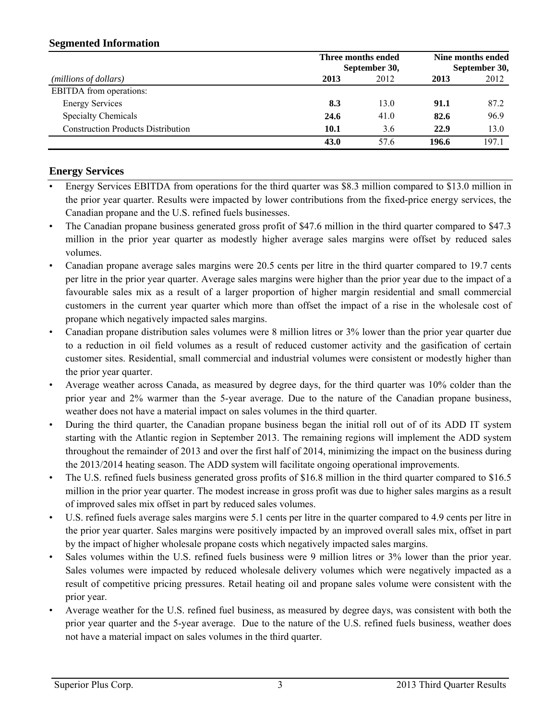## **Segmented Information**

|                                           | Three months ended<br>September 30, | Nine months ended<br>September 30, |       |       |
|-------------------------------------------|-------------------------------------|------------------------------------|-------|-------|
| (millions of dollars)                     | 2013                                | 2012                               | 2013  | 2012  |
| EBITDA from operations:                   |                                     |                                    |       |       |
| <b>Energy Services</b>                    | 8.3                                 | 13.0                               | 91.1  | 87.2  |
| <b>Specialty Chemicals</b>                | 24.6                                | 41.0                               | 82.6  | 96.9  |
| <b>Construction Products Distribution</b> | 10.1                                | 3.6                                | 22.9  | 13.0  |
|                                           | 43.0                                | 57.6                               | 196.6 | 197.1 |

## **Energy Services**

- Energy Services EBITDA from operations for the third quarter was \$8.3 million compared to \$13.0 million in the prior year quarter. Results were impacted by lower contributions from the fixed-price energy services, the Canadian propane and the U.S. refined fuels businesses.
- The Canadian propane business generated gross profit of \$47.6 million in the third quarter compared to \$47.3 million in the prior year quarter as modestly higher average sales margins were offset by reduced sales volumes.
- Canadian propane average sales margins were 20.5 cents per litre in the third quarter compared to 19.7 cents per litre in the prior year quarter. Average sales margins were higher than the prior year due to the impact of a favourable sales mix as a result of a larger proportion of higher margin residential and small commercial customers in the current year quarter which more than offset the impact of a rise in the wholesale cost of propane which negatively impacted sales margins.
- Canadian propane distribution sales volumes were 8 million litres or 3% lower than the prior year quarter due to a reduction in oil field volumes as a result of reduced customer activity and the gasification of certain customer sites. Residential, small commercial and industrial volumes were consistent or modestly higher than the prior year quarter.
- Average weather across Canada, as measured by degree days, for the third quarter was 10% colder than the prior year and 2% warmer than the 5-year average. Due to the nature of the Canadian propane business, weather does not have a material impact on sales volumes in the third quarter.
- During the third quarter, the Canadian propane business began the initial roll out of of its ADD IT system starting with the Atlantic region in September 2013. The remaining regions will implement the ADD system throughout the remainder of 2013 and over the first half of 2014, minimizing the impact on the business during the 2013/2014 heating season. The ADD system will facilitate ongoing operational improvements.
- The U.S. refined fuels business generated gross profits of \$16.8 million in the third quarter compared to \$16.5 million in the prior year quarter. The modest increase in gross profit was due to higher sales margins as a result of improved sales mix offset in part by reduced sales volumes.
- U.S. refined fuels average sales margins were 5.1 cents per litre in the quarter compared to 4.9 cents per litre in the prior year quarter. Sales margins were positively impacted by an improved overall sales mix, offset in part by the impact of higher wholesale propane costs which negatively impacted sales margins.
- Sales volumes within the U.S. refined fuels business were 9 million litres or  $3\%$  lower than the prior year. Sales volumes were impacted by reduced wholesale delivery volumes which were negatively impacted as a result of competitive pricing pressures. Retail heating oil and propane sales volume were consistent with the prior year.
- Average weather for the U.S. refined fuel business, as measured by degree days, was consistent with both the prior year quarter and the 5-year average. Due to the nature of the U.S. refined fuels business, weather does not have a material impact on sales volumes in the third quarter.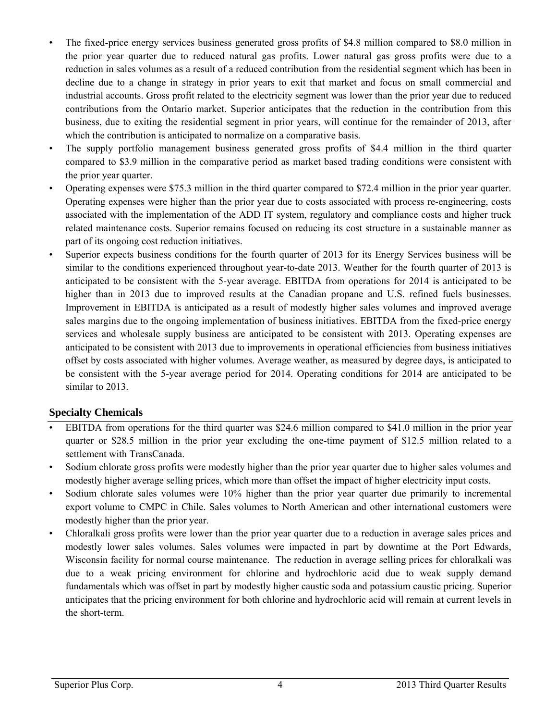- The fixed-price energy services business generated gross profits of \$4.8 million compared to \$8.0 million in the prior year quarter due to reduced natural gas profits. Lower natural gas gross profits were due to a reduction in sales volumes as a result of a reduced contribution from the residential segment which has been in decline due to a change in strategy in prior years to exit that market and focus on small commercial and industrial accounts. Gross profit related to the electricity segment was lower than the prior year due to reduced contributions from the Ontario market. Superior anticipates that the reduction in the contribution from this business, due to exiting the residential segment in prior years, will continue for the remainder of 2013, after which the contribution is anticipated to normalize on a comparative basis.
- The supply portfolio management business generated gross profits of \$4.4 million in the third quarter compared to \$3.9 million in the comparative period as market based trading conditions were consistent with the prior year quarter.
- Operating expenses were \$75.3 million in the third quarter compared to \$72.4 million in the prior year quarter. Operating expenses were higher than the prior year due to costs associated with process re-engineering, costs associated with the implementation of the ADD IT system, regulatory and compliance costs and higher truck related maintenance costs. Superior remains focused on reducing its cost structure in a sustainable manner as part of its ongoing cost reduction initiatives.
- Superior expects business conditions for the fourth quarter of 2013 for its Energy Services business will be similar to the conditions experienced throughout year-to-date 2013. Weather for the fourth quarter of 2013 is anticipated to be consistent with the 5-year average. EBITDA from operations for 2014 is anticipated to be higher than in 2013 due to improved results at the Canadian propane and U.S. refined fuels businesses. Improvement in EBITDA is anticipated as a result of modestly higher sales volumes and improved average sales margins due to the ongoing implementation of business initiatives. EBITDA from the fixed-price energy services and wholesale supply business are anticipated to be consistent with 2013. Operating expenses are anticipated to be consistent with 2013 due to improvements in operational efficiencies from business initiatives offset by costs associated with higher volumes. Average weather, as measured by degree days, is anticipated to be consistent with the 5-year average period for 2014. Operating conditions for 2014 are anticipated to be similar to 2013.

## **Specialty Chemicals**

- EBITDA from operations for the third quarter was \$24.6 million compared to \$41.0 million in the prior year quarter or \$28.5 million in the prior year excluding the one-time payment of \$12.5 million related to a settlement with TransCanada.
- Sodium chlorate gross profits were modestly higher than the prior year quarter due to higher sales volumes and modestly higher average selling prices, which more than offset the impact of higher electricity input costs.
- Sodium chlorate sales volumes were 10% higher than the prior year quarter due primarily to incremental export volume to CMPC in Chile. Sales volumes to North American and other international customers were modestly higher than the prior year.
- Chloralkali gross profits were lower than the prior year quarter due to a reduction in average sales prices and modestly lower sales volumes. Sales volumes were impacted in part by downtime at the Port Edwards, Wisconsin facility for normal course maintenance. The reduction in average selling prices for chloralkali was due to a weak pricing environment for chlorine and hydrochloric acid due to weak supply demand fundamentals which was offset in part by modestly higher caustic soda and potassium caustic pricing. Superior anticipates that the pricing environment for both chlorine and hydrochloric acid will remain at current levels in the short-term.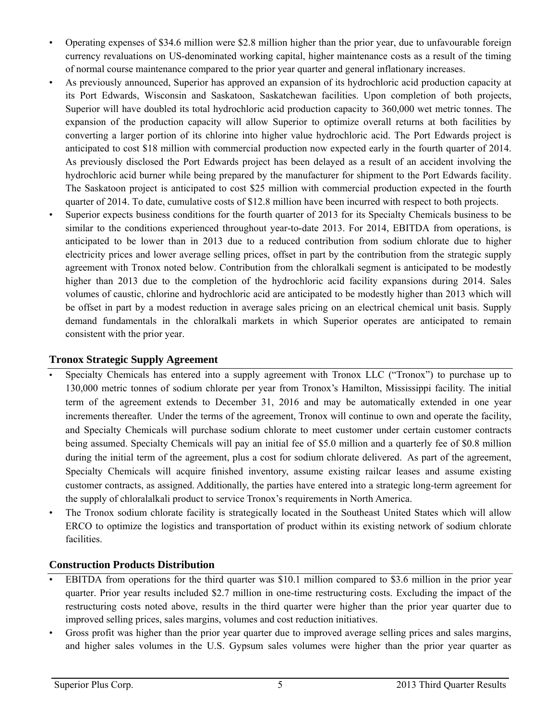- Operating expenses of \$34.6 million were \$2.8 million higher than the prior year, due to unfavourable foreign currency revaluations on US-denominated working capital, higher maintenance costs as a result of the timing of normal course maintenance compared to the prior year quarter and general inflationary increases.
- As previously announced, Superior has approved an expansion of its hydrochloric acid production capacity at its Port Edwards, Wisconsin and Saskatoon, Saskatchewan facilities. Upon completion of both projects, Superior will have doubled its total hydrochloric acid production capacity to 360,000 wet metric tonnes. The expansion of the production capacity will allow Superior to optimize overall returns at both facilities by converting a larger portion of its chlorine into higher value hydrochloric acid. The Port Edwards project is anticipated to cost \$18 million with commercial production now expected early in the fourth quarter of 2014. As previously disclosed the Port Edwards project has been delayed as a result of an accident involving the hydrochloric acid burner while being prepared by the manufacturer for shipment to the Port Edwards facility. The Saskatoon project is anticipated to cost \$25 million with commercial production expected in the fourth quarter of 2014. To date, cumulative costs of \$12.8 million have been incurred with respect to both projects.
- Superior expects business conditions for the fourth quarter of 2013 for its Specialty Chemicals business to be similar to the conditions experienced throughout year-to-date 2013. For 2014, EBITDA from operations, is anticipated to be lower than in 2013 due to a reduced contribution from sodium chlorate due to higher electricity prices and lower average selling prices, offset in part by the contribution from the strategic supply agreement with Tronox noted below. Contribution from the chloralkali segment is anticipated to be modestly higher than 2013 due to the completion of the hydrochloric acid facility expansions during 2014. Sales volumes of caustic, chlorine and hydrochloric acid are anticipated to be modestly higher than 2013 which will be offset in part by a modest reduction in average sales pricing on an electrical chemical unit basis. Supply demand fundamentals in the chloralkali markets in which Superior operates are anticipated to remain consistent with the prior year.

## **Tronox Strategic Supply Agreement**

- Specialty Chemicals has entered into a supply agreement with Tronox LLC ("Tronox") to purchase up to 130,000 metric tonnes of sodium chlorate per year from Tronox's Hamilton, Mississippi facility. The initial term of the agreement extends to December 31, 2016 and may be automatically extended in one year increments thereafter. Under the terms of the agreement, Tronox will continue to own and operate the facility, and Specialty Chemicals will purchase sodium chlorate to meet customer under certain customer contracts being assumed. Specialty Chemicals will pay an initial fee of \$5.0 million and a quarterly fee of \$0.8 million during the initial term of the agreement, plus a cost for sodium chlorate delivered. As part of the agreement, Specialty Chemicals will acquire finished inventory, assume existing railcar leases and assume existing customer contracts, as assigned. Additionally, the parties have entered into a strategic long-term agreement for the supply of chloralalkali product to service Tronox's requirements in North America.
- The Tronox sodium chlorate facility is strategically located in the Southeast United States which will allow ERCO to optimize the logistics and transportation of product within its existing network of sodium chlorate facilities.

## **Construction Products Distribution**

- EBITDA from operations for the third quarter was \$10.1 million compared to \$3.6 million in the prior year quarter. Prior year results included \$2.7 million in one-time restructuring costs. Excluding the impact of the restructuring costs noted above, results in the third quarter were higher than the prior year quarter due to improved selling prices, sales margins, volumes and cost reduction initiatives.
- Gross profit was higher than the prior year quarter due to improved average selling prices and sales margins, and higher sales volumes in the U.S. Gypsum sales volumes were higher than the prior year quarter as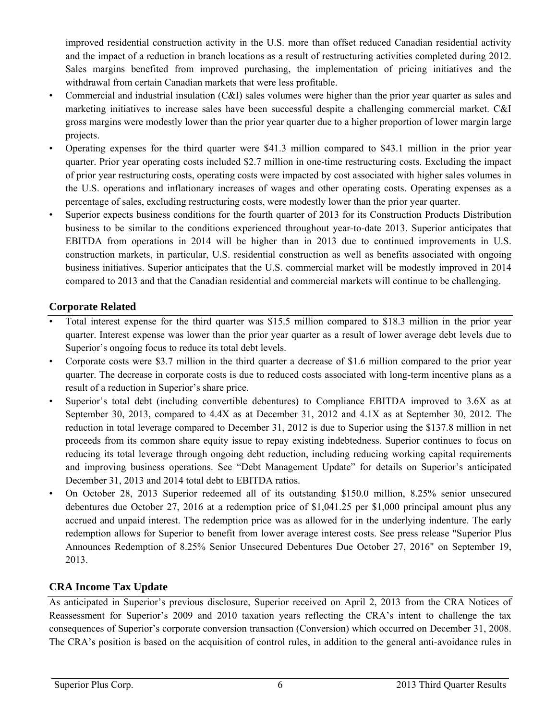improved residential construction activity in the U.S. more than offset reduced Canadian residential activity and the impact of a reduction in branch locations as a result of restructuring activities completed during 2012. Sales margins benefited from improved purchasing, the implementation of pricing initiatives and the withdrawal from certain Canadian markets that were less profitable.

- Commercial and industrial insulation (C&I) sales volumes were higher than the prior year quarter as sales and marketing initiatives to increase sales have been successful despite a challenging commercial market. C&I gross margins were modestly lower than the prior year quarter due to a higher proportion of lower margin large projects.
- Operating expenses for the third quarter were \$41.3 million compared to \$43.1 million in the prior year quarter. Prior year operating costs included \$2.7 million in one-time restructuring costs. Excluding the impact of prior year restructuring costs, operating costs were impacted by cost associated with higher sales volumes in the U.S. operations and inflationary increases of wages and other operating costs. Operating expenses as a percentage of sales, excluding restructuring costs, were modestly lower than the prior year quarter.
- Superior expects business conditions for the fourth quarter of 2013 for its Construction Products Distribution business to be similar to the conditions experienced throughout year-to-date 2013. Superior anticipates that EBITDA from operations in 2014 will be higher than in 2013 due to continued improvements in U.S. construction markets, in particular, U.S. residential construction as well as benefits associated with ongoing business initiatives. Superior anticipates that the U.S. commercial market will be modestly improved in 2014 compared to 2013 and that the Canadian residential and commercial markets will continue to be challenging.

## **Corporate Related**

- Total interest expense for the third quarter was \$15.5 million compared to \$18.3 million in the prior year quarter. Interest expense was lower than the prior year quarter as a result of lower average debt levels due to Superior's ongoing focus to reduce its total debt levels.
- Corporate costs were \$3.7 million in the third quarter a decrease of \$1.6 million compared to the prior year quarter. The decrease in corporate costs is due to reduced costs associated with long-term incentive plans as a result of a reduction in Superior's share price.
- Superior's total debt (including convertible debentures) to Compliance EBITDA improved to 3.6X as at September 30, 2013, compared to 4.4X as at December 31, 2012 and 4.1X as at September 30, 2012. The reduction in total leverage compared to December 31, 2012 is due to Superior using the \$137.8 million in net proceeds from its common share equity issue to repay existing indebtedness. Superior continues to focus on reducing its total leverage through ongoing debt reduction, including reducing working capital requirements and improving business operations. See "Debt Management Update" for details on Superior's anticipated December 31, 2013 and 2014 total debt to EBITDA ratios.
- On October 28, 2013 Superior redeemed all of its outstanding \$150.0 million, 8.25% senior unsecured debentures due October 27, 2016 at a redemption price of \$1,041.25 per \$1,000 principal amount plus any accrued and unpaid interest. The redemption price was as allowed for in the underlying indenture. The early redemption allows for Superior to benefit from lower average interest costs. See press release "Superior Plus Announces Redemption of 8.25% Senior Unsecured Debentures Due October 27, 2016" on September 19, 2013.

## **CRA Income Tax Update**

As anticipated in Superior's previous disclosure, Superior received on April 2, 2013 from the CRA Notices of Reassessment for Superior's 2009 and 2010 taxation years reflecting the CRA's intent to challenge the tax consequences of Superior's corporate conversion transaction (Conversion) which occurred on December 31, 2008. The CRA's position is based on the acquisition of control rules, in addition to the general anti-avoidance rules in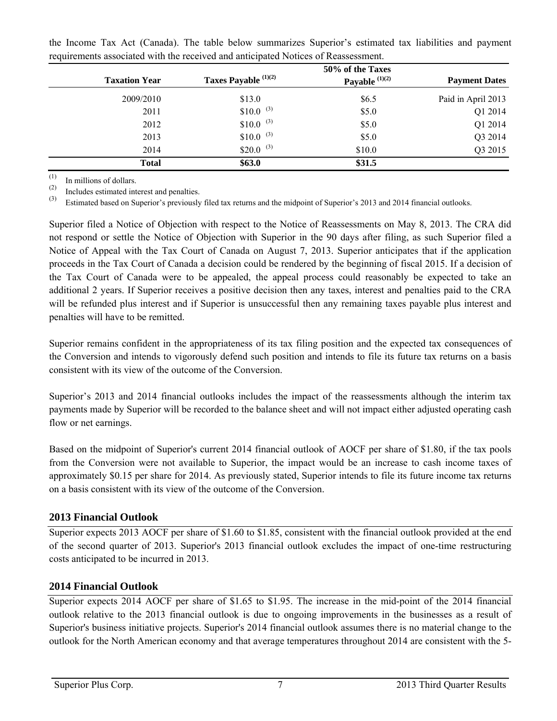| <b>Taxation Year</b> | Taxes Payable $(1)(2)$ | 50% of the Taxes<br>Payable $^{(1)(2)}$ | <b>Payment Dates</b> |
|----------------------|------------------------|-----------------------------------------|----------------------|
| 2009/2010            | \$13.0                 | \$6.5                                   | Paid in April 2013   |
| 2011                 | $$10.0$ <sup>(3)</sup> | \$5.0                                   | Q1 2014              |
| 2012                 | $$10.0$ <sup>(3)</sup> | \$5.0                                   | Q1 2014              |
| 2013                 | $$10.0$ <sup>(3)</sup> | \$5.0                                   | Q3 2014              |
| 2014                 | $$20.0$ <sup>(3)</sup> | \$10.0                                  | Q3 2015              |
| <b>Total</b>         | \$63.0                 | \$31.5                                  |                      |

the Income Tax Act (Canada). The table below summarizes Superior's estimated tax liabilities and payment requirements associated with the received and anticipated Notices of Reassessment.

 $\begin{array}{cc}\n\text{(1)} & \text{In millions of dollars.} \\
\text{(2)} & \text{Total desired that}\n\end{array}$ 

 $\begin{array}{c} \text{(2)} \\ \text{(3)} \\ \text{Extimated based on Sunorics previously} \end{array}$ 

Estimated based on Superior's previously filed tax returns and the midpoint of Superior's 2013 and 2014 financial outlooks.

Superior filed a Notice of Objection with respect to the Notice of Reassessments on May 8, 2013. The CRA did not respond or settle the Notice of Objection with Superior in the 90 days after filing, as such Superior filed a Notice of Appeal with the Tax Court of Canada on August 7, 2013. Superior anticipates that if the application proceeds in the Tax Court of Canada a decision could be rendered by the beginning of fiscal 2015. If a decision of the Tax Court of Canada were to be appealed, the appeal process could reasonably be expected to take an additional 2 years. If Superior receives a positive decision then any taxes, interest and penalties paid to the CRA will be refunded plus interest and if Superior is unsuccessful then any remaining taxes payable plus interest and penalties will have to be remitted.

Superior remains confident in the appropriateness of its tax filing position and the expected tax consequences of the Conversion and intends to vigorously defend such position and intends to file its future tax returns on a basis consistent with its view of the outcome of the Conversion.

Superior's 2013 and 2014 financial outlooks includes the impact of the reassessments although the interim tax payments made by Superior will be recorded to the balance sheet and will not impact either adjusted operating cash flow or net earnings.

Based on the midpoint of Superior's current 2014 financial outlook of AOCF per share of \$1.80, if the tax pools from the Conversion were not available to Superior, the impact would be an increase to cash income taxes of approximately \$0.15 per share for 2014. As previously stated, Superior intends to file its future income tax returns on a basis consistent with its view of the outcome of the Conversion.

## **2013 Financial Outlook**

Superior expects 2013 AOCF per share of \$1.60 to \$1.85, consistent with the financial outlook provided at the end of the second quarter of 2013. Superior's 2013 financial outlook excludes the impact of one-time restructuring costs anticipated to be incurred in 2013.

## **2014 Financial Outlook**

Superior expects 2014 AOCF per share of \$1.65 to \$1.95. The increase in the mid-point of the 2014 financial outlook relative to the 2013 financial outlook is due to ongoing improvements in the businesses as a result of Superior's business initiative projects. Superior's 2014 financial outlook assumes there is no material change to the outlook for the North American economy and that average temperatures throughout 2014 are consistent with the 5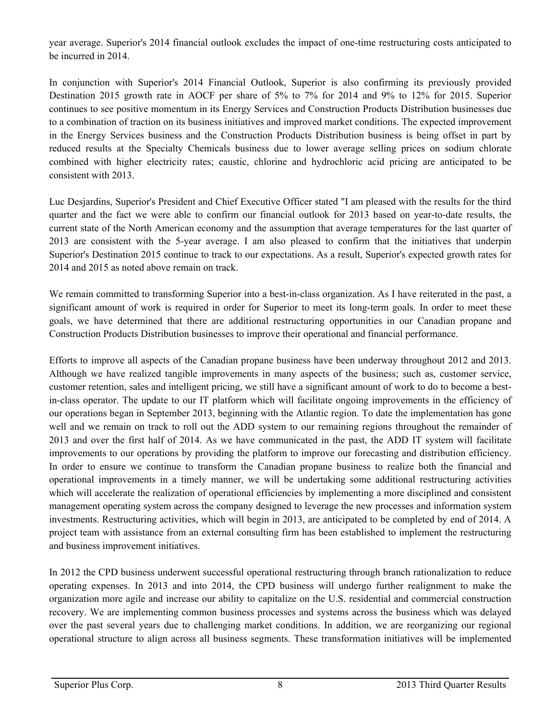year average. Superior's 2014 financial outlook excludes the impact of one-time restructuring costs anticipated to be incurred in 2014.

In conjunction with Superior's 2014 Financial Outlook, Superior is also confirming its previously provided Destination 2015 growth rate in AOCF per share of 5% to 7% for 2014 and 9% to 12% for 2015. Superior continues to see positive momentum in its Energy Services and Construction Products Distribution businesses due to a combination of traction on its business initiatives and improved market conditions. The expected improvement in the Energy Services business and the Construction Products Distribution business is being offset in part by reduced results at the Specialty Chemicals business due to lower average selling prices on sodium chlorate combined with higher electricity rates; caustic, chlorine and hydrochloric acid pricing are anticipated to be consistent with 2013.

Luc Desjardins, Superior's President and Chief Executive Officer stated "I am pleased with the results for the third quarter and the fact we were able to confirm our financial outlook for 2013 based on year-to-date results, the current state of the North American economy and the assumption that average temperatures for the last quarter of 2013 are consistent with the 5-year average. I am also pleased to confirm that the initiatives that underpin Superior's Destination 2015 continue to track to our expectations. As a result, Superior's expected growth rates for 2014 and 2015 as noted above remain on track.

We remain committed to transforming Superior into a best-in-class organization. As I have reiterated in the past, a significant amount of work is required in order for Superior to meet its long-term goals. In order to meet these goals, we have determined that there are additional restructuring opportunities in our Canadian propane and Construction Products Distribution businesses to improve their operational and financial performance.

Efforts to improve all aspects of the Canadian propane business have been underway throughout 2012 and 2013. Although we have realized tangible improvements in many aspects of the business; such as, customer service, customer retention, sales and intelligent pricing, we still have a significant amount of work to do to become a bestin-class operator. The update to our IT platform which will facilitate ongoing improvements in the efficiency of our operations began in September 2013, beginning with the Atlantic region. To date the implementation has gone well and we remain on track to roll out the ADD system to our remaining regions throughout the remainder of 2013 and over the first half of 2014. As we have communicated in the past, the ADD IT system will facilitate improvements to our operations by providing the platform to improve our forecasting and distribution efficiency. In order to ensure we continue to transform the Canadian propane business to realize both the financial and operational improvements in a timely manner, we will be undertaking some additional restructuring activities which will accelerate the realization of operational efficiencies by implementing a more disciplined and consistent management operating system across the company designed to leverage the new processes and information system investments. Restructuring activities, which will begin in 2013, are anticipated to be completed by end of 2014. A project team with assistance from an external consulting firm has been established to implement the restructuring and business improvement initiatives.

In 2012 the CPD business underwent successful operational restructuring through branch rationalization to reduce operating expenses. In 2013 and into 2014, the CPD business will undergo further realignment to make the organization more agile and increase our ability to capitalize on the U.S. residential and commercial construction recovery. We are implementing common business processes and systems across the business which was delayed over the past several years due to challenging market conditions. In addition, we are reorganizing our regional operational structure to align across all business segments. These transformation initiatives will be implemented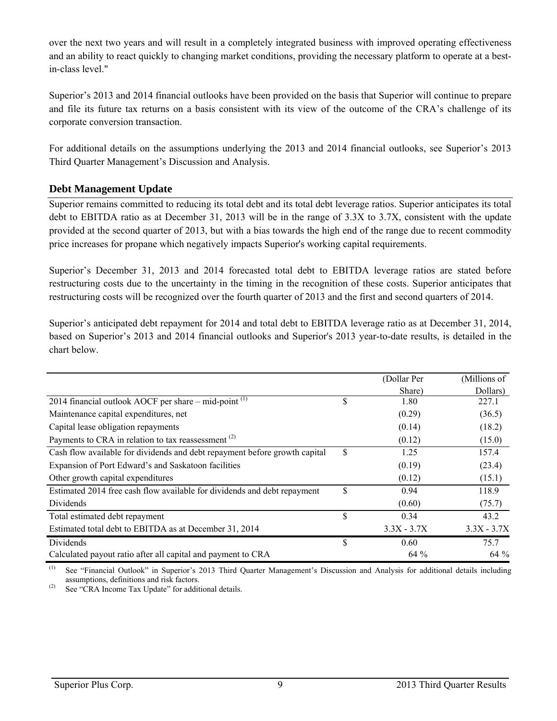over the next two years and will result in a completely integrated business with improved operating effectiveness and an ability to react quickly to changing market conditions, providing the necessary platform to operate at a bestin-class level."

Superior's 2013 and 2014 financial outlooks have been provided on the basis that Superior will continue to prepare and file its future tax returns on a basis consistent with its view of the outcome of the CRA's challenge of its corporate conversion transaction.

For additional details on the assumptions underlying the 2013 and 2014 financial outlooks, see Superior's 2013 Third Quarter Management's Discussion and Analysis.

## **Debt Management Update**

Superior remains committed to reducing its total debt and its total debt leverage ratios. Superior anticipates its total debt to EBITDA ratio as at December 31, 2013 will be in the range of 3.3X to 3.7X, consistent with the update provided at the second quarter of 2013, but with a bias towards the high end of the range due to recent commodity price increases for propane which negatively impacts Superior's working capital requirements.

Superior's December 31, 2013 and 2014 forecasted total debt to EBITDA leverage ratios are stated before restructuring costs due to the uncertainty in the timing in the recognition of these costs. Superior anticipates that restructuring costs will be recognized over the fourth quarter of 2013 and the first and second quarters of 2014.

Superior's anticipated debt repayment for 2014 and total debt to EBITDA leverage ratio as at December 31, 2014, based on Superior's 2013 and 2014 financial outlooks and Superior's 2013 year-to-date results, is detailed in the chart below.

|                                                                            | (Dollar Per   | (Millions of  |
|----------------------------------------------------------------------------|---------------|---------------|
|                                                                            | Share)        | Dollars)      |
| 2014 financial outlook AOCF per share – mid-point $(1)$                    | \$<br>1.80    | 227.1         |
| Maintenance capital expenditures, net                                      | (0.29)        | (36.5)        |
| Capital lease obligation repayments                                        | (0.14)        | (18.2)        |
| Payments to CRA in relation to tax reassessment $(2)$                      | (0.12)        | (15.0)        |
| Cash flow available for dividends and debt repayment before growth capital | \$<br>1.25    | 157.4         |
| Expansion of Port Edward's and Saskatoon facilities                        | (0.19)        | (23.4)        |
| Other growth capital expenditures                                          | (0.12)        | (15.1)        |
| Estimated 2014 free cash flow available for dividends and debt repayment   | \$<br>0.94    | 118.9         |
| Dividends                                                                  | (0.60)        | (75.7)        |
| Total estimated debt repayment                                             | \$<br>0.34    | 43.2          |
| Estimated total debt to EBITDA as at December 31, 2014                     | $3.3X - 3.7X$ | $3.3X - 3.7X$ |
| Dividends                                                                  | \$<br>0.60    | 75.7          |
| Calculated payout ratio after all capital and payment to CRA               | $64\%$        | $64\%$        |

(1) See "Financial Outlook" in Superior's 2013 Third Quarter Management's Discussion and Analysis for additional details including assumptions, definitions and risk factors.

(2) See "CRA Income Tax Update" for additional details.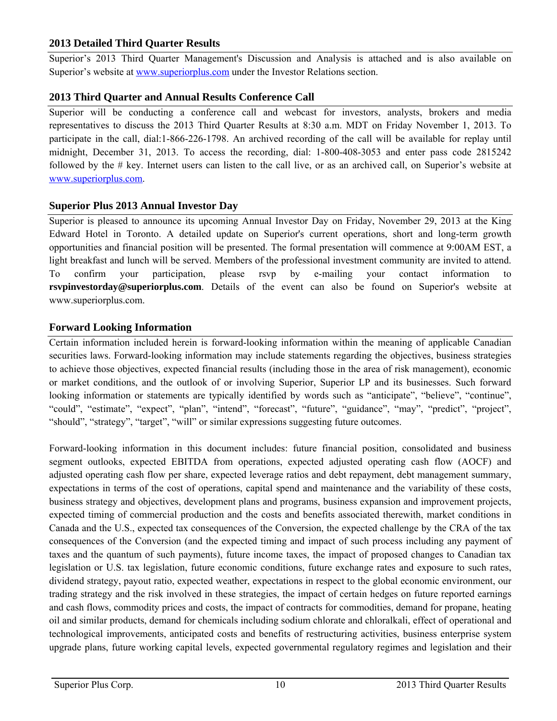## **2013 Detailed Third Quarter Results**

Superior's 2013 Third Quarter Management's Discussion and Analysis is attached and is also available on Superior's website at www.superiorplus.com under the Investor Relations section.

## **2013 Third Quarter and Annual Results Conference Call**

Superior will be conducting a conference call and webcast for investors, analysts, brokers and media representatives to discuss the 2013 Third Quarter Results at 8:30 a.m. MDT on Friday November 1, 2013. To participate in the call, dial:1-866-226-1798. An archived recording of the call will be available for replay until midnight, December 31, 2013. To access the recording, dial: 1-800-408-3053 and enter pass code 2815242 followed by the # key. Internet users can listen to the call live, or as an archived call, on Superior's website at www.superiorplus.com.

## **Superior Plus 2013 Annual Investor Day**

Superior is pleased to announce its upcoming Annual Investor Day on Friday, November 29, 2013 at the King Edward Hotel in Toronto. A detailed update on Superior's current operations, short and long-term growth opportunities and financial position will be presented. The formal presentation will commence at 9:00AM EST, a light breakfast and lunch will be served. Members of the professional investment community are invited to attend. To confirm your participation, please rsvp by e-mailing your contact information to **rsvpinvestorday@superiorplus.com**. Details of the event can also be found on Superior's website at www.superiorplus.com.

## **Forward Looking Information**

Certain information included herein is forward-looking information within the meaning of applicable Canadian securities laws. Forward-looking information may include statements regarding the objectives, business strategies to achieve those objectives, expected financial results (including those in the area of risk management), economic or market conditions, and the outlook of or involving Superior, Superior LP and its businesses. Such forward looking information or statements are typically identified by words such as "anticipate", "believe", "continue", "could", "estimate", "expect", "plan", "intend", "forecast", "future", "guidance", "may", "predict", "project", "should", "strategy", "target", "will" or similar expressions suggesting future outcomes.

Forward-looking information in this document includes: future financial position, consolidated and business segment outlooks, expected EBITDA from operations, expected adjusted operating cash flow (AOCF) and adjusted operating cash flow per share, expected leverage ratios and debt repayment, debt management summary, expectations in terms of the cost of operations, capital spend and maintenance and the variability of these costs, business strategy and objectives, development plans and programs, business expansion and improvement projects, expected timing of commercial production and the costs and benefits associated therewith, market conditions in Canada and the U.S., expected tax consequences of the Conversion, the expected challenge by the CRA of the tax consequences of the Conversion (and the expected timing and impact of such process including any payment of taxes and the quantum of such payments), future income taxes, the impact of proposed changes to Canadian tax legislation or U.S. tax legislation, future economic conditions, future exchange rates and exposure to such rates, dividend strategy, payout ratio, expected weather, expectations in respect to the global economic environment, our trading strategy and the risk involved in these strategies, the impact of certain hedges on future reported earnings and cash flows, commodity prices and costs, the impact of contracts for commodities, demand for propane, heating oil and similar products, demand for chemicals including sodium chlorate and chloralkali, effect of operational and technological improvements, anticipated costs and benefits of restructuring activities, business enterprise system upgrade plans, future working capital levels, expected governmental regulatory regimes and legislation and their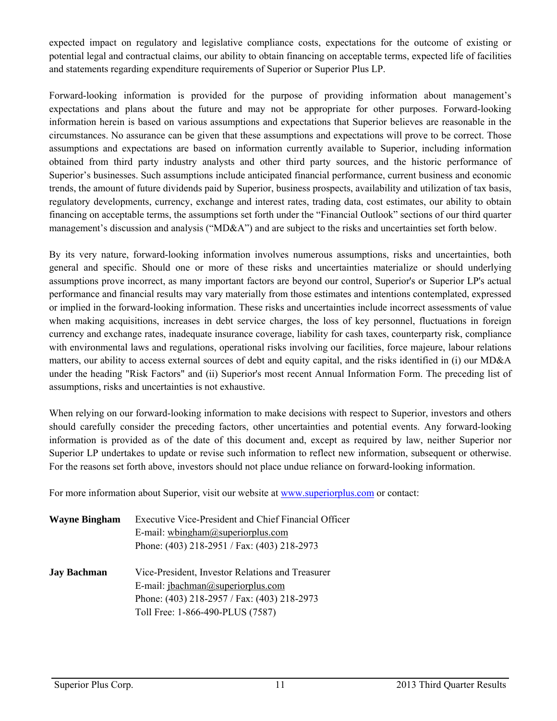expected impact on regulatory and legislative compliance costs, expectations for the outcome of existing or potential legal and contractual claims, our ability to obtain financing on acceptable terms, expected life of facilities and statements regarding expenditure requirements of Superior or Superior Plus LP.

Forward-looking information is provided for the purpose of providing information about management's expectations and plans about the future and may not be appropriate for other purposes. Forward-looking information herein is based on various assumptions and expectations that Superior believes are reasonable in the circumstances. No assurance can be given that these assumptions and expectations will prove to be correct. Those assumptions and expectations are based on information currently available to Superior, including information obtained from third party industry analysts and other third party sources, and the historic performance of Superior's businesses. Such assumptions include anticipated financial performance, current business and economic trends, the amount of future dividends paid by Superior, business prospects, availability and utilization of tax basis, regulatory developments, currency, exchange and interest rates, trading data, cost estimates, our ability to obtain financing on acceptable terms, the assumptions set forth under the "Financial Outlook" sections of our third quarter management's discussion and analysis ("MD&A") and are subject to the risks and uncertainties set forth below.

By its very nature, forward-looking information involves numerous assumptions, risks and uncertainties, both general and specific. Should one or more of these risks and uncertainties materialize or should underlying assumptions prove incorrect, as many important factors are beyond our control, Superior's or Superior LP's actual performance and financial results may vary materially from those estimates and intentions contemplated, expressed or implied in the forward-looking information. These risks and uncertainties include incorrect assessments of value when making acquisitions, increases in debt service charges, the loss of key personnel, fluctuations in foreign currency and exchange rates, inadequate insurance coverage, liability for cash taxes, counterparty risk, compliance with environmental laws and regulations, operational risks involving our facilities, force majeure, labour relations matters, our ability to access external sources of debt and equity capital, and the risks identified in (i) our MD&A under the heading "Risk Factors" and (ii) Superior's most recent Annual Information Form. The preceding list of assumptions, risks and uncertainties is not exhaustive.

When relying on our forward-looking information to make decisions with respect to Superior, investors and others should carefully consider the preceding factors, other uncertainties and potential events. Any forward-looking information is provided as of the date of this document and, except as required by law, neither Superior nor Superior LP undertakes to update or revise such information to reflect new information, subsequent or otherwise. For the reasons set forth above, investors should not place undue reliance on forward-looking information.

For more information about Superior, visit our website at www.superiorplus.com or contact:

| <b>Wayne Bingham</b> | <b>Executive Vice-President and Chief Financial Officer</b> |
|----------------------|-------------------------------------------------------------|
|                      | E-mail: whingham@superiorplus.com                           |
|                      | Phone: (403) 218-2951 / Fax: (403) 218-2973                 |
| <b>Jay Bachman</b>   | Vice-President, Investor Relations and Treasurer            |
|                      | E-mail: $\beta$ bachman@superiorplus.com                    |
|                      | Phone: (403) 218-2957 / Fax: (403) 218-2973                 |
|                      | Toll Free: 1-866-490-PLUS (7587)                            |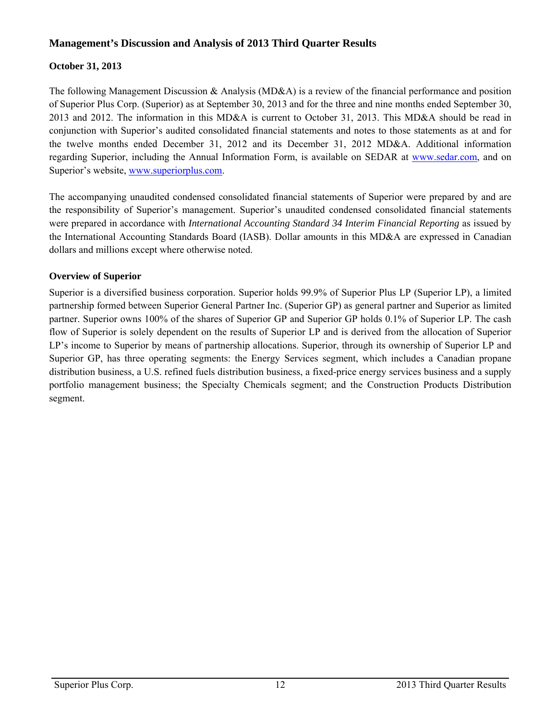## **Management's Discussion and Analysis of 2013 Third Quarter Results**

## **October 31, 2013**

The following Management Discussion & Analysis (MD&A) is a review of the financial performance and position of Superior Plus Corp. (Superior) as at September 30, 2013 and for the three and nine months ended September 30, 2013 and 2012. The information in this MD&A is current to October 31, 2013. This MD&A should be read in conjunction with Superior's audited consolidated financial statements and notes to those statements as at and for the twelve months ended December 31, 2012 and its December 31, 2012 MD&A. Additional information regarding Superior, including the Annual Information Form, is available on SEDAR at www.sedar.com, and on Superior's website, www.superiorplus.com.

The accompanying unaudited condensed consolidated financial statements of Superior were prepared by and are the responsibility of Superior's management. Superior's unaudited condensed consolidated financial statements were prepared in accordance with *International Accounting Standard 34 Interim Financial Reporting* as issued by the International Accounting Standards Board (IASB). Dollar amounts in this MD&A are expressed in Canadian dollars and millions except where otherwise noted.

## **Overview of Superior**

Superior is a diversified business corporation. Superior holds 99.9% of Superior Plus LP (Superior LP), a limited partnership formed between Superior General Partner Inc. (Superior GP) as general partner and Superior as limited partner. Superior owns 100% of the shares of Superior GP and Superior GP holds 0.1% of Superior LP. The cash flow of Superior is solely dependent on the results of Superior LP and is derived from the allocation of Superior LP's income to Superior by means of partnership allocations. Superior, through its ownership of Superior LP and Superior GP, has three operating segments: the Energy Services segment, which includes a Canadian propane distribution business, a U.S. refined fuels distribution business, a fixed-price energy services business and a supply portfolio management business; the Specialty Chemicals segment; and the Construction Products Distribution segment.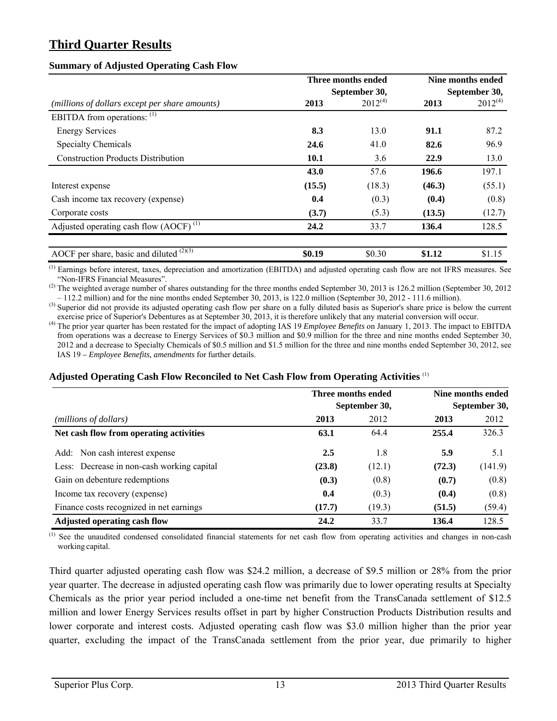# **Third Quarter Results**

#### **Summary of Adjusted Operating Cash Flow**

|                                                |                     | Three months ended | Nine months ended |               |
|------------------------------------------------|---------------------|--------------------|-------------------|---------------|
|                                                |                     | September 30,      |                   | September 30, |
| (millions of dollars except per share amounts) | 2013                | $2012^{(4)}$       | 2013              | $2012^{(4)}$  |
| EBITDA from operations: $(1)$                  |                     |                    |                   |               |
| <b>Energy Services</b>                         | 8.3                 | 13.0               | 91.1              | 87.2          |
| <b>Specialty Chemicals</b>                     | 24.6                | 41.0               | 82.6              | 96.9          |
| <b>Construction Products Distribution</b>      | 3.6<br>10.1<br>22.9 | 13.0               |                   |               |
|                                                | 43.0                | 57.6               | 196.6             | 197.1         |
| Interest expense                               | (15.5)              | (18.3)             | (46.3)            | (55.1)        |
| Cash income tax recovery (expense)             | 0.4                 | (0.3)              | (0.4)             | (0.8)         |
| Corporate costs                                | (3.7)               | (5.3)              | (13.5)            | (12.7)        |
| Adjusted operating cash flow $(AOCF)^{(1)}$    | 24.2                | 33.7               | 136.4             | 128.5         |
| AOCF per share, basic and diluted $^{(2)(3)}$  | \$0.19              | \$0.30             | \$1.12            | \$1.15        |

(1) Earnings before interest, taxes, depreciation and amortization (EBITDA) and adjusted operating cash flow are not IFRS measures. See "Non-IFRS Financial Measures".

 $^{(2)}$  The weighted average number of shares outstanding for the three months ended September 30, 2013 is 126.2 million (September 30, 2012 – 112.2 million) and for the nine months ended September 30, 2013, is 122.0 million (September 30, 2012 - 111.6 million).

(3) Superior did not provide its adjusted operating cash flow per share on a fully diluted basis as Superior's share price is below the current exercise price of Superior's Debentures as at September 30, 2013, it is there

 $^{(4)}$  The prior vear quarter has been restated for the impact of adopting IAS 19 Employee Benefits on January 1, 2013. The impact to EBITDA from operations was a decrease to Energy Services of \$0.3 million and \$0.9 million for the three and nine months ended September 30, 2012 and a decrease to Specialty Chemicals of \$0.5 million and \$1.5 million for the three and nine months ended September 30, 2012, see IAS 19 *– Employee Benefits, amendments* for further details.

#### **Adjusted Operating Cash Flow Reconciled to Net Cash Flow from Operating Activities** (1)

|                                            | Three months ended<br>September 30, |        | Nine months ended<br>September 30, |         |
|--------------------------------------------|-------------------------------------|--------|------------------------------------|---------|
| (millions of dollars)                      | 2013                                | 2012   | 2013                               | 2012    |
| Net cash flow from operating activities    | 63.1                                | 64.4   | 255.4                              | 326.3   |
| Add: Non cash interest expense             | 2.5                                 | 1.8    | 5.9                                | 5.1     |
| Less: Decrease in non-cash working capital | (23.8)                              | (12.1) | (72.3)                             | (141.9) |
| Gain on debenture redemptions              | (0.3)                               | (0.8)  | (0.7)                              | (0.8)   |
| Income tax recovery (expense)              | 0.4                                 | (0.3)  | (0.4)                              | (0.8)   |
| Finance costs recognized in net earnings   | (17.7)                              | (19.3) | (51.5)                             | (59.4)  |
| <b>Adjusted operating cash flow</b>        | 24.2                                | 33.7   | 136.4                              | 128.5   |

 $<sup>(1)</sup>$  See the unaudited condensed consolidated financial statements for net cash flow from operating activities and changes in non-cash</sup> working capital.

Third quarter adjusted operating cash flow was \$24.2 million, a decrease of \$9.5 million or 28% from the prior year quarter. The decrease in adjusted operating cash flow was primarily due to lower operating results at Specialty Chemicals as the prior year period included a one-time net benefit from the TransCanada settlement of \$12.5 million and lower Energy Services results offset in part by higher Construction Products Distribution results and lower corporate and interest costs. Adjusted operating cash flow was \$3.0 million higher than the prior year quarter, excluding the impact of the TransCanada settlement from the prior year, due primarily to higher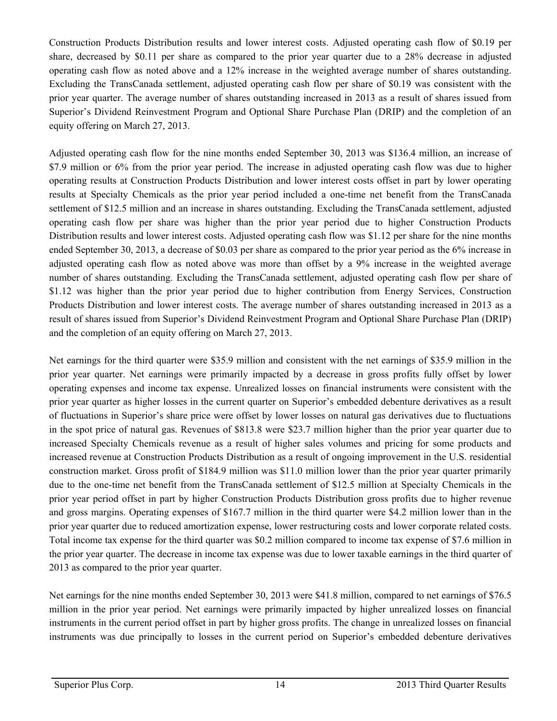Construction Products Distribution results and lower interest costs. Adjusted operating cash flow of \$0.19 per share, decreased by \$0.11 per share as compared to the prior year quarter due to a 28% decrease in adjusted operating cash flow as noted above and a 12% increase in the weighted average number of shares outstanding. Excluding the TransCanada settlement, adjusted operating cash flow per share of \$0.19 was consistent with the prior year quarter. The average number of shares outstanding increased in 2013 as a result of shares issued from Superior's Dividend Reinvestment Program and Optional Share Purchase Plan (DRIP) and the completion of an equity offering on March 27, 2013.

Adjusted operating cash flow for the nine months ended September 30, 2013 was \$136.4 million, an increase of \$7.9 million or 6% from the prior year period. The increase in adjusted operating cash flow was due to higher operating results at Construction Products Distribution and lower interest costs offset in part by lower operating results at Specialty Chemicals as the prior year period included a one-time net benefit from the TransCanada settlement of \$12.5 million and an increase in shares outstanding. Excluding the TransCanada settlement, adjusted operating cash flow per share was higher than the prior year period due to higher Construction Products Distribution results and lower interest costs. Adjusted operating cash flow was \$1.12 per share for the nine months ended September 30, 2013, a decrease of \$0.03 per share as compared to the prior year period as the 6% increase in adjusted operating cash flow as noted above was more than offset by a 9% increase in the weighted average number of shares outstanding. Excluding the TransCanada settlement, adjusted operating cash flow per share of \$1.12 was higher than the prior year period due to higher contribution from Energy Services, Construction Products Distribution and lower interest costs. The average number of shares outstanding increased in 2013 as a result of shares issued from Superior's Dividend Reinvestment Program and Optional Share Purchase Plan (DRIP) and the completion of an equity offering on March 27, 2013.

Net earnings for the third quarter were \$35.9 million and consistent with the net earnings of \$35.9 million in the prior year quarter. Net earnings were primarily impacted by a decrease in gross profits fully offset by lower operating expenses and income tax expense. Unrealized losses on financial instruments were consistent with the prior year quarter as higher losses in the current quarter on Superior's embedded debenture derivatives as a result of fluctuations in Superior's share price were offset by lower losses on natural gas derivatives due to fluctuations in the spot price of natural gas. Revenues of \$813.8 were \$23.7 million higher than the prior year quarter due to increased Specialty Chemicals revenue as a result of higher sales volumes and pricing for some products and increased revenue at Construction Products Distribution as a result of ongoing improvement in the U.S. residential construction market. Gross profit of \$184.9 million was \$11.0 million lower than the prior year quarter primarily due to the one-time net benefit from the TransCanada settlement of \$12.5 million at Specialty Chemicals in the prior year period offset in part by higher Construction Products Distribution gross profits due to higher revenue and gross margins. Operating expenses of \$167.7 million in the third quarter were \$4.2 million lower than in the prior year quarter due to reduced amortization expense, lower restructuring costs and lower corporate related costs. Total income tax expense for the third quarter was \$0.2 million compared to income tax expense of \$7.6 million in the prior year quarter. The decrease in income tax expense was due to lower taxable earnings in the third quarter of 2013 as compared to the prior year quarter.

Net earnings for the nine months ended September 30, 2013 were \$41.8 million, compared to net earnings of \$76.5 million in the prior year period. Net earnings were primarily impacted by higher unrealized losses on financial instruments in the current period offset in part by higher gross profits. The change in unrealized losses on financial instruments was due principally to losses in the current period on Superior's embedded debenture derivatives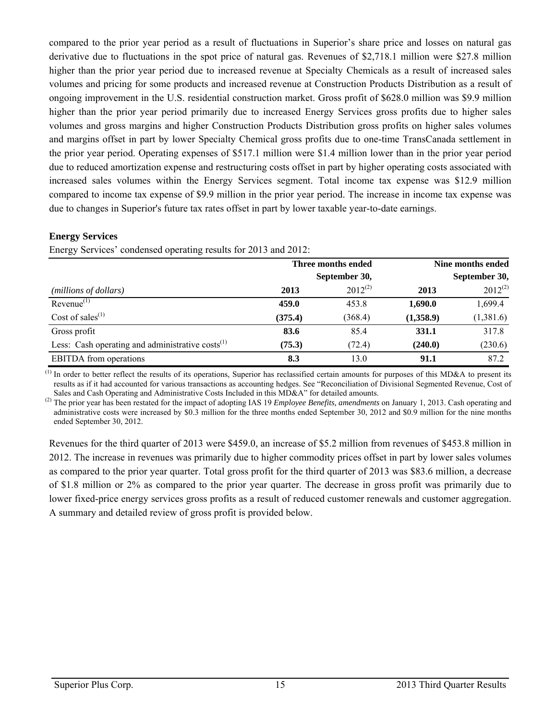compared to the prior year period as a result of fluctuations in Superior's share price and losses on natural gas derivative due to fluctuations in the spot price of natural gas. Revenues of \$2,718.1 million were \$27.8 million higher than the prior year period due to increased revenue at Specialty Chemicals as a result of increased sales volumes and pricing for some products and increased revenue at Construction Products Distribution as a result of ongoing improvement in the U.S. residential construction market. Gross profit of \$628.0 million was \$9.9 million higher than the prior year period primarily due to increased Energy Services gross profits due to higher sales volumes and gross margins and higher Construction Products Distribution gross profits on higher sales volumes and margins offset in part by lower Specialty Chemical gross profits due to one-time TransCanada settlement in the prior year period. Operating expenses of \$517.1 million were \$1.4 million lower than in the prior year period due to reduced amortization expense and restructuring costs offset in part by higher operating costs associated with increased sales volumes within the Energy Services segment. Total income tax expense was \$12.9 million compared to income tax expense of \$9.9 million in the prior year period. The increase in income tax expense was due to changes in Superior's future tax rates offset in part by lower taxable year-to-date earnings.

#### **Energy Services**

**Three months ended** Nine months ended **September 30, September 30,** *(millions of dollars)* **2013** 2012(2) **2013** 2012(2) Revenue(1) **459.0** 453.8 **1,690.0** 1,699.4 Cost of sales<sup>(1)</sup> (375.4) (368.4) (1,358.9) (1,381.6) Gross profit **83.6** 85.4 **331.1** 317.8 Less: Cash operating and administrative costs<sup>(1)</sup> (75.3) (72.4) (240.0) (230.6) EBITDA from operations **8.3** 13.0 **91.1** 87.2

Energy Services' condensed operating results for 2013 and 2012:

 $<sup>(1)</sup>$  In order to better reflect the results of its operations, Superior has reclassified certain amounts for purposes of this MD&A to present its</sup> results as if it had accounted for various transactions as accounting hedges. See "Reconciliation of Divisional Segmented Revenue, Cost of Sales and Cash Operating and Administrative Costs Included in this MD&A" for detailed amounts.

<sup>(2)</sup> The prior year has been restated for the impact of adopting IAS 19 *Employee Benefits, amendments* on January 1, 2013. Cash operating and administrative costs were increased by \$0.3 million for the three months ended September 30, 2012 and \$0.9 million for the nine months ended September 30, 2012.

Revenues for the third quarter of 2013 were \$459.0, an increase of \$5.2 million from revenues of \$453.8 million in 2012. The increase in revenues was primarily due to higher commodity prices offset in part by lower sales volumes as compared to the prior year quarter. Total gross profit for the third quarter of 2013 was \$83.6 million, a decrease of \$1.8 million or 2% as compared to the prior year quarter. The decrease in gross profit was primarily due to lower fixed-price energy services gross profits as a result of reduced customer renewals and customer aggregation. A summary and detailed review of gross profit is provided below.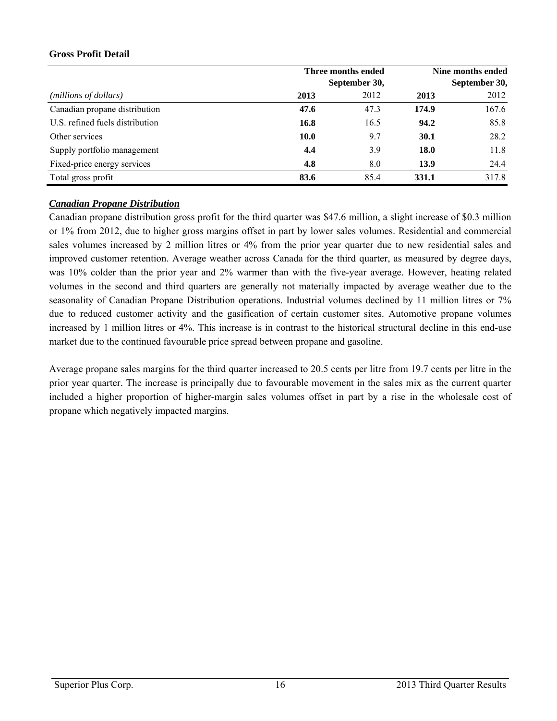#### **Gross Profit Detail**

|                                 |      | Three months ended |       | Nine months ended |
|---------------------------------|------|--------------------|-------|-------------------|
|                                 |      | September 30,      |       | September 30,     |
| (millions of dollars)           | 2013 | 2012               | 2013  | 2012              |
| Canadian propane distribution   | 47.6 | 47.3               | 174.9 | 167.6             |
| U.S. refined fuels distribution | 16.8 | 16.5               | 94.2  | 85.8              |
| Other services                  | 10.0 | 9.7                | 30.1  | 28.2              |
| Supply portfolio management     | 4.4  | 3.9                | 18.0  | 11.8              |
| Fixed-price energy services     | 4.8  | 8.0                | 13.9  | 24.4              |
| Total gross profit              | 83.6 | 85.4               | 331.1 | 317.8             |

#### *Canadian Propane Distribution*

Canadian propane distribution gross profit for the third quarter was \$47.6 million, a slight increase of \$0.3 million or 1% from 2012, due to higher gross margins offset in part by lower sales volumes. Residential and commercial sales volumes increased by 2 million litres or 4% from the prior year quarter due to new residential sales and improved customer retention. Average weather across Canada for the third quarter, as measured by degree days, was 10% colder than the prior year and 2% warmer than with the five-year average. However, heating related volumes in the second and third quarters are generally not materially impacted by average weather due to the seasonality of Canadian Propane Distribution operations. Industrial volumes declined by 11 million litres or 7% due to reduced customer activity and the gasification of certain customer sites. Automotive propane volumes increased by 1 million litres or 4%. This increase is in contrast to the historical structural decline in this end-use market due to the continued favourable price spread between propane and gasoline.

Average propane sales margins for the third quarter increased to 20.5 cents per litre from 19.7 cents per litre in the prior year quarter. The increase is principally due to favourable movement in the sales mix as the current quarter included a higher proportion of higher-margin sales volumes offset in part by a rise in the wholesale cost of propane which negatively impacted margins.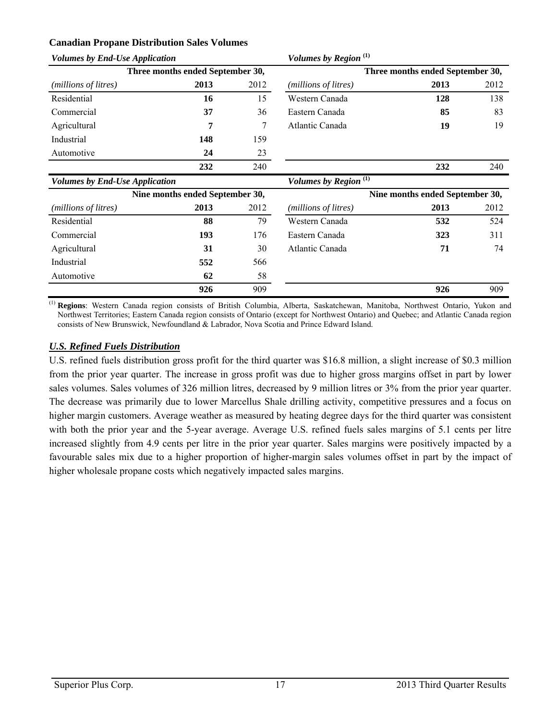|  | <b>Canadian Propane Distribution Sales Volumes</b> |  |
|--|----------------------------------------------------|--|
|  |                                                    |  |

| <b>Volumes by End-Use Application</b> |                                 |      | Volumes by Region <sup>(1)</sup>      |                                  |      |
|---------------------------------------|---------------------------------|------|---------------------------------------|----------------------------------|------|
| Three months ended September 30,      |                                 |      |                                       | Three months ended September 30, |      |
| (millions of litres)                  | 2013                            | 2012 | (millions of litres)                  | 2013                             | 2012 |
| Residential                           | 16                              | 15   | Western Canada                        | 128                              | 138  |
| Commercial                            | 37                              | 36   | Eastern Canada                        | 85                               | 83   |
| Agricultural                          | 7                               | 7    | Atlantic Canada                       | 19                               | 19   |
| Industrial                            | 148                             | 159  |                                       |                                  |      |
| Automotive                            | 24                              | 23   |                                       |                                  |      |
|                                       | 232                             | 240  |                                       | 232                              | 240  |
| <b>Volumes by End-Use Application</b> |                                 |      | Volumes by Region $\overline{^{(1)}}$ |                                  |      |
|                                       | Nine months ended September 30, |      |                                       | Nine months ended September 30,  |      |
| (millions of litres)                  | 2013                            | 2012 | (millions of litres)                  | 2013                             | 2012 |
| Residential                           | 88                              | 79   | Western Canada                        | 532                              | 524  |
| Commercial                            | 193                             | 176  | Eastern Canada                        | 323                              | 311  |
| Agricultural                          | 31                              | 30   | Atlantic Canada                       | 71                               | 74   |
| Industrial                            | 552                             | 566  |                                       |                                  |      |
| Automotive                            | 62                              | 58   |                                       |                                  |      |
|                                       |                                 |      |                                       |                                  |      |

(1) **Regions**: Western Canada region consists of British Columbia, Alberta, Saskatchewan, Manitoba, Northwest Ontario, Yukon and Northwest Territories; Eastern Canada region consists of Ontario (except for Northwest Ontario) and Quebec; and Atlantic Canada region consists of New Brunswick, Newfoundland & Labrador, Nova Scotia and Prince Edward Island.

#### *U.S. Refined Fuels Distribution*

U.S. refined fuels distribution gross profit for the third quarter was \$16.8 million, a slight increase of \$0.3 million from the prior year quarter. The increase in gross profit was due to higher gross margins offset in part by lower sales volumes. Sales volumes of 326 million litres, decreased by 9 million litres or 3% from the prior year quarter. The decrease was primarily due to lower Marcellus Shale drilling activity, competitive pressures and a focus on higher margin customers. Average weather as measured by heating degree days for the third quarter was consistent with both the prior year and the 5-year average. Average U.S. refined fuels sales margins of 5.1 cents per litre increased slightly from 4.9 cents per litre in the prior year quarter. Sales margins were positively impacted by a favourable sales mix due to a higher proportion of higher-margin sales volumes offset in part by the impact of higher wholesale propane costs which negatively impacted sales margins.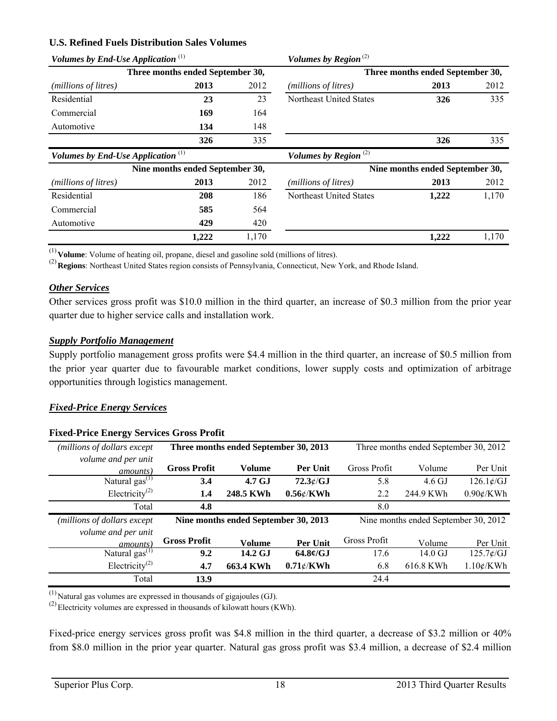#### **U.S. Refined Fuels Distribution Sales Volumes**

| Volumes by End-Use Application $(1)$ |                                  |      | Volumes by Region <sup>(2)</sup> |                                 |       |
|--------------------------------------|----------------------------------|------|----------------------------------|---------------------------------|-------|
|                                      | Three months ended September 30, |      | Three months ended September 30, |                                 |       |
| (millions of litres)                 | 2013                             | 2012 | ( <i>millions of litres</i> )    | 2013                            | 2012  |
| Residential                          | 23                               | 23   | Northeast United States          | 326                             | 335   |
| Commercial                           | 169                              | 164  |                                  |                                 |       |
| Automotive                           | 134                              | 148  |                                  |                                 |       |
|                                      | 326                              | 335  |                                  | 326                             | 335   |
|                                      |                                  |      |                                  |                                 |       |
| Volumes by End-Use Application $(1)$ |                                  |      | Volumes by Region $(2)$          |                                 |       |
|                                      | Nine months ended September 30,  |      |                                  | Nine months ended September 30, |       |
| (millions of litres)                 | 2013                             | 2012 | ( <i>millions of litres</i> )    | 2013                            | 2012  |
| Residential                          | 208                              | 186  | Northeast United States          | 1,222                           | 1,170 |
| Commercial                           | 585                              | 564  |                                  |                                 |       |
| Automotive                           | 429                              | 420  |                                  |                                 |       |

(1)**Volume**: Volume of heating oil, propane, diesel and gasoline sold (millions of litres).

(2)**Regions**: Northeast United States region consists of Pennsylvania, Connecticut, New York, and Rhode Island.

#### *Other Services*

Other services gross profit was \$10.0 million in the third quarter, an increase of \$0.3 million from the prior year quarter due to higher service calls and installation work.

#### *Supply Portfolio Management*

Supply portfolio management gross profits were \$4.4 million in the third quarter, an increase of \$0.5 million from the prior year quarter due to favourable market conditions, lower supply costs and optimization of arbitrage opportunities through logistics management.

## *Fixed-Price Energy Services*

| TIACU THCC EIGHTS FOCE VICES OF 059 THUIL |                     |                                       |                    |              |                                       |                     |  |  |
|-------------------------------------------|---------------------|---------------------------------------|--------------------|--------------|---------------------------------------|---------------------|--|--|
| (millions of dollars except               |                     | Three months ended September 30, 2013 |                    |              | Three months ended September 30, 2012 |                     |  |  |
| volume and per unit                       |                     |                                       |                    |              |                                       |                     |  |  |
| <i>amounts</i> )                          | <b>Gross Profit</b> | <b>Volume</b>                         | Per Unit           | Gross Profit | Volume                                | Per Unit            |  |  |
| Natural $gas(1)$                          | 3.4                 | 4.7 G.I                               | $72.3\ell$ /GJ     | 5.8          | $4.6 \text{ GJ}$                      | $126.1 \text{e/GJ}$ |  |  |
| Electricity <sup>(2)</sup>                | 1.4                 | 248.5 KWh                             | $0.56$ ¢/KWh       | 2.2          | 244.9 KWh                             | $0.90 \times$ /KWh  |  |  |
| Total                                     | 4.8                 |                                       |                    | 8.0          |                                       |                     |  |  |
| (millions of dollars except)              |                     | Nine months ended September 30, 2013  |                    |              | Nine months ended September 30, 2012  |                     |  |  |
| volume and per unit                       |                     |                                       |                    |              |                                       |                     |  |  |
| <i>amounts</i> )                          | <b>Gross Profit</b> | <b>Volume</b>                         | Per Unit           | Gross Profit | Volume                                | Per Unit            |  |  |
| Natural gas $^{(1)}$                      | 9.2                 | 14.2 GJ                               | 64.8c/GJ           | 17.6         | 14.0 GJ                               | $125.7\ell/GJ$      |  |  |
| Electricity <sup>(2)</sup>                | 4.7                 | 663.4 KWh                             | $0.71 \times$ /KWh | 6.8          | 616.8 KWh                             | $1.10\not\in$ /KWh  |  |  |
| Total                                     | 13.9                |                                       |                    | 24.4         |                                       |                     |  |  |

## **Fixed-Price Energy Services Gross Profit**

 $<sup>(1)</sup>$ Natural gas volumes are expressed in thousands of gigajoules (GJ).</sup>

 $(2)$ Electricity volumes are expressed in thousands of kilowatt hours (KWh).

Fixed-price energy services gross profit was \$4.8 million in the third quarter, a decrease of \$3.2 million or 40% from \$8.0 million in the prior year quarter. Natural gas gross profit was \$3.4 million, a decrease of \$2.4 million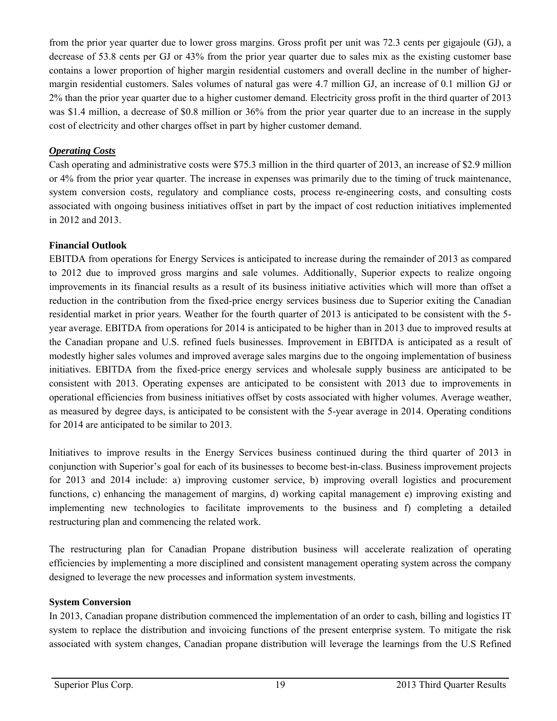from the prior year quarter due to lower gross margins. Gross profit per unit was 72.3 cents per gigajoule (GJ), a decrease of 53.8 cents per GJ or 43% from the prior year quarter due to sales mix as the existing customer base contains a lower proportion of higher margin residential customers and overall decline in the number of highermargin residential customers. Sales volumes of natural gas were 4.7 million GJ, an increase of 0.1 million GJ or 2% than the prior year quarter due to a higher customer demand. Electricity gross profit in the third quarter of 2013 was \$1.4 million, a decrease of \$0.8 million or 36% from the prior year quarter due to an increase in the supply cost of electricity and other charges offset in part by higher customer demand.

#### *Operating Costs*

Cash operating and administrative costs were \$75.3 million in the third quarter of 2013, an increase of \$2.9 million or 4% from the prior year quarter. The increase in expenses was primarily due to the timing of truck maintenance, system conversion costs, regulatory and compliance costs, process re-engineering costs, and consulting costs associated with ongoing business initiatives offset in part by the impact of cost reduction initiatives implemented in 2012 and 2013.

#### **Financial Outlook**

EBITDA from operations for Energy Services is anticipated to increase during the remainder of 2013 as compared to 2012 due to improved gross margins and sale volumes. Additionally, Superior expects to realize ongoing improvements in its financial results as a result of its business initiative activities which will more than offset a reduction in the contribution from the fixed-price energy services business due to Superior exiting the Canadian residential market in prior years. Weather for the fourth quarter of 2013 is anticipated to be consistent with the 5 year average. EBITDA from operations for 2014 is anticipated to be higher than in 2013 due to improved results at the Canadian propane and U.S. refined fuels businesses. Improvement in EBITDA is anticipated as a result of modestly higher sales volumes and improved average sales margins due to the ongoing implementation of business initiatives. EBITDA from the fixed-price energy services and wholesale supply business are anticipated to be consistent with 2013. Operating expenses are anticipated to be consistent with 2013 due to improvements in operational efficiencies from business initiatives offset by costs associated with higher volumes. Average weather, as measured by degree days, is anticipated to be consistent with the 5-year average in 2014. Operating conditions for 2014 are anticipated to be similar to 2013.

Initiatives to improve results in the Energy Services business continued during the third quarter of 2013 in conjunction with Superior's goal for each of its businesses to become best-in-class. Business improvement projects for 2013 and 2014 include: a) improving customer service, b) improving overall logistics and procurement functions, c) enhancing the management of margins, d) working capital management e) improving existing and implementing new technologies to facilitate improvements to the business and f) completing a detailed restructuring plan and commencing the related work.

The restructuring plan for Canadian Propane distribution business will accelerate realization of operating efficiencies by implementing a more disciplined and consistent management operating system across the company designed to leverage the new processes and information system investments.

#### **System Conversion**

In 2013, Canadian propane distribution commenced the implementation of an order to cash, billing and logistics IT system to replace the distribution and invoicing functions of the present enterprise system. To mitigate the risk associated with system changes, Canadian propane distribution will leverage the learnings from the U.S Refined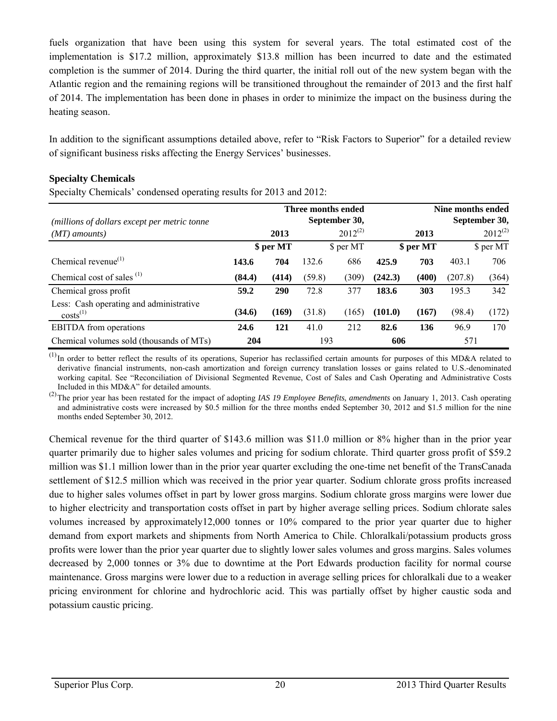fuels organization that have been using this system for several years. The total estimated cost of the implementation is \$17.2 million, approximately \$13.8 million has been incurred to date and the estimated completion is the summer of 2014. During the third quarter, the initial roll out of the new system began with the Atlantic region and the remaining regions will be transitioned throughout the remainder of 2013 and the first half of 2014. The implementation has been done in phases in order to minimize the impact on the business during the heating season.

In addition to the significant assumptions detailed above, refer to "Risk Factors to Superior" for a detailed review of significant business risks affecting the Energy Services' businesses.

#### **Specialty Chemicals**

Specialty Chemicals' condensed operating results for 2013 and 2012:

|                                                          | Three months ended |           |        |               | Nine months ended<br>September 30, |           |         |              |
|----------------------------------------------------------|--------------------|-----------|--------|---------------|------------------------------------|-----------|---------|--------------|
| (millions of dollars except per metric tonne             |                    |           |        | September 30, |                                    |           |         |              |
| $(MT)$ amounts)                                          |                    | 2013      |        | $2012^{(2)}$  |                                    | 2013      |         | $2012^{(2)}$ |
|                                                          |                    | \$ per MT |        | \$ per MT     |                                    | \$ per MT |         | \$ per MT    |
| Chemical revenue $(1)$                                   | 143.6              | 704       | 132.6  | 686           | 425.9                              | 703       | 403.1   | 706          |
| Chemical cost of sales <sup>(1)</sup>                    | (84.4)             | (414)     | (59.8) | (309)         | (242.3)                            | (400)     | (207.8) | (364)        |
| Chemical gross profit                                    | 59.2               | 290       | 72.8   | 377           | 183.6                              | 303       | 195.3   | 342          |
| Less: Cash operating and administrative<br>$costs^{(1)}$ | (34.6)             | (169)     | (31.8) | (165)         | (101.0)                            | (167)     | (98.4)  | (172)        |
| <b>EBITDA</b> from operations                            | 24.6               | 121       | 41.0   | 212           | 82.6                               | 136       | 96.9    | 170          |
| Chemical volumes sold (thousands of MTs)                 | 204                |           | 193    |               | 606                                |           | 571     |              |

 $<sup>(1)</sup>$ In order to better reflect the results of its operations, Superior has reclassified certain amounts for purposes of this MD&A related to</sup> derivative financial instruments, non-cash amortization and foreign currency translation losses or gains related to U.S.-denominated working capital. See "Reconciliation of Divisional Segmented Revenue, Cost of Sales and Cash Operating and Administrative Costs Included in this MD&A" for detailed amounts.

(2) The prior year has been restated for the impact of adopting *IAS 19 Employee Benefits, amendments* on January 1, 2013. Cash operating and administrative costs were increased by \$0.5 million for the three months ended September 30, 2012 and \$1.5 million for the nine months ended September 30, 2012.

Chemical revenue for the third quarter of \$143.6 million was \$11.0 million or 8% higher than in the prior year quarter primarily due to higher sales volumes and pricing for sodium chlorate. Third quarter gross profit of \$59.2 million was \$1.1 million lower than in the prior year quarter excluding the one-time net benefit of the TransCanada settlement of \$12.5 million which was received in the prior year quarter. Sodium chlorate gross profits increased due to higher sales volumes offset in part by lower gross margins. Sodium chlorate gross margins were lower due to higher electricity and transportation costs offset in part by higher average selling prices. Sodium chlorate sales volumes increased by approximately12,000 tonnes or 10% compared to the prior year quarter due to higher demand from export markets and shipments from North America to Chile. Chloralkali/potassium products gross profits were lower than the prior year quarter due to slightly lower sales volumes and gross margins. Sales volumes decreased by 2,000 tonnes or 3% due to downtime at the Port Edwards production facility for normal course maintenance. Gross margins were lower due to a reduction in average selling prices for chloralkali due to a weaker pricing environment for chlorine and hydrochloric acid. This was partially offset by higher caustic soda and potassium caustic pricing.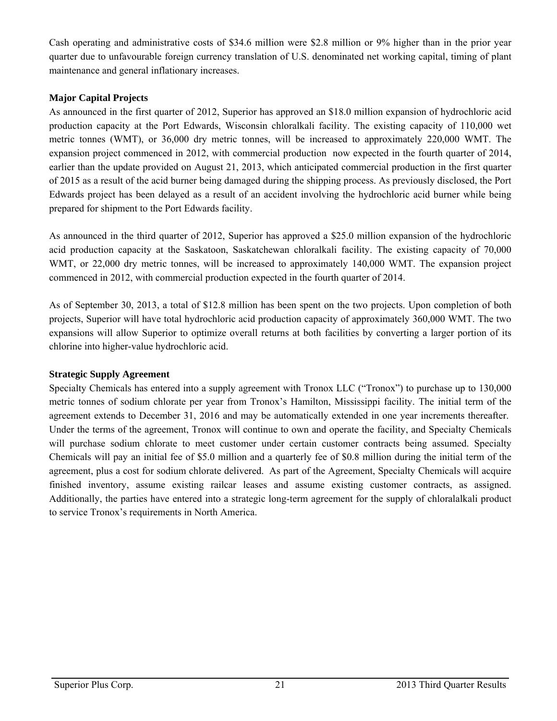Cash operating and administrative costs of \$34.6 million were \$2.8 million or 9% higher than in the prior year quarter due to unfavourable foreign currency translation of U.S. denominated net working capital, timing of plant maintenance and general inflationary increases.

## **Major Capital Projects**

As announced in the first quarter of 2012, Superior has approved an \$18.0 million expansion of hydrochloric acid production capacity at the Port Edwards, Wisconsin chloralkali facility. The existing capacity of 110,000 wet metric tonnes (WMT), or 36,000 dry metric tonnes, will be increased to approximately 220,000 WMT. The expansion project commenced in 2012, with commercial production now expected in the fourth quarter of 2014, earlier than the update provided on August 21, 2013, which anticipated commercial production in the first quarter of 2015 as a result of the acid burner being damaged during the shipping process. As previously disclosed, the Port Edwards project has been delayed as a result of an accident involving the hydrochloric acid burner while being prepared for shipment to the Port Edwards facility.

As announced in the third quarter of 2012, Superior has approved a \$25.0 million expansion of the hydrochloric acid production capacity at the Saskatoon, Saskatchewan chloralkali facility. The existing capacity of 70,000 WMT, or 22,000 dry metric tonnes, will be increased to approximately 140,000 WMT. The expansion project commenced in 2012, with commercial production expected in the fourth quarter of 2014.

As of September 30, 2013, a total of \$12.8 million has been spent on the two projects. Upon completion of both projects, Superior will have total hydrochloric acid production capacity of approximately 360,000 WMT. The two expansions will allow Superior to optimize overall returns at both facilities by converting a larger portion of its chlorine into higher-value hydrochloric acid.

#### **Strategic Supply Agreement**

Specialty Chemicals has entered into a supply agreement with Tronox LLC ("Tronox") to purchase up to 130,000 metric tonnes of sodium chlorate per year from Tronox's Hamilton, Mississippi facility. The initial term of the agreement extends to December 31, 2016 and may be automatically extended in one year increments thereafter. Under the terms of the agreement, Tronox will continue to own and operate the facility, and Specialty Chemicals will purchase sodium chlorate to meet customer under certain customer contracts being assumed. Specialty Chemicals will pay an initial fee of \$5.0 million and a quarterly fee of \$0.8 million during the initial term of the agreement, plus a cost for sodium chlorate delivered. As part of the Agreement, Specialty Chemicals will acquire finished inventory, assume existing railcar leases and assume existing customer contracts, as assigned. Additionally, the parties have entered into a strategic long-term agreement for the supply of chloralalkali product to service Tronox's requirements in North America.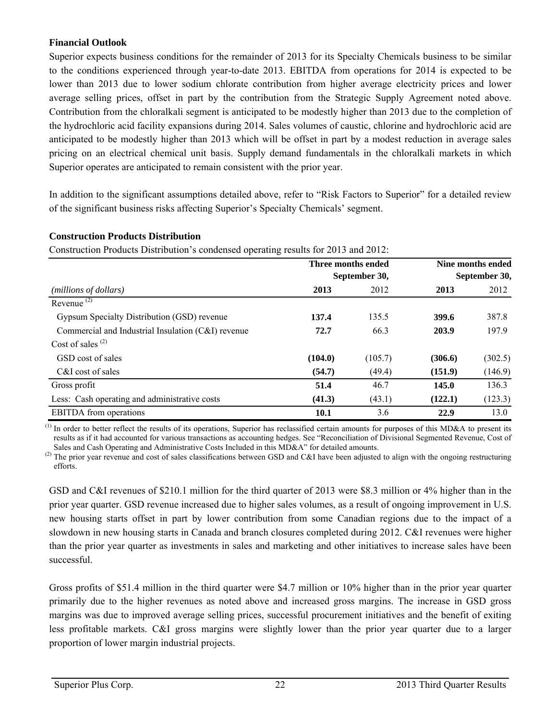#### **Financial Outlook**

Superior expects business conditions for the remainder of 2013 for its Specialty Chemicals business to be similar to the conditions experienced through year-to-date 2013. EBITDA from operations for 2014 is expected to be lower than 2013 due to lower sodium chlorate contribution from higher average electricity prices and lower average selling prices, offset in part by the contribution from the Strategic Supply Agreement noted above. Contribution from the chloralkali segment is anticipated to be modestly higher than 2013 due to the completion of the hydrochloric acid facility expansions during 2014. Sales volumes of caustic, chlorine and hydrochloric acid are anticipated to be modestly higher than 2013 which will be offset in part by a modest reduction in average sales pricing on an electrical chemical unit basis. Supply demand fundamentals in the chloralkali markets in which Superior operates are anticipated to remain consistent with the prior year.

In addition to the significant assumptions detailed above, refer to "Risk Factors to Superior" for a detailed review of the significant business risks affecting Superior's Specialty Chemicals' segment.

| Construction Products Distribution's condensed operating results for 2013 and 2012: |                    |               |                                    |         |  |
|-------------------------------------------------------------------------------------|--------------------|---------------|------------------------------------|---------|--|
|                                                                                     | Three months ended |               | Nine months ended<br>September 30, |         |  |
|                                                                                     |                    | September 30, |                                    |         |  |
| (millions of dollars)                                                               | 2013               | 2012          | 2013                               | 2012    |  |
| Revenue $(2)$                                                                       |                    |               |                                    |         |  |
| Gypsum Specialty Distribution (GSD) revenue                                         | 137.4              | 135.5         | 399.6                              | 387.8   |  |
| Commercial and Industrial Insulation (C&I) revenue                                  | 72.7               | 66.3          | 203.9                              | 197.9   |  |
| Cost of sales $(2)$                                                                 |                    |               |                                    |         |  |
| GSD cost of sales                                                                   | (104.0)            | (105.7)       | (306.6)                            | (302.5) |  |
| C&I cost of sales                                                                   | (54.7)             | (49.4)        | (151.9)                            | (146.9) |  |
| Gross profit                                                                        | 51.4               | 46.7          | 145.0                              | 136.3   |  |
| Less: Cash operating and administrative costs                                       | (41.3)             | (43.1)        | (122.1)                            | (123.3) |  |
| EBITDA from operations                                                              | 10.1               | 3.6           | 22.9                               | 13.0    |  |

#### **Construction Products Distribution**

Construction Products Distribution's condensed operating results for 2013 and 2012:

<sup>(1)</sup> In order to better reflect the results of its operations, Superior has reclassified certain amounts for purposes of this MD&A to present its results as if it had accounted for various transactions as accounting hedges. See "Reconciliation of Divisional Segmented Revenue, Cost of Sales and Cash Operating and Administrative Costs Included in this MD&A" for detailed amounts.

<sup>(2)</sup> The prior year revenue and cost of sales classifications between GSD and C&I have been adjusted to align with the ongoing restructuring efforts.

GSD and C&I revenues of \$210.1 million for the third quarter of 2013 were \$8.3 million or 4% higher than in the prior year quarter. GSD revenue increased due to higher sales volumes, as a result of ongoing improvement in U.S. new housing starts offset in part by lower contribution from some Canadian regions due to the impact of a slowdown in new housing starts in Canada and branch closures completed during 2012. C&I revenues were higher than the prior year quarter as investments in sales and marketing and other initiatives to increase sales have been successful.

Gross profits of \$51.4 million in the third quarter were \$4.7 million or 10% higher than in the prior year quarter primarily due to the higher revenues as noted above and increased gross margins. The increase in GSD gross margins was due to improved average selling prices, successful procurement initiatives and the benefit of exiting less profitable markets. C&I gross margins were slightly lower than the prior year quarter due to a larger proportion of lower margin industrial projects.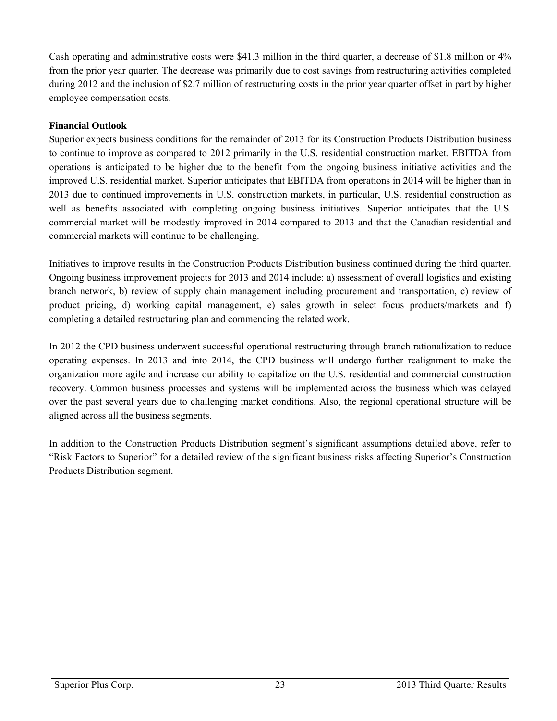Cash operating and administrative costs were \$41.3 million in the third quarter, a decrease of \$1.8 million or 4% from the prior year quarter. The decrease was primarily due to cost savings from restructuring activities completed during 2012 and the inclusion of \$2.7 million of restructuring costs in the prior year quarter offset in part by higher employee compensation costs.

#### **Financial Outlook**

Superior expects business conditions for the remainder of 2013 for its Construction Products Distribution business to continue to improve as compared to 2012 primarily in the U.S. residential construction market. EBITDA from operations is anticipated to be higher due to the benefit from the ongoing business initiative activities and the improved U.S. residential market. Superior anticipates that EBITDA from operations in 2014 will be higher than in 2013 due to continued improvements in U.S. construction markets, in particular, U.S. residential construction as well as benefits associated with completing ongoing business initiatives. Superior anticipates that the U.S. commercial market will be modestly improved in 2014 compared to 2013 and that the Canadian residential and commercial markets will continue to be challenging.

Initiatives to improve results in the Construction Products Distribution business continued during the third quarter. Ongoing business improvement projects for 2013 and 2014 include: a) assessment of overall logistics and existing branch network, b) review of supply chain management including procurement and transportation, c) review of product pricing, d) working capital management, e) sales growth in select focus products/markets and f) completing a detailed restructuring plan and commencing the related work.

In 2012 the CPD business underwent successful operational restructuring through branch rationalization to reduce operating expenses. In 2013 and into 2014, the CPD business will undergo further realignment to make the organization more agile and increase our ability to capitalize on the U.S. residential and commercial construction recovery. Common business processes and systems will be implemented across the business which was delayed over the past several years due to challenging market conditions. Also, the regional operational structure will be aligned across all the business segments.

In addition to the Construction Products Distribution segment's significant assumptions detailed above, refer to "Risk Factors to Superior" for a detailed review of the significant business risks affecting Superior's Construction Products Distribution segment.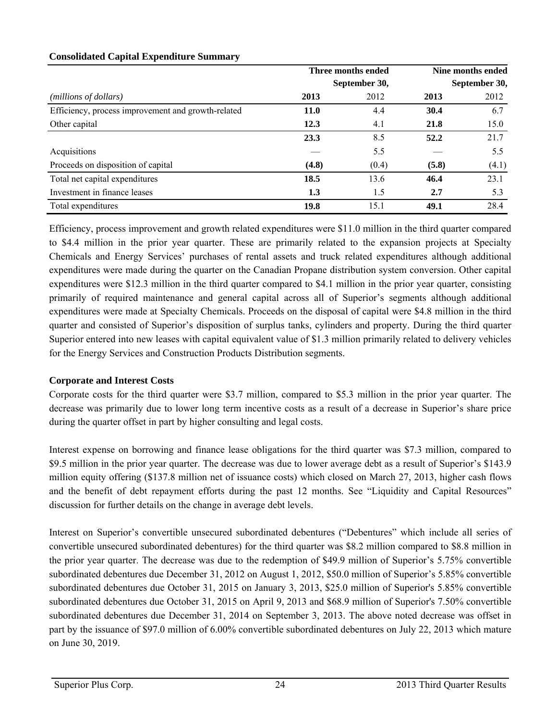|                                                    |               | Three months ended | Nine months ended |       |  |
|----------------------------------------------------|---------------|--------------------|-------------------|-------|--|
|                                                    | September 30, | September 30,      |                   |       |  |
| (millions of dollars)                              | 2013          | 2012               | 2013              | 2012  |  |
| Efficiency, process improvement and growth-related | <b>11.0</b>   | 4.4                | 30.4              | 6.7   |  |
| Other capital                                      | 12.3          | 4.1                | 21.8              | 15.0  |  |
|                                                    | 23.3          | 8.5                | 52.2              | 21.7  |  |
| Acquisitions                                       |               | 5.5                |                   | 5.5   |  |
| Proceeds on disposition of capital                 | (4.8)         | (0.4)              | (5.8)             | (4.1) |  |
| Total net capital expenditures                     | 18.5          | 13.6               | 46.4              | 23.1  |  |
| Investment in finance leases                       | 1.3           | 1.5                | 2.7               | 5.3   |  |
| Total expenditures                                 | 19.8          | 15.1               | 49.1              | 28.4  |  |

#### **Consolidated Capital Expenditure Summary**

Efficiency, process improvement and growth related expenditures were \$11.0 million in the third quarter compared to \$4.4 million in the prior year quarter. These are primarily related to the expansion projects at Specialty Chemicals and Energy Services' purchases of rental assets and truck related expenditures although additional expenditures were made during the quarter on the Canadian Propane distribution system conversion. Other capital expenditures were \$12.3 million in the third quarter compared to \$4.1 million in the prior year quarter, consisting primarily of required maintenance and general capital across all of Superior's segments although additional expenditures were made at Specialty Chemicals. Proceeds on the disposal of capital were \$4.8 million in the third quarter and consisted of Superior's disposition of surplus tanks, cylinders and property. During the third quarter Superior entered into new leases with capital equivalent value of \$1.3 million primarily related to delivery vehicles for the Energy Services and Construction Products Distribution segments.

## **Corporate and Interest Costs**

Corporate costs for the third quarter were \$3.7 million, compared to \$5.3 million in the prior year quarter. The decrease was primarily due to lower long term incentive costs as a result of a decrease in Superior's share price during the quarter offset in part by higher consulting and legal costs.

Interest expense on borrowing and finance lease obligations for the third quarter was \$7.3 million, compared to \$9.5 million in the prior year quarter. The decrease was due to lower average debt as a result of Superior's \$143.9 million equity offering (\$137.8 million net of issuance costs) which closed on March 27, 2013, higher cash flows and the benefit of debt repayment efforts during the past 12 months. See "Liquidity and Capital Resources" discussion for further details on the change in average debt levels.

Interest on Superior's convertible unsecured subordinated debentures ("Debentures" which include all series of convertible unsecured subordinated debentures) for the third quarter was \$8.2 million compared to \$8.8 million in the prior year quarter. The decrease was due to the redemption of \$49.9 million of Superior's 5.75% convertible subordinated debentures due December 31, 2012 on August 1, 2012, \$50.0 million of Superior's 5.85% convertible subordinated debentures due October 31, 2015 on January 3, 2013, \$25.0 million of Superior's 5.85% convertible subordinated debentures due October 31, 2015 on April 9, 2013 and \$68.9 million of Superior's 7.50% convertible subordinated debentures due December 31, 2014 on September 3, 2013. The above noted decrease was offset in part by the issuance of \$97.0 million of 6.00% convertible subordinated debentures on July 22, 2013 which mature on June 30, 2019.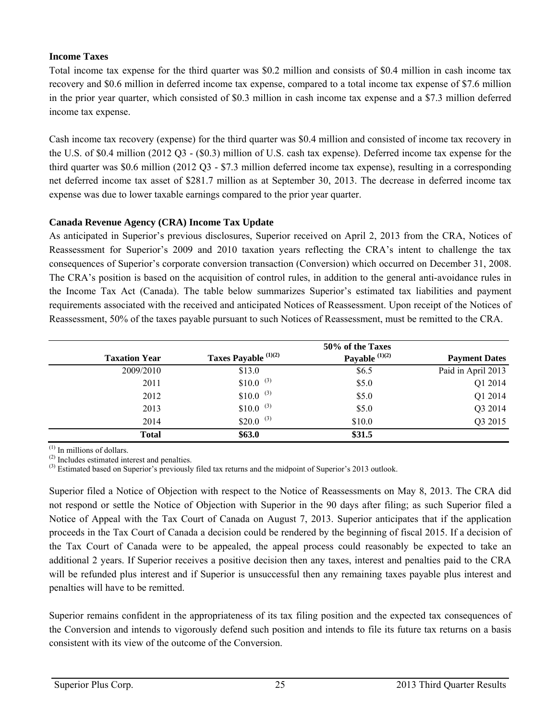#### **Income Taxes**

Total income tax expense for the third quarter was \$0.2 million and consists of \$0.4 million in cash income tax recovery and \$0.6 million in deferred income tax expense, compared to a total income tax expense of \$7.6 million in the prior year quarter, which consisted of \$0.3 million in cash income tax expense and a \$7.3 million deferred income tax expense.

Cash income tax recovery (expense) for the third quarter was \$0.4 million and consisted of income tax recovery in the U.S. of \$0.4 million (2012 Q3 - (\$0.3) million of U.S. cash tax expense). Deferred income tax expense for the third quarter was \$0.6 million (2012 Q3 - \$7.3 million deferred income tax expense), resulting in a corresponding net deferred income tax asset of \$281.7 million as at September 30, 2013. The decrease in deferred income tax expense was due to lower taxable earnings compared to the prior year quarter.

## **Canada Revenue Agency (CRA) Income Tax Update**

As anticipated in Superior's previous disclosures, Superior received on April 2, 2013 from the CRA, Notices of Reassessment for Superior's 2009 and 2010 taxation years reflecting the CRA's intent to challenge the tax consequences of Superior's corporate conversion transaction (Conversion) which occurred on December 31, 2008. The CRA's position is based on the acquisition of control rules, in addition to the general anti-avoidance rules in the Income Tax Act (Canada). The table below summarizes Superior's estimated tax liabilities and payment requirements associated with the received and anticipated Notices of Reassessment. Upon receipt of the Notices of Reassessment, 50% of the taxes payable pursuant to such Notices of Reassessment, must be remitted to the CRA.

|                      |                        | 50% of the Taxes    |                      |
|----------------------|------------------------|---------------------|----------------------|
| <b>Taxation Year</b> | Taxes Payable (1)(2)   | Payable $^{(1)(2)}$ | <b>Payment Dates</b> |
| 2009/2010            | \$13.0                 | \$6.5               | Paid in April 2013   |
| 2011                 | $$10.0$ <sup>(3)</sup> | \$5.0               | Q1 2014              |
| 2012                 | $$10.0$ <sup>(3)</sup> | \$5.0               | Q1 2014              |
| 2013                 | $$10.0$ <sup>(3)</sup> | \$5.0               | Q3 2014              |
| 2014                 | $$20.0$ <sup>(3)</sup> | \$10.0              | Q3 2015              |
| <b>Total</b>         | \$63.0                 | \$31.5              |                      |

(1) In millions of dollars.

(2) Includes estimated interest and penalties.

 $^{(3)}$  Estimated based on Superior's previously filed tax returns and the midpoint of Superior's 2013 outlook.

Superior filed a Notice of Objection with respect to the Notice of Reassessments on May 8, 2013. The CRA did not respond or settle the Notice of Objection with Superior in the 90 days after filing; as such Superior filed a Notice of Appeal with the Tax Court of Canada on August 7, 2013. Superior anticipates that if the application proceeds in the Tax Court of Canada a decision could be rendered by the beginning of fiscal 2015. If a decision of the Tax Court of Canada were to be appealed, the appeal process could reasonably be expected to take an additional 2 years. If Superior receives a positive decision then any taxes, interest and penalties paid to the CRA will be refunded plus interest and if Superior is unsuccessful then any remaining taxes payable plus interest and penalties will have to be remitted.

Superior remains confident in the appropriateness of its tax filing position and the expected tax consequences of the Conversion and intends to vigorously defend such position and intends to file its future tax returns on a basis consistent with its view of the outcome of the Conversion.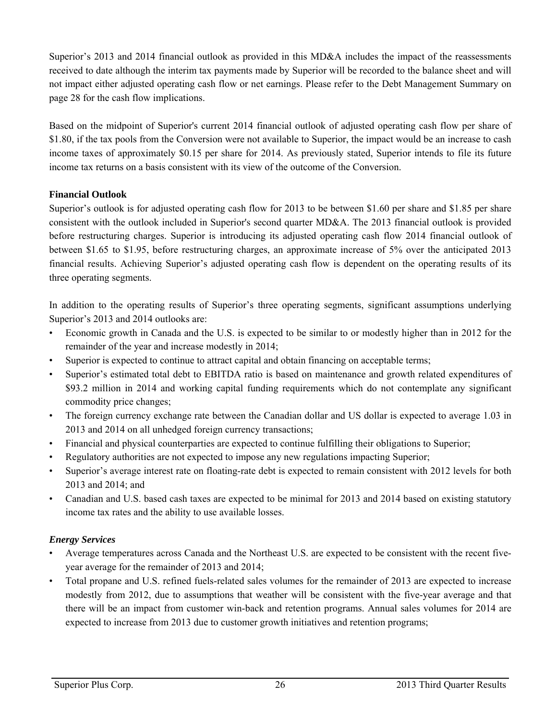Superior's 2013 and 2014 financial outlook as provided in this MD&A includes the impact of the reassessments received to date although the interim tax payments made by Superior will be recorded to the balance sheet and will not impact either adjusted operating cash flow or net earnings. Please refer to the Debt Management Summary on page 28 for the cash flow implications.

Based on the midpoint of Superior's current 2014 financial outlook of adjusted operating cash flow per share of \$1.80, if the tax pools from the Conversion were not available to Superior, the impact would be an increase to cash income taxes of approximately \$0.15 per share for 2014. As previously stated, Superior intends to file its future income tax returns on a basis consistent with its view of the outcome of the Conversion.

#### **Financial Outlook**

Superior's outlook is for adjusted operating cash flow for 2013 to be between \$1.60 per share and \$1.85 per share consistent with the outlook included in Superior's second quarter MD&A. The 2013 financial outlook is provided before restructuring charges. Superior is introducing its adjusted operating cash flow 2014 financial outlook of between \$1.65 to \$1.95, before restructuring charges, an approximate increase of 5% over the anticipated 2013 financial results. Achieving Superior's adjusted operating cash flow is dependent on the operating results of its three operating segments.

In addition to the operating results of Superior's three operating segments, significant assumptions underlying Superior's 2013 and 2014 outlooks are:

- Economic growth in Canada and the U.S. is expected to be similar to or modestly higher than in 2012 for the remainder of the year and increase modestly in 2014;
- Superior is expected to continue to attract capital and obtain financing on acceptable terms;
- Superior's estimated total debt to EBITDA ratio is based on maintenance and growth related expenditures of \$93.2 million in 2014 and working capital funding requirements which do not contemplate any significant commodity price changes;
- The foreign currency exchange rate between the Canadian dollar and US dollar is expected to average 1.03 in 2013 and 2014 on all unhedged foreign currency transactions;
- Financial and physical counterparties are expected to continue fulfilling their obligations to Superior;
- Regulatory authorities are not expected to impose any new regulations impacting Superior;
- Superior's average interest rate on floating-rate debt is expected to remain consistent with 2012 levels for both 2013 and 2014; and
- Canadian and U.S. based cash taxes are expected to be minimal for 2013 and 2014 based on existing statutory income tax rates and the ability to use available losses.

## *Energy Services*

- Average temperatures across Canada and the Northeast U.S. are expected to be consistent with the recent fiveyear average for the remainder of 2013 and 2014;
- Total propane and U.S. refined fuels-related sales volumes for the remainder of 2013 are expected to increase modestly from 2012, due to assumptions that weather will be consistent with the five-year average and that there will be an impact from customer win-back and retention programs. Annual sales volumes for 2014 are expected to increase from 2013 due to customer growth initiatives and retention programs;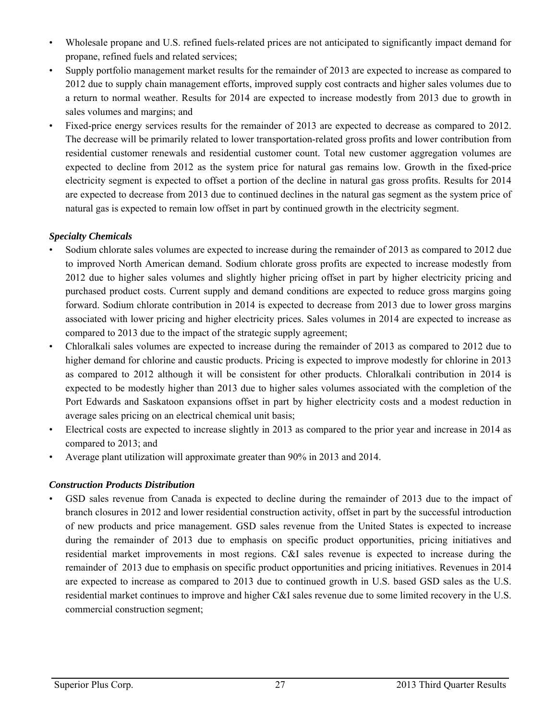- Wholesale propane and U.S. refined fuels-related prices are not anticipated to significantly impact demand for propane, refined fuels and related services;
- Supply portfolio management market results for the remainder of 2013 are expected to increase as compared to 2012 due to supply chain management efforts, improved supply cost contracts and higher sales volumes due to a return to normal weather. Results for 2014 are expected to increase modestly from 2013 due to growth in sales volumes and margins; and
- Fixed-price energy services results for the remainder of 2013 are expected to decrease as compared to 2012. The decrease will be primarily related to lower transportation-related gross profits and lower contribution from residential customer renewals and residential customer count. Total new customer aggregation volumes are expected to decline from 2012 as the system price for natural gas remains low. Growth in the fixed-price electricity segment is expected to offset a portion of the decline in natural gas gross profits. Results for 2014 are expected to decrease from 2013 due to continued declines in the natural gas segment as the system price of natural gas is expected to remain low offset in part by continued growth in the electricity segment.

## *Specialty Chemicals*

- Sodium chlorate sales volumes are expected to increase during the remainder of 2013 as compared to 2012 due to improved North American demand. Sodium chlorate gross profits are expected to increase modestly from 2012 due to higher sales volumes and slightly higher pricing offset in part by higher electricity pricing and purchased product costs. Current supply and demand conditions are expected to reduce gross margins going forward. Sodium chlorate contribution in 2014 is expected to decrease from 2013 due to lower gross margins associated with lower pricing and higher electricity prices. Sales volumes in 2014 are expected to increase as compared to 2013 due to the impact of the strategic supply agreement;
- Chloralkali sales volumes are expected to increase during the remainder of 2013 as compared to 2012 due to higher demand for chlorine and caustic products. Pricing is expected to improve modestly for chlorine in 2013 as compared to 2012 although it will be consistent for other products. Chloralkali contribution in 2014 is expected to be modestly higher than 2013 due to higher sales volumes associated with the completion of the Port Edwards and Saskatoon expansions offset in part by higher electricity costs and a modest reduction in average sales pricing on an electrical chemical unit basis;
- Electrical costs are expected to increase slightly in 2013 as compared to the prior year and increase in 2014 as compared to 2013; and
- Average plant utilization will approximate greater than 90% in 2013 and 2014.

## *Construction Products Distribution*

GSD sales revenue from Canada is expected to decline during the remainder of 2013 due to the impact of branch closures in 2012 and lower residential construction activity, offset in part by the successful introduction of new products and price management. GSD sales revenue from the United States is expected to increase during the remainder of 2013 due to emphasis on specific product opportunities, pricing initiatives and residential market improvements in most regions. C&I sales revenue is expected to increase during the remainder of 2013 due to emphasis on specific product opportunities and pricing initiatives. Revenues in 2014 are expected to increase as compared to 2013 due to continued growth in U.S. based GSD sales as the U.S. residential market continues to improve and higher C&I sales revenue due to some limited recovery in the U.S. commercial construction segment;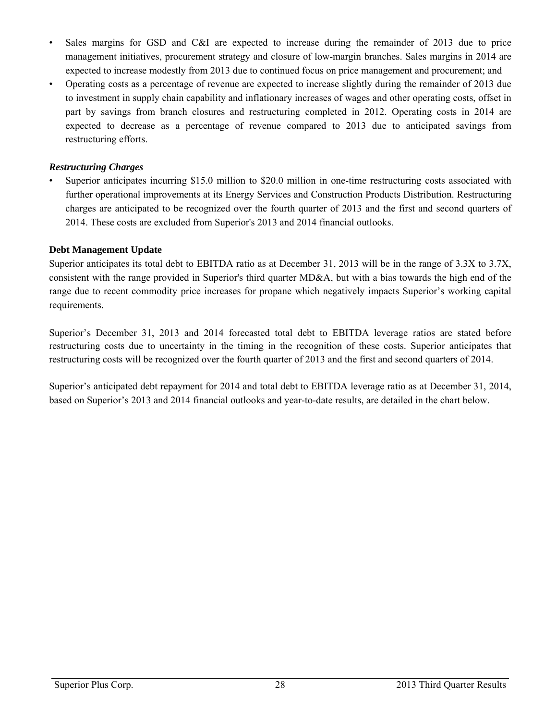- Sales margins for GSD and C&I are expected to increase during the remainder of 2013 due to price management initiatives, procurement strategy and closure of low-margin branches. Sales margins in 2014 are expected to increase modestly from 2013 due to continued focus on price management and procurement; and
- Operating costs as a percentage of revenue are expected to increase slightly during the remainder of 2013 due to investment in supply chain capability and inflationary increases of wages and other operating costs, offset in part by savings from branch closures and restructuring completed in 2012. Operating costs in 2014 are expected to decrease as a percentage of revenue compared to 2013 due to anticipated savings from restructuring efforts.

#### *Restructuring Charges*

• Superior anticipates incurring \$15.0 million to \$20.0 million in one-time restructuring costs associated with further operational improvements at its Energy Services and Construction Products Distribution. Restructuring charges are anticipated to be recognized over the fourth quarter of 2013 and the first and second quarters of 2014. These costs are excluded from Superior's 2013 and 2014 financial outlooks.

## **Debt Management Update**

Superior anticipates its total debt to EBITDA ratio as at December 31, 2013 will be in the range of 3.3X to 3.7X, consistent with the range provided in Superior's third quarter MD&A, but with a bias towards the high end of the range due to recent commodity price increases for propane which negatively impacts Superior's working capital requirements.

Superior's December 31, 2013 and 2014 forecasted total debt to EBITDA leverage ratios are stated before restructuring costs due to uncertainty in the timing in the recognition of these costs. Superior anticipates that restructuring costs will be recognized over the fourth quarter of 2013 and the first and second quarters of 2014.

Superior's anticipated debt repayment for 2014 and total debt to EBITDA leverage ratio as at December 31, 2014, based on Superior's 2013 and 2014 financial outlooks and year-to-date results, are detailed in the chart below.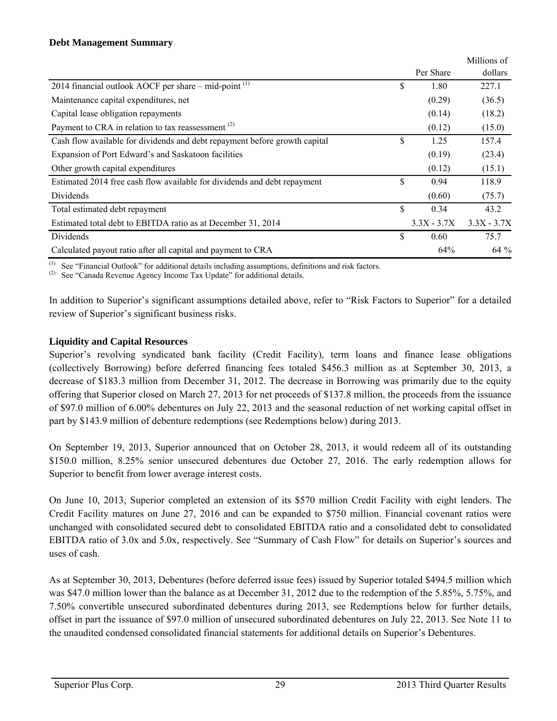|                                                                            |               | Millions of   |
|----------------------------------------------------------------------------|---------------|---------------|
|                                                                            | Per Share     | dollars       |
| 2014 financial outlook AOCF per share – mid-point $(1)$                    | \$<br>1.80    | 227.1         |
| Maintenance capital expenditures, net                                      | (0.29)        | (36.5)        |
| Capital lease obligation repayments                                        | (0.14)        | (18.2)        |
| Payment to CRA in relation to tax reassessment $^{(2)}$                    | (0.12)        | (15.0)        |
| Cash flow available for dividends and debt repayment before growth capital | \$<br>1.25    | 157.4         |
| Expansion of Port Edward's and Saskatoon facilities                        | (0.19)        | (23.4)        |
| Other growth capital expenditures                                          | (0.12)        | (15.1)        |
| Estimated 2014 free cash flow available for dividends and debt repayment   | \$<br>0.94    | 118.9         |
| <b>Dividends</b>                                                           | (0.60)        | (75.7)        |
| Total estimated debt repayment                                             | \$<br>0.34    | 43.2          |
| Estimated total debt to EBITDA ratio as at December 31, 2014               | $3.3X - 3.7X$ | $3.3X - 3.7X$ |
| Dividends                                                                  | \$<br>0.60    | 75.7          |
| Calculated payout ratio after all capital and payment to CRA               | 64%           | $64\%$        |

(1) See "Financial Outlook" for additional details including assumptions, definitions and risk factors.

See "Canada Revenue Agency Income Tax Update" for additional details.

In addition to Superior's significant assumptions detailed above, refer to "Risk Factors to Superior" for a detailed review of Superior's significant business risks.

#### **Liquidity and Capital Resources**

Superior's revolving syndicated bank facility (Credit Facility), term loans and finance lease obligations (collectively Borrowing) before deferred financing fees totaled \$456.3 million as at September 30, 2013, a decrease of \$183.3 million from December 31, 2012. The decrease in Borrowing was primarily due to the equity offering that Superior closed on March 27, 2013 for net proceeds of \$137.8 million, the proceeds from the issuance of \$97.0 million of 6.00% debentures on July 22, 2013 and the seasonal reduction of net working capital offset in part by \$143.9 million of debenture redemptions (see Redemptions below) during 2013.

On September 19, 2013, Superior announced that on October 28, 2013, it would redeem all of its outstanding \$150.0 million, 8.25% senior unsecured debentures due October 27, 2016. The early redemption allows for Superior to benefit from lower average interest costs.

On June 10, 2013, Superior completed an extension of its \$570 million Credit Facility with eight lenders. The Credit Facility matures on June 27, 2016 and can be expanded to \$750 million. Financial covenant ratios were unchanged with consolidated secured debt to consolidated EBITDA ratio and a consolidated debt to consolidated EBITDA ratio of 3.0x and 5.0x, respectively. See "Summary of Cash Flow" for details on Superior's sources and uses of cash.

As at September 30, 2013, Debentures (before deferred issue fees) issued by Superior totaled \$494.5 million which was \$47.0 million lower than the balance as at December 31, 2012 due to the redemption of the 5.85%, 5.75%, and 7.50% convertible unsecured subordinated debentures during 2013, see Redemptions below for further details, offset in part the issuance of \$97.0 million of unsecured subordinated debentures on July 22, 2013. See Note 11 to the unaudited condensed consolidated financial statements for additional details on Superior's Debentures.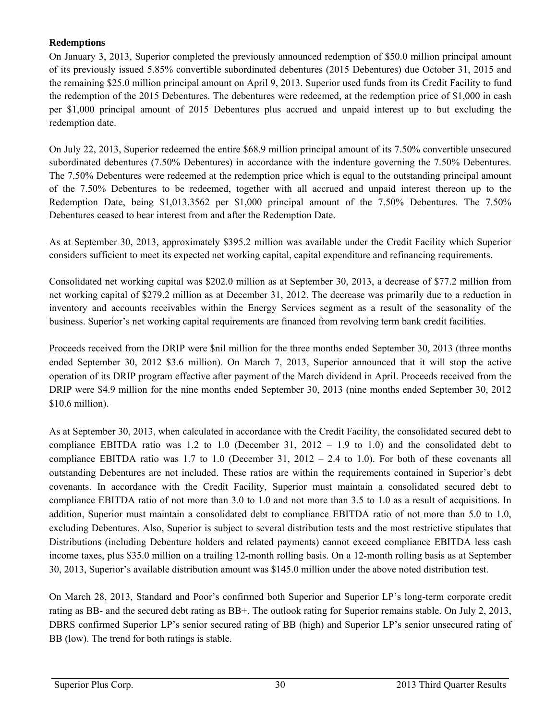## **Redemptions**

On January 3, 2013, Superior completed the previously announced redemption of \$50.0 million principal amount of its previously issued 5.85% convertible subordinated debentures (2015 Debentures) due October 31, 2015 and the remaining \$25.0 million principal amount on April 9, 2013. Superior used funds from its Credit Facility to fund the redemption of the 2015 Debentures. The debentures were redeemed, at the redemption price of \$1,000 in cash per \$1,000 principal amount of 2015 Debentures plus accrued and unpaid interest up to but excluding the redemption date.

On July 22, 2013, Superior redeemed the entire \$68.9 million principal amount of its 7.50% convertible unsecured subordinated debentures (7.50% Debentures) in accordance with the indenture governing the 7.50% Debentures. The 7.50% Debentures were redeemed at the redemption price which is equal to the outstanding principal amount of the 7.50% Debentures to be redeemed, together with all accrued and unpaid interest thereon up to the Redemption Date, being \$1,013.3562 per \$1,000 principal amount of the 7.50% Debentures. The 7.50% Debentures ceased to bear interest from and after the Redemption Date.

As at September 30, 2013, approximately \$395.2 million was available under the Credit Facility which Superior considers sufficient to meet its expected net working capital, capital expenditure and refinancing requirements.

Consolidated net working capital was \$202.0 million as at September 30, 2013, a decrease of \$77.2 million from net working capital of \$279.2 million as at December 31, 2012. The decrease was primarily due to a reduction in inventory and accounts receivables within the Energy Services segment as a result of the seasonality of the business. Superior's net working capital requirements are financed from revolving term bank credit facilities.

Proceeds received from the DRIP were \$nil million for the three months ended September 30, 2013 (three months ended September 30, 2012 \$3.6 million). On March 7, 2013, Superior announced that it will stop the active operation of its DRIP program effective after payment of the March dividend in April. Proceeds received from the DRIP were \$4.9 million for the nine months ended September 30, 2013 (nine months ended September 30, 2012 \$10.6 million).

As at September 30, 2013, when calculated in accordance with the Credit Facility, the consolidated secured debt to compliance EBITDA ratio was 1.2 to 1.0 (December 31,  $2012 - 1.9$  to 1.0) and the consolidated debt to compliance EBITDA ratio was  $1.7$  to  $1.0$  (December 31,  $2012 - 2.4$  to 1.0). For both of these covenants all outstanding Debentures are not included. These ratios are within the requirements contained in Superior's debt covenants. In accordance with the Credit Facility, Superior must maintain a consolidated secured debt to compliance EBITDA ratio of not more than 3.0 to 1.0 and not more than 3.5 to 1.0 as a result of acquisitions. In addition, Superior must maintain a consolidated debt to compliance EBITDA ratio of not more than 5.0 to 1.0, excluding Debentures. Also, Superior is subject to several distribution tests and the most restrictive stipulates that Distributions (including Debenture holders and related payments) cannot exceed compliance EBITDA less cash income taxes, plus \$35.0 million on a trailing 12-month rolling basis. On a 12-month rolling basis as at September 30, 2013, Superior's available distribution amount was \$145.0 million under the above noted distribution test.

On March 28, 2013, Standard and Poor's confirmed both Superior and Superior LP's long-term corporate credit rating as BB- and the secured debt rating as BB+. The outlook rating for Superior remains stable. On July 2, 2013, DBRS confirmed Superior LP's senior secured rating of BB (high) and Superior LP's senior unsecured rating of BB (low). The trend for both ratings is stable.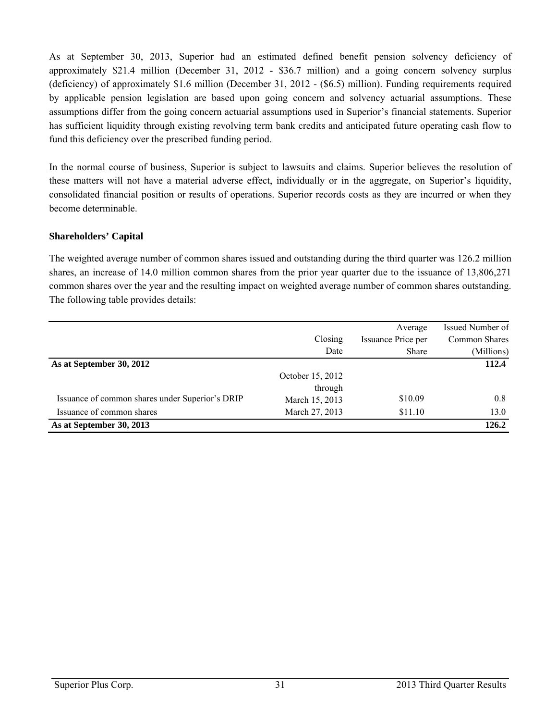As at September 30, 2013, Superior had an estimated defined benefit pension solvency deficiency of approximately \$21.4 million (December 31, 2012 - \$36.7 million) and a going concern solvency surplus (deficiency) of approximately \$1.6 million (December 31, 2012 - (\$6.5) million). Funding requirements required by applicable pension legislation are based upon going concern and solvency actuarial assumptions. These assumptions differ from the going concern actuarial assumptions used in Superior's financial statements. Superior has sufficient liquidity through existing revolving term bank credits and anticipated future operating cash flow to fund this deficiency over the prescribed funding period.

In the normal course of business, Superior is subject to lawsuits and claims. Superior believes the resolution of these matters will not have a material adverse effect, individually or in the aggregate, on Superior's liquidity, consolidated financial position or results of operations. Superior records costs as they are incurred or when they become determinable.

#### **Shareholders' Capital**

The weighted average number of common shares issued and outstanding during the third quarter was 126.2 million shares, an increase of 14.0 million common shares from the prior year quarter due to the issuance of 13,806,271 common shares over the year and the resulting impact on weighted average number of common shares outstanding. The following table provides details:

|                                                 |                  | Average            | Issued Number of     |
|-------------------------------------------------|------------------|--------------------|----------------------|
|                                                 | Closing          | Issuance Price per | <b>Common Shares</b> |
|                                                 | Date             | <b>Share</b>       | (Millions)           |
| As at September 30, 2012                        |                  |                    | 112.4                |
|                                                 | October 15, 2012 |                    |                      |
|                                                 | through          |                    |                      |
| Issuance of common shares under Superior's DRIP | March 15, 2013   | \$10.09            | 0.8                  |
| Issuance of common shares                       | March 27, 2013   | \$11.10            | 13.0                 |
| As at September 30, 2013                        |                  |                    | 126.2                |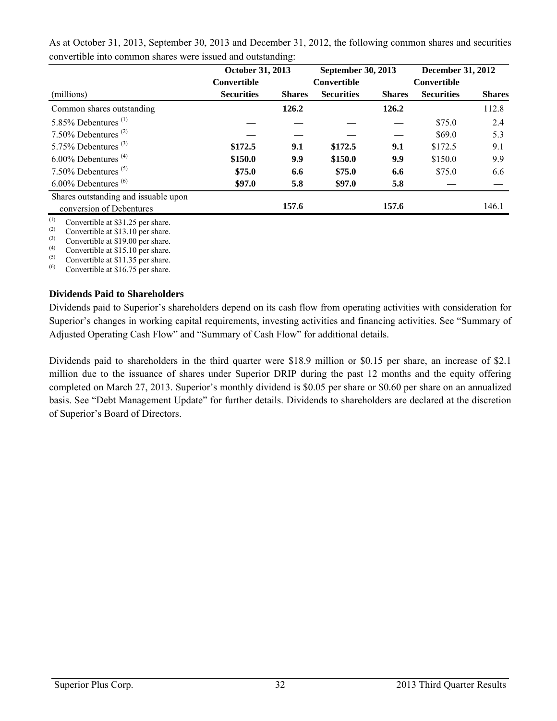|                                                 | <b>October 31, 2013</b> |               | September 30, 2013 |               | <b>December 31, 2012</b> |               |  |
|-------------------------------------------------|-------------------------|---------------|--------------------|---------------|--------------------------|---------------|--|
|                                                 | <b>Convertible</b>      |               | <b>Convertible</b> |               | <b>Convertible</b>       |               |  |
| (millions)                                      | <b>Securities</b>       | <b>Shares</b> | <b>Securities</b>  | <b>Shares</b> | <b>Securities</b>        | <b>Shares</b> |  |
| Common shares outstanding                       |                         | 126.2         |                    | 126.2         |                          | 112.8         |  |
| 5.85% Debentures <sup>(1)</sup>                 |                         |               |                    |               | \$75.0                   | 2.4           |  |
| 7.50% Debentures <sup>(2)</sup>                 |                         |               |                    |               | \$69.0                   | 5.3           |  |
| 5.75% Debentures $(3)$                          | \$172.5                 | 9.1           | \$172.5            | 9.1           | \$172.5                  | 9.1           |  |
| $6.00\%$ Debentures <sup>(4)</sup>              | \$150.0                 | 9.9           | \$150.0            | 9.9           | \$150.0                  | 9.9           |  |
| 7.50% Debentures <sup><math>(5)</math></sup>    | \$75.0                  | 6.6           | \$75.0             | 6.6           | \$75.0                   | 6.6           |  |
| $6.00\%$ Debentures <sup><math>(6)</math></sup> | \$97.0                  | 5.8           | \$97.0             | 5.8           |                          |               |  |
| Shares outstanding and issuable upon            |                         |               |                    |               |                          |               |  |
| conversion of Debentures                        |                         | 157.6         |                    | 157.6         |                          | 146.1         |  |

As at October 31, 2013, September 30, 2013 and December 31, 2012, the following common shares and securities convertible into common shares were issued and outstanding:

(1) Convertible at \$31.25 per share.<br>(2) Convertible at \$13.10 per share.

(2) Convertible at \$13.10 per share.<br>(3) Convertible at \$10.00 per share.

(3) Convertible at \$19.00 per share.

(4) Convertible at \$15.10 per share.<br>(5) Convertible at \$11.35 per share.

<sup>(5)</sup> Convertible at \$11.35 per share.<br><sup>(6)</sup> Convertible at \$16.75 per share.

Convertible at \$16.75 per share.

# **Dividends Paid to Shareholders**

Dividends paid to Superior's shareholders depend on its cash flow from operating activities with consideration for Superior's changes in working capital requirements, investing activities and financing activities. See "Summary of Adjusted Operating Cash Flow" and "Summary of Cash Flow" for additional details.

Dividends paid to shareholders in the third quarter were \$18.9 million or \$0.15 per share, an increase of \$2.1 million due to the issuance of shares under Superior DRIP during the past 12 months and the equity offering completed on March 27, 2013. Superior's monthly dividend is \$0.05 per share or \$0.60 per share on an annualized basis. See "Debt Management Update" for further details. Dividends to shareholders are declared at the discretion of Superior's Board of Directors.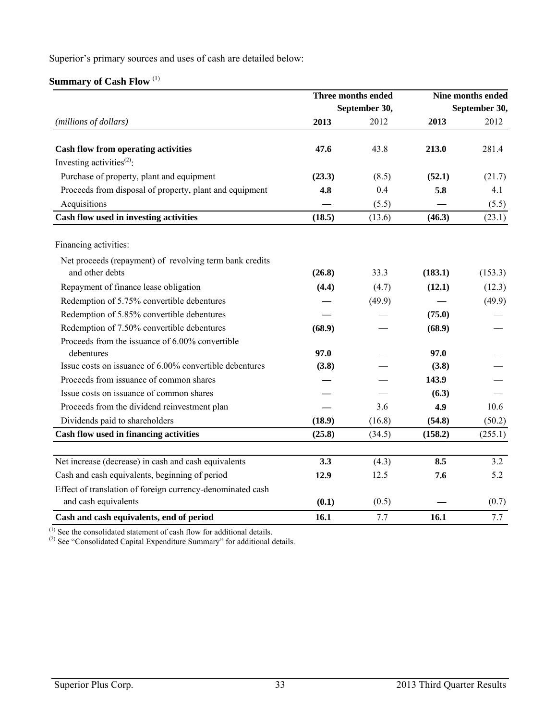Superior's primary sources and uses of cash are detailed below:

| Summary of Cash Flow (1) |  |  |
|--------------------------|--|--|
|--------------------------|--|--|

|                                                            |        | Three months ended | Nine months ended |               |  |
|------------------------------------------------------------|--------|--------------------|-------------------|---------------|--|
|                                                            |        | September 30,      |                   | September 30, |  |
| (millions of dollars)                                      | 2013   | 2012               | 2013              | 2012          |  |
| <b>Cash flow from operating activities</b>                 | 47.6   | 43.8               | 213.0             | 281.4         |  |
| Investing activities <sup><math>(2)</math></sup> :         |        |                    |                   |               |  |
| Purchase of property, plant and equipment                  | (23.3) | (8.5)              | (52.1)            | (21.7)        |  |
| Proceeds from disposal of property, plant and equipment    | 4.8    | 0.4                | 5.8               | 4.1           |  |
| Acquisitions                                               |        | (5.5)              |                   | (5.5)         |  |
| Cash flow used in investing activities                     | (18.5) | (13.6)             | (46.3)            | (23.1)        |  |
| Financing activities:                                      |        |                    |                   |               |  |
| Net proceeds (repayment) of revolving term bank credits    |        |                    |                   |               |  |
| and other debts                                            | (26.8) | 33.3               | (183.1)           | (153.3)       |  |
| Repayment of finance lease obligation                      | (4.4)  | (4.7)              | (12.1)            | (12.3)        |  |
| Redemption of 5.75% convertible debentures                 |        | (49.9)             |                   | (49.9)        |  |
| Redemption of 5.85% convertible debentures                 |        |                    | (75.0)            |               |  |
| Redemption of 7.50% convertible debentures                 | (68.9) |                    | (68.9)            |               |  |
| Proceeds from the issuance of 6.00% convertible            |        |                    |                   |               |  |
| debentures                                                 | 97.0   |                    | 97.0              |               |  |
| Issue costs on issuance of 6.00% convertible debentures    | (3.8)  |                    | (3.8)             |               |  |
| Proceeds from issuance of common shares                    |        |                    | 143.9             |               |  |
| Issue costs on issuance of common shares                   |        |                    | (6.3)             |               |  |
| Proceeds from the dividend reinvestment plan               |        | 3.6                | 4.9               | 10.6          |  |
| Dividends paid to shareholders                             | (18.9) | (16.8)             | (54.8)            | (50.2)        |  |
| Cash flow used in financing activities                     | (25.8) | (34.5)             | (158.2)           | (255.1)       |  |
|                                                            |        |                    |                   |               |  |
| Net increase (decrease) in cash and cash equivalents       | 3.3    | (4.3)              | 8.5               | 3.2           |  |
| Cash and cash equivalents, beginning of period             | 12.9   | 12.5               | 7.6               | 5.2           |  |
| Effect of translation of foreign currency-denominated cash |        |                    |                   |               |  |
| and cash equivalents                                       | (0.1)  | (0.5)              |                   | (0.7)         |  |
| Cash and cash equivalents, end of period                   | 16.1   | 7.7                | 16.1              | 7.7           |  |

 $<sup>(1)</sup>$  See the consolidated statement of cash flow for additional details.</sup>

 $^{(2)}$  See "Consolidated Capital Expenditure Summary" for additional details.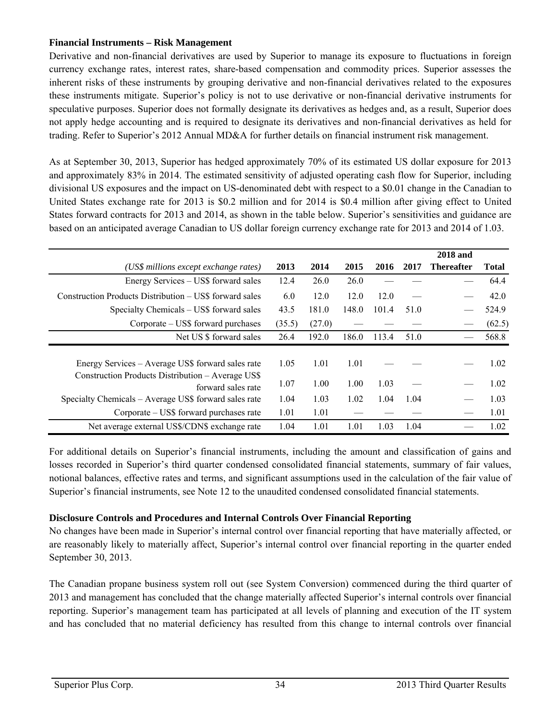#### **Financial Instruments – Risk Management**

Derivative and non-financial derivatives are used by Superior to manage its exposure to fluctuations in foreign currency exchange rates, interest rates, share-based compensation and commodity prices. Superior assesses the inherent risks of these instruments by grouping derivative and non-financial derivatives related to the exposures these instruments mitigate. Superior's policy is not to use derivative or non-financial derivative instruments for speculative purposes. Superior does not formally designate its derivatives as hedges and, as a result, Superior does not apply hedge accounting and is required to designate its derivatives and non-financial derivatives as held for trading. Refer to Superior's 2012 Annual MD&A for further details on financial instrument risk management.

As at September 30, 2013, Superior has hedged approximately 70% of its estimated US dollar exposure for 2013 and approximately 83% in 2014. The estimated sensitivity of adjusted operating cash flow for Superior, including divisional US exposures and the impact on US-denominated debt with respect to a \$0.01 change in the Canadian to United States exchange rate for 2013 is \$0.2 million and for 2014 is \$0.4 million after giving effect to United States forward contracts for 2013 and 2014, as shown in the table below. Superior's sensitivities and guidance are based on an anticipated average Canadian to US dollar foreign currency exchange rate for 2013 and 2014 of 1.03.

|                                                                         |        |        |       |       |      | <b>2018</b> and   |        |
|-------------------------------------------------------------------------|--------|--------|-------|-------|------|-------------------|--------|
| (US\$ millions except exchange rates)                                   | 2013   | 2014   | 2015  | 2016  | 2017 | <b>Thereafter</b> | Total  |
| Energy Services – US\$ forward sales                                    | 12.4   | 26.0   | 26.0  |       |      |                   | 64.4   |
| Construction Products Distribution – US\$ forward sales                 | 6.0    | 12.0   | 12.0  | 12.0  |      |                   | 42.0   |
| Specialty Chemicals – US\$ forward sales                                | 43.5   | 181.0  | 148.0 | 101.4 | 51.0 |                   | 524.9  |
| Corporate – US\$ forward purchases                                      | (35.5) | (27.0) |       |       |      |                   | (62.5) |
| Net US \$ forward sales                                                 | 26.4   | 192.0  | 186.0 | 113.4 | 51.0 |                   | 568.8  |
|                                                                         |        |        |       |       |      |                   |        |
| Energy Services - Average US\$ forward sales rate                       | 1.05   | 1.01   | 1.01  |       |      |                   | 1.02   |
| Construction Products Distribution – Average US\$<br>forward sales rate | 1.07   | 1.00   | 1.00  | 1.03  |      |                   | 1.02   |
| Specialty Chemicals - Average US\$ forward sales rate                   | 1.04   | 1.03   | 1.02  | 1.04  | 1 04 |                   | 1.03   |
| Corporate – US\$ forward purchases rate                                 | 1.01   | 1.01   |       |       |      |                   | 1.01   |
| Net average external US\$/CDN\$ exchange rate                           | 1.04   | 1.01   | 1.01  | 1.03  | 1.04 |                   | 1.02   |

For additional details on Superior's financial instruments, including the amount and classification of gains and losses recorded in Superior's third quarter condensed consolidated financial statements, summary of fair values, notional balances, effective rates and terms, and significant assumptions used in the calculation of the fair value of Superior's financial instruments, see Note 12 to the unaudited condensed consolidated financial statements.

#### **Disclosure Controls and Procedures and Internal Controls Over Financial Reporting**

No changes have been made in Superior's internal control over financial reporting that have materially affected, or are reasonably likely to materially affect, Superior's internal control over financial reporting in the quarter ended September 30, 2013.

The Canadian propane business system roll out (see System Conversion) commenced during the third quarter of 2013 and management has concluded that the change materially affected Superior's internal controls over financial reporting. Superior's management team has participated at all levels of planning and execution of the IT system and has concluded that no material deficiency has resulted from this change to internal controls over financial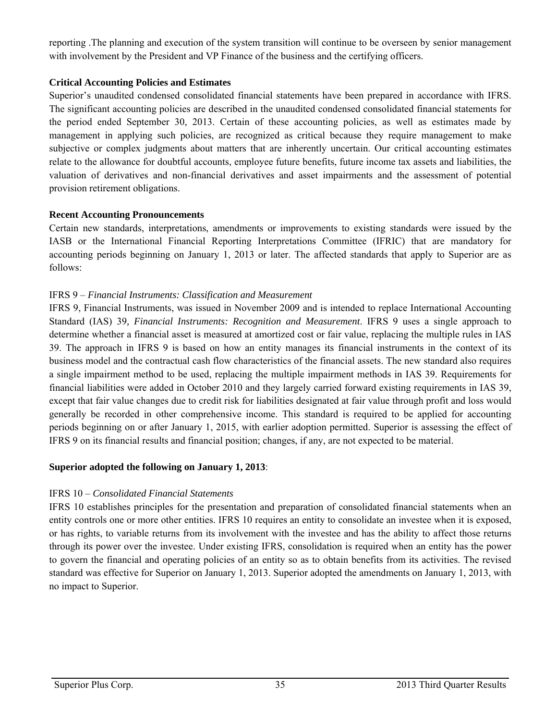reporting .The planning and execution of the system transition will continue to be overseen by senior management with involvement by the President and VP Finance of the business and the certifying officers.

#### **Critical Accounting Policies and Estimates**

Superior's unaudited condensed consolidated financial statements have been prepared in accordance with IFRS. The significant accounting policies are described in the unaudited condensed consolidated financial statements for the period ended September 30, 2013. Certain of these accounting policies, as well as estimates made by management in applying such policies, are recognized as critical because they require management to make subjective or complex judgments about matters that are inherently uncertain. Our critical accounting estimates relate to the allowance for doubtful accounts, employee future benefits, future income tax assets and liabilities, the valuation of derivatives and non-financial derivatives and asset impairments and the assessment of potential provision retirement obligations.

#### **Recent Accounting Pronouncements**

Certain new standards, interpretations, amendments or improvements to existing standards were issued by the IASB or the International Financial Reporting Interpretations Committee (IFRIC) that are mandatory for accounting periods beginning on January 1, 2013 or later. The affected standards that apply to Superior are as follows:

## IFRS 9 – *Financial Instruments: Classification and Measurement*

IFRS 9, Financial Instruments, was issued in November 2009 and is intended to replace International Accounting Standard (IAS) 39*, Financial Instruments: Recognition and Measurement*. IFRS 9 uses a single approach to determine whether a financial asset is measured at amortized cost or fair value, replacing the multiple rules in IAS 39. The approach in IFRS 9 is based on how an entity manages its financial instruments in the context of its business model and the contractual cash flow characteristics of the financial assets. The new standard also requires a single impairment method to be used, replacing the multiple impairment methods in IAS 39. Requirements for financial liabilities were added in October 2010 and they largely carried forward existing requirements in IAS 39, except that fair value changes due to credit risk for liabilities designated at fair value through profit and loss would generally be recorded in other comprehensive income. This standard is required to be applied for accounting periods beginning on or after January 1, 2015, with earlier adoption permitted. Superior is assessing the effect of IFRS 9 on its financial results and financial position; changes, if any, are not expected to be material.

#### **Superior adopted the following on January 1, 2013**:

## IFRS 10 – *Consolidated Financial Statements*

IFRS 10 establishes principles for the presentation and preparation of consolidated financial statements when an entity controls one or more other entities. IFRS 10 requires an entity to consolidate an investee when it is exposed, or has rights, to variable returns from its involvement with the investee and has the ability to affect those returns through its power over the investee. Under existing IFRS, consolidation is required when an entity has the power to govern the financial and operating policies of an entity so as to obtain benefits from its activities. The revised standard was effective for Superior on January 1, 2013. Superior adopted the amendments on January 1, 2013, with no impact to Superior.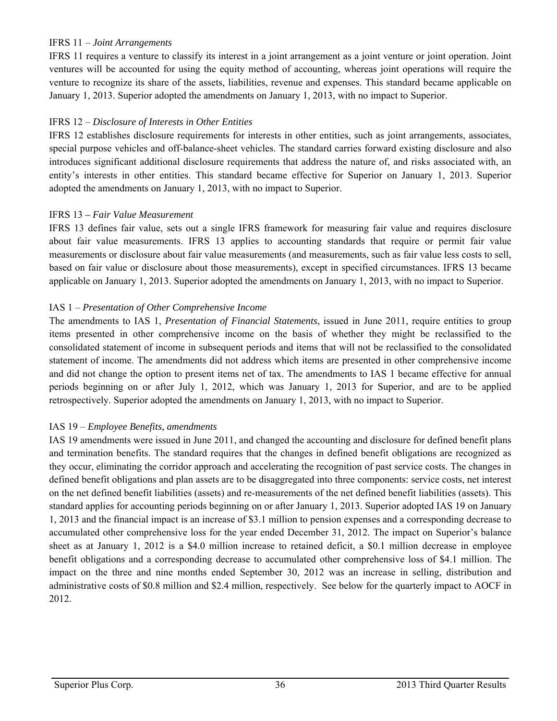#### IFRS 11 – *Joint Arrangements*

IFRS 11 requires a venture to classify its interest in a joint arrangement as a joint venture or joint operation. Joint ventures will be accounted for using the equity method of accounting, whereas joint operations will require the venture to recognize its share of the assets, liabilities, revenue and expenses. This standard became applicable on January 1, 2013. Superior adopted the amendments on January 1, 2013, with no impact to Superior.

#### IFRS 12 – *Disclosure of Interests in Other Entities*

IFRS 12 establishes disclosure requirements for interests in other entities, such as joint arrangements, associates, special purpose vehicles and off-balance-sheet vehicles. The standard carries forward existing disclosure and also introduces significant additional disclosure requirements that address the nature of, and risks associated with, an entity's interests in other entities. This standard became effective for Superior on January 1, 2013. Superior adopted the amendments on January 1, 2013, with no impact to Superior.

#### IFRS 13 *– Fair Value Measurement*

IFRS 13 defines fair value, sets out a single IFRS framework for measuring fair value and requires disclosure about fair value measurements. IFRS 13 applies to accounting standards that require or permit fair value measurements or disclosure about fair value measurements (and measurements, such as fair value less costs to sell, based on fair value or disclosure about those measurements), except in specified circumstances. IFRS 13 became applicable on January 1, 2013. Superior adopted the amendments on January 1, 2013, with no impact to Superior.

#### IAS 1 – *Presentation of Other Comprehensive Income*

The amendments to IAS 1, *Presentation of Financial Statements*, issued in June 2011, require entities to group items presented in other comprehensive income on the basis of whether they might be reclassified to the consolidated statement of income in subsequent periods and items that will not be reclassified to the consolidated statement of income. The amendments did not address which items are presented in other comprehensive income and did not change the option to present items net of tax. The amendments to IAS 1 became effective for annual periods beginning on or after July 1, 2012, which was January 1, 2013 for Superior, and are to be applied retrospectively. Superior adopted the amendments on January 1, 2013, with no impact to Superior.

#### IAS 19 – *Employee Benefits, amendments*

IAS 19 amendments were issued in June 2011, and changed the accounting and disclosure for defined benefit plans and termination benefits. The standard requires that the changes in defined benefit obligations are recognized as they occur, eliminating the corridor approach and accelerating the recognition of past service costs. The changes in defined benefit obligations and plan assets are to be disaggregated into three components: service costs, net interest on the net defined benefit liabilities (assets) and re-measurements of the net defined benefit liabilities (assets). This standard applies for accounting periods beginning on or after January 1, 2013. Superior adopted IAS 19 on January 1, 2013 and the financial impact is an increase of \$3.1 million to pension expenses and a corresponding decrease to accumulated other comprehensive loss for the year ended December 31, 2012. The impact on Superior's balance sheet as at January 1, 2012 is a \$4.0 million increase to retained deficit, a \$0.1 million decrease in employee benefit obligations and a corresponding decrease to accumulated other comprehensive loss of \$4.1 million. The impact on the three and nine months ended September 30, 2012 was an increase in selling, distribution and administrative costs of \$0.8 million and \$2.4 million, respectively. See below for the quarterly impact to AOCF in 2012.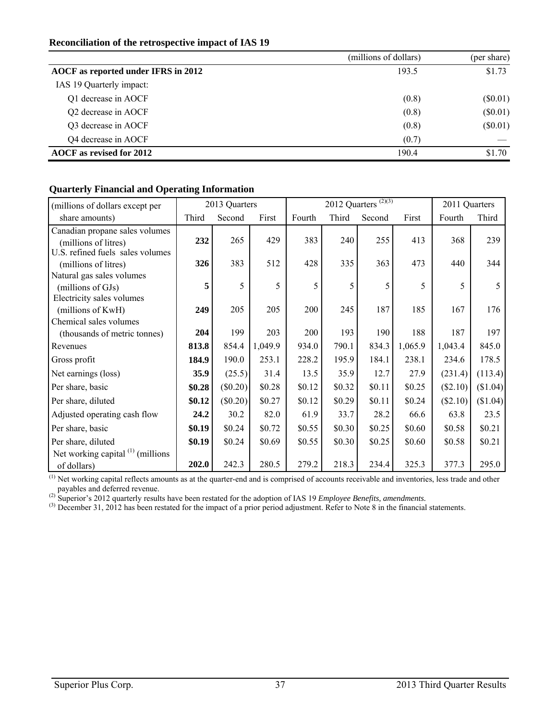## **Reconciliation of the retrospective impact of IAS 19**

|                                     | (millions of dollars) | (per share) |
|-------------------------------------|-----------------------|-------------|
| AOCF as reported under IFRS in 2012 | 193.5                 | \$1.73      |
| IAS 19 Quarterly impact:            |                       |             |
| Q1 decrease in AOCF                 | (0.8)                 | $(\$0.01)$  |
| Q2 decrease in AOCF                 | (0.8)                 | $(\$0.01)$  |
| Q3 decrease in AOCF                 | (0.8)                 | $(\$0.01)$  |
| Q4 decrease in AOCF                 | (0.7)                 |             |
| AOCF as revised for 2012            | 190.4                 | \$1.70      |

# **Quarterly Financial and Operating Information**

| (millions of dollars except per                                                            |        | 2013 Quarters |         |        | 2012 Quarters $(2)(3)$ |        |         |          | 2011 Quarters |  |
|--------------------------------------------------------------------------------------------|--------|---------------|---------|--------|------------------------|--------|---------|----------|---------------|--|
| share amounts)                                                                             | Third  | Second        | First   | Fourth | Third                  | Second | First   | Fourth   | Third         |  |
| Canadian propane sales volumes<br>(millions of litres)<br>U.S. refined fuels sales volumes | 232    | 265           | 429     | 383    | 240                    | 255    | 413     | 368      | 239           |  |
| (millions of litres)                                                                       | 326    | 383           | 512     | 428    | 335                    | 363    | 473     | 440      | 344           |  |
| Natural gas sales volumes<br>(millions of GJs)<br>Electricity sales volumes                | 5      | 5             | 5       | 5      | 5                      | 5      | 5       | 5        | 5             |  |
| (millions of KwH)                                                                          | 249    | 205           | 205     | 200    | 245                    | 187    | 185     | 167      | 176           |  |
| Chemical sales volumes<br>(thousands of metric tonnes)                                     | 204    | 199           | 203     | 200    | 193                    | 190    | 188     | 187      | 197           |  |
| Revenues                                                                                   | 813.8  | 854.4         | 1,049.9 | 934.0  | 790.1                  | 834.3  | 1,065.9 | 1,043.4  | 845.0         |  |
| Gross profit                                                                               | 184.9  | 190.0         | 253.1   | 228.2  | 195.9                  | 184.1  | 238.1   | 234.6    | 178.5         |  |
| Net earnings (loss)                                                                        | 35.9   | (25.5)        | 31.4    | 13.5   | 35.9                   | 12.7   | 27.9    | (231.4)  | (113.4)       |  |
| Per share, basic                                                                           | \$0.28 | (\$0.20)      | \$0.28  | \$0.12 | \$0.32                 | \$0.11 | \$0.25  | (\$2.10) | (\$1.04)      |  |
| Per share, diluted                                                                         | \$0.12 | (\$0.20)      | \$0.27  | \$0.12 | \$0.29                 | \$0.11 | \$0.24  | (\$2.10) | (\$1.04)      |  |
| Adjusted operating cash flow                                                               | 24.2   | 30.2          | 82.0    | 61.9   | 33.7                   | 28.2   | 66.6    | 63.8     | 23.5          |  |
| Per share, basic                                                                           | \$0.19 | \$0.24        | \$0.72  | \$0.55 | \$0.30                 | \$0.25 | \$0.60  | \$0.58   | \$0.21        |  |
| Per share, diluted                                                                         | \$0.19 | \$0.24        | \$0.69  | \$0.55 | \$0.30                 | \$0.25 | \$0.60  | \$0.58   | \$0.21        |  |
| Net working capital $(1)$ (millions<br>of dollars)                                         | 202.0  | 242.3         | 280.5   | 279.2  | 218.3                  | 234.4  | 325.3   | 377.3    | 295.0         |  |

 $<sup>(1)</sup>$  Net working capital reflects amounts as at the quarter-end and is comprised of accounts receivable and inventories, less trade and other</sup> payables and deferred revenue.

(2) Superior's 2012 quarterly results have been restated for the adoption of IAS 19 *Employee Benefits, amendments.*

 $^{(3)}$  December 31, 2012 has been restated for the impact of a prior period adjustment. Refer to Note 8 in the financial statements.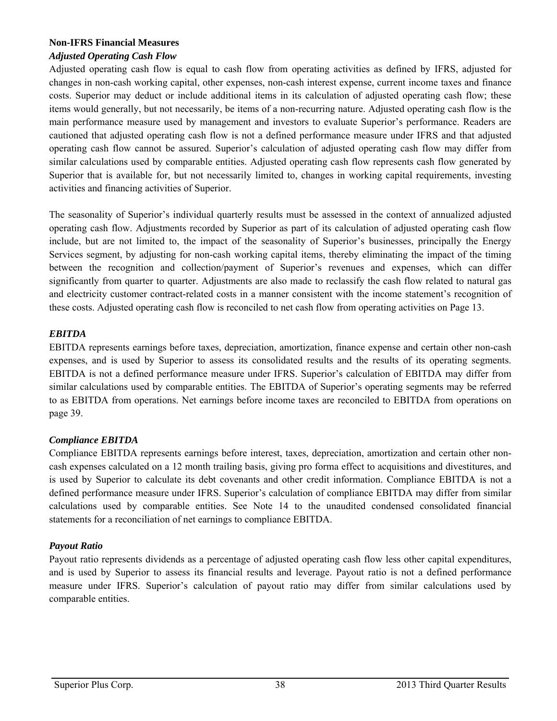## **Non-IFRS Financial Measures**

## *Adjusted Operating Cash Flow*

Adjusted operating cash flow is equal to cash flow from operating activities as defined by IFRS, adjusted for changes in non-cash working capital, other expenses, non-cash interest expense, current income taxes and finance costs. Superior may deduct or include additional items in its calculation of adjusted operating cash flow; these items would generally, but not necessarily, be items of a non-recurring nature. Adjusted operating cash flow is the main performance measure used by management and investors to evaluate Superior's performance. Readers are cautioned that adjusted operating cash flow is not a defined performance measure under IFRS and that adjusted operating cash flow cannot be assured. Superior's calculation of adjusted operating cash flow may differ from similar calculations used by comparable entities. Adjusted operating cash flow represents cash flow generated by Superior that is available for, but not necessarily limited to, changes in working capital requirements, investing activities and financing activities of Superior.

The seasonality of Superior's individual quarterly results must be assessed in the context of annualized adjusted operating cash flow. Adjustments recorded by Superior as part of its calculation of adjusted operating cash flow include, but are not limited to, the impact of the seasonality of Superior's businesses, principally the Energy Services segment, by adjusting for non-cash working capital items, thereby eliminating the impact of the timing between the recognition and collection/payment of Superior's revenues and expenses, which can differ significantly from quarter to quarter. Adjustments are also made to reclassify the cash flow related to natural gas and electricity customer contract-related costs in a manner consistent with the income statement's recognition of these costs. Adjusted operating cash flow is reconciled to net cash flow from operating activities on Page 13.

### *EBITDA*

EBITDA represents earnings before taxes, depreciation, amortization, finance expense and certain other non-cash expenses, and is used by Superior to assess its consolidated results and the results of its operating segments. EBITDA is not a defined performance measure under IFRS. Superior's calculation of EBITDA may differ from similar calculations used by comparable entities. The EBITDA of Superior's operating segments may be referred to as EBITDA from operations. Net earnings before income taxes are reconciled to EBITDA from operations on page 39.

### *Compliance EBITDA*

Compliance EBITDA represents earnings before interest, taxes, depreciation, amortization and certain other noncash expenses calculated on a 12 month trailing basis, giving pro forma effect to acquisitions and divestitures, and is used by Superior to calculate its debt covenants and other credit information. Compliance EBITDA is not a defined performance measure under IFRS. Superior's calculation of compliance EBITDA may differ from similar calculations used by comparable entities. See Note 14 to the unaudited condensed consolidated financial statements for a reconciliation of net earnings to compliance EBITDA.

### *Payout Ratio*

Payout ratio represents dividends as a percentage of adjusted operating cash flow less other capital expenditures, and is used by Superior to assess its financial results and leverage. Payout ratio is not a defined performance measure under IFRS. Superior's calculation of payout ratio may differ from similar calculations used by comparable entities.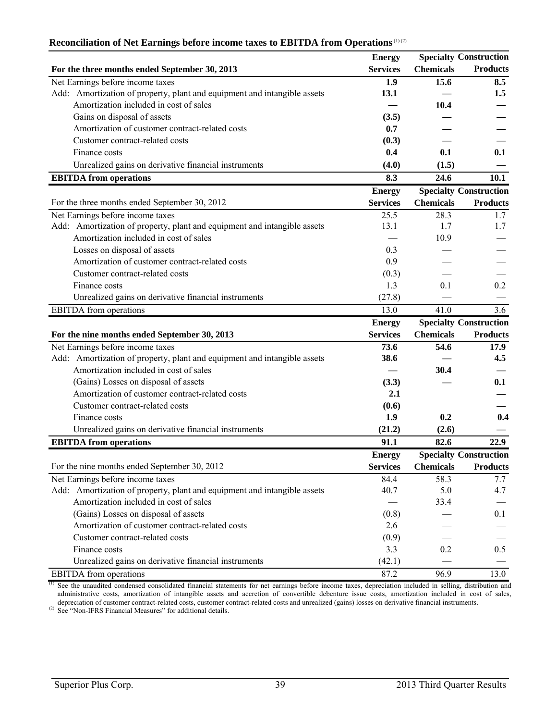|                                                                          | <b>Energy</b>   |                  | <b>Specialty Construction</b> |
|--------------------------------------------------------------------------|-----------------|------------------|-------------------------------|
| For the three months ended September 30, 2013                            | <b>Services</b> | <b>Chemicals</b> | <b>Products</b>               |
| Net Earnings before income taxes                                         | 1.9             | 15.6             | 8.5                           |
| Add: Amortization of property, plant and equipment and intangible assets | 13.1            |                  | 1.5                           |
| Amortization included in cost of sales                                   |                 | 10.4             |                               |
| Gains on disposal of assets                                              | (3.5)           |                  |                               |
| Amortization of customer contract-related costs                          | 0.7             |                  |                               |
| Customer contract-related costs                                          | (0.3)           |                  |                               |
| Finance costs                                                            | 0.4             | 0.1              | 0.1                           |
| Unrealized gains on derivative financial instruments                     | (4.0)           | (1.5)            |                               |
| <b>EBITDA</b> from operations                                            | 8.3             | 24.6             | 10.1                          |
|                                                                          | <b>Energy</b>   |                  | <b>Specialty Construction</b> |
| For the three months ended September 30, 2012                            | <b>Services</b> | <b>Chemicals</b> | <b>Products</b>               |
| Net Earnings before income taxes                                         | 25.5            | 28.3             | 1.7                           |
| Add: Amortization of property, plant and equipment and intangible assets | 13.1            | 1.7              | 1.7                           |
| Amortization included in cost of sales                                   |                 | 10.9             |                               |
| Losses on disposal of assets                                             | 0.3             |                  |                               |
| Amortization of customer contract-related costs                          | 0.9             |                  |                               |
| Customer contract-related costs                                          | (0.3)           |                  |                               |
| Finance costs                                                            | 1.3             | 0.1              | 0.2                           |
| Unrealized gains on derivative financial instruments                     | (27.8)          |                  |                               |
| EBITDA from operations                                                   | 13.0            | 41.0             | 3.6                           |
|                                                                          | <b>Energy</b>   |                  | <b>Specialty Construction</b> |
| For the nine months ended September 30, 2013                             | <b>Services</b> | <b>Chemicals</b> | <b>Products</b>               |
| Net Earnings before income taxes                                         | 73.6            | 54.6             | 17.9                          |
| Add: Amortization of property, plant and equipment and intangible assets | 38.6            |                  | 4.5                           |
| Amortization included in cost of sales                                   |                 | 30.4             |                               |
| (Gains) Losses on disposal of assets                                     | (3.3)           |                  | 0.1                           |
| Amortization of customer contract-related costs                          | 2.1             |                  |                               |
| Customer contract-related costs                                          | (0.6)           |                  |                               |
| Finance costs                                                            | 1.9             | 0.2              | 0.4                           |
| Unrealized gains on derivative financial instruments                     | (21.2)          | (2.6)            |                               |
| <b>EBITDA</b> from operations                                            | 91.1            | 82.6             | 22.9                          |
|                                                                          | <b>Energy</b>   |                  | <b>Specialty Construction</b> |
| For the nine months ended September 30, 2012                             | <b>Services</b> | <b>Chemicals</b> | <b>Products</b>               |
| Net Earnings before income taxes                                         | 84.4            | 58.3             | 7.7                           |
| Add: Amortization of property, plant and equipment and intangible assets |                 |                  | 4.7                           |
|                                                                          | 40.7            | 5.0              |                               |
| Amortization included in cost of sales                                   |                 | 33.4             |                               |
| (Gains) Losses on disposal of assets                                     | (0.8)           |                  | 0.1                           |
| Amortization of customer contract-related costs                          | 2.6             |                  |                               |
| Customer contract-related costs                                          | (0.9)           |                  |                               |
| Finance costs                                                            | 3.3             | 0.2              | 0.5                           |
| Unrealized gains on derivative financial instruments                     | (42.1)          |                  |                               |

## **Reconciliation of Net Earnings before income taxes to EBITDA from Operations** (1) (2)

(1) See the unaudited condensed consolidated financial statements for net earnings before income taxes, depreciation included in selling, distribution and administrative costs, amortization of intangible assets and accretion of convertible debenture issue costs, amortization included in cost of sales, depreciation of customer contract-related costs, customer contract-related costs and unrealized (gains) losses on derivative financial instruments.

<sup>(2)</sup> See "Non-IFRS Financial Measures" for additional details.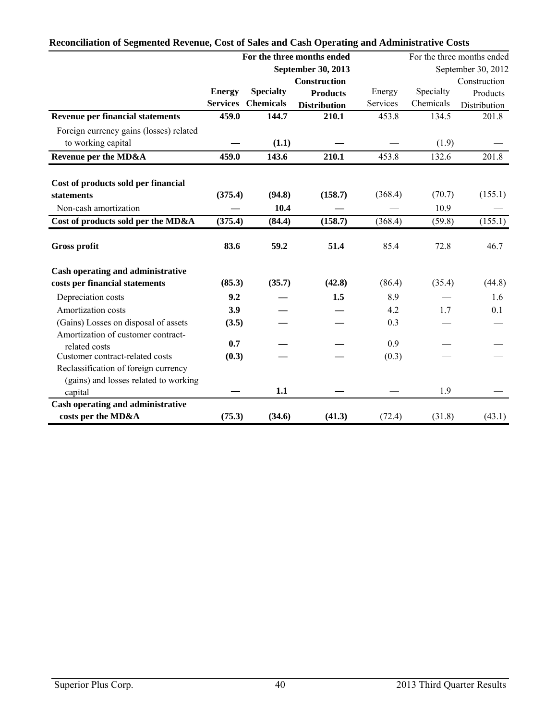|                                         |                 |                  | For the three months ended |          |           | For the three months ended |
|-----------------------------------------|-----------------|------------------|----------------------------|----------|-----------|----------------------------|
|                                         |                 |                  | September 30, 2013         |          |           | September 30, 2012         |
|                                         |                 |                  | Construction               |          |           | Construction               |
|                                         | <b>Energy</b>   | <b>Specialty</b> | <b>Products</b>            | Energy   | Specialty | Products                   |
|                                         | <b>Services</b> | <b>Chemicals</b> | <b>Distribution</b>        | Services | Chemicals | Distribution               |
| <b>Revenue per financial statements</b> | 459.0           | 144.7            | 210.1                      | 453.8    | 134.5     | 201.8                      |
| Foreign currency gains (losses) related |                 |                  |                            |          |           |                            |
| to working capital                      |                 | (1.1)            |                            |          | (1.9)     |                            |
| Revenue per the MD&A                    | 459.0           | 143.6            | 210.1                      | 453.8    | 132.6     | 201.8                      |
| Cost of products sold per financial     |                 |                  |                            |          |           |                            |
| statements                              | (375.4)         | (94.8)           | (158.7)                    | (368.4)  | (70.7)    | (155.1)                    |
| Non-cash amortization                   |                 | 10.4             |                            |          | 10.9      |                            |
| Cost of products sold per the MD&A      | (375.4)         | (84.4)           | (158.7)                    | (368.4)  | (59.8)    | (155.1)                    |
| <b>Gross profit</b>                     | 83.6            | 59.2             | 51.4                       | 85.4     | 72.8      | 46.7                       |
| Cash operating and administrative       |                 |                  |                            |          |           |                            |
| costs per financial statements          | (85.3)          | (35.7)           | (42.8)                     | (86.4)   | (35.4)    | (44.8)                     |
| Depreciation costs                      | 9.2             |                  | 1.5                        | 8.9      |           | 1.6                        |
| Amortization costs                      | 3.9             |                  |                            | 4.2      | 1.7       | 0.1                        |
| (Gains) Losses on disposal of assets    | (3.5)           |                  |                            | 0.3      |           |                            |
| Amortization of customer contract-      |                 |                  |                            |          |           |                            |
| related costs                           | 0.7             |                  |                            | 0.9      |           |                            |
| Customer contract-related costs         | (0.3)           |                  |                            | (0.3)    |           |                            |
| Reclassification of foreign currency    |                 |                  |                            |          |           |                            |
| (gains) and losses related to working   |                 |                  |                            |          |           |                            |
| capital                                 |                 | 1.1              |                            |          | 1.9       |                            |
| Cash operating and administrative       |                 |                  |                            |          |           |                            |
| costs per the MD&A                      | (75.3)          | (34.6)           | (41.3)                     | (72.4)   | (31.8)    | (43.1)                     |

# **Reconciliation of Segmented Revenue, Cost of Sales and Cash Operating and Administrative Costs**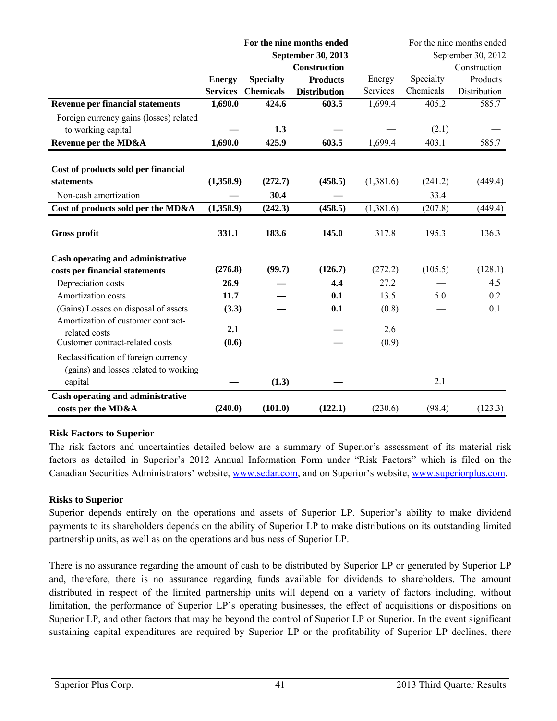|                                                                               |                 |                  | For the nine months ended |           |           | For the nine months ended |
|-------------------------------------------------------------------------------|-----------------|------------------|---------------------------|-----------|-----------|---------------------------|
|                                                                               |                 |                  | September 30, 2013        |           |           | September 30, 2012        |
|                                                                               |                 |                  | <b>Construction</b>       |           |           | Construction              |
|                                                                               | <b>Energy</b>   | <b>Specialty</b> | <b>Products</b>           | Energy    | Specialty | Products                  |
|                                                                               | <b>Services</b> | <b>Chemicals</b> | <b>Distribution</b>       | Services  | Chemicals | Distribution              |
| <b>Revenue per financial statements</b>                                       | 1,690.0         | 424.6            | 603.5                     | 1,699.4   | 405.2     | 585.7                     |
| Foreign currency gains (losses) related                                       |                 |                  |                           |           |           |                           |
| to working capital                                                            |                 | 1.3              |                           |           | (2.1)     |                           |
| Revenue per the MD&A                                                          | 1,690.0         | 425.9            | 603.5                     | 1,699.4   | 403.1     | 585.7                     |
|                                                                               |                 |                  |                           |           |           |                           |
| Cost of products sold per financial                                           |                 |                  |                           |           |           |                           |
| statements                                                                    | (1,358.9)       | (272.7)          | (458.5)                   | (1,381.6) | (241.2)   | (449.4)                   |
| Non-cash amortization                                                         |                 | 30.4             |                           |           | 33.4      |                           |
| Cost of products sold per the MD&A                                            | (1,358.9)       | (242.3)          | (458.5)                   | (1,381.6) | (207.8)   | (449.4)                   |
| <b>Gross profit</b>                                                           | 331.1           | 183.6            | 145.0                     | 317.8     | 195.3     | 136.3                     |
| Cash operating and administrative                                             |                 |                  |                           |           |           |                           |
| costs per financial statements                                                | (276.8)         | (99.7)           | (126.7)                   | (272.2)   | (105.5)   | (128.1)                   |
| Depreciation costs                                                            | 26.9            |                  | 4.4                       | 27.2      |           | 4.5                       |
| Amortization costs                                                            | 11.7            |                  | 0.1                       | 13.5      | 5.0       | 0.2                       |
| (Gains) Losses on disposal of assets                                          | (3.3)           |                  | 0.1                       | (0.8)     |           | 0.1                       |
| Amortization of customer contract-                                            |                 |                  |                           |           |           |                           |
| related costs                                                                 | 2.1             |                  |                           | 2.6       |           |                           |
| Customer contract-related costs                                               | (0.6)           |                  |                           | (0.9)     |           |                           |
| Reclassification of foreign currency<br>(gains) and losses related to working |                 |                  |                           |           |           |                           |
| capital                                                                       |                 | (1.3)            |                           |           | 2.1       |                           |
| Cash operating and administrative                                             |                 |                  |                           |           |           |                           |
| costs per the MD&A                                                            | (240.0)         | (101.0)          | (122.1)                   | (230.6)   | (98.4)    | (123.3)                   |

### **Risk Factors to Superior**

The risk factors and uncertainties detailed below are a summary of Superior's assessment of its material risk factors as detailed in Superior's 2012 Annual Information Form under "Risk Factors" which is filed on the Canadian Securities Administrators' website, www.sedar.com, and on Superior's website, www.superiorplus.com.

# **Risks to Superior**

Superior depends entirely on the operations and assets of Superior LP. Superior's ability to make dividend payments to its shareholders depends on the ability of Superior LP to make distributions on its outstanding limited partnership units, as well as on the operations and business of Superior LP.

There is no assurance regarding the amount of cash to be distributed by Superior LP or generated by Superior LP and, therefore, there is no assurance regarding funds available for dividends to shareholders. The amount distributed in respect of the limited partnership units will depend on a variety of factors including, without limitation, the performance of Superior LP's operating businesses, the effect of acquisitions or dispositions on Superior LP, and other factors that may be beyond the control of Superior LP or Superior. In the event significant sustaining capital expenditures are required by Superior LP or the profitability of Superior LP declines, there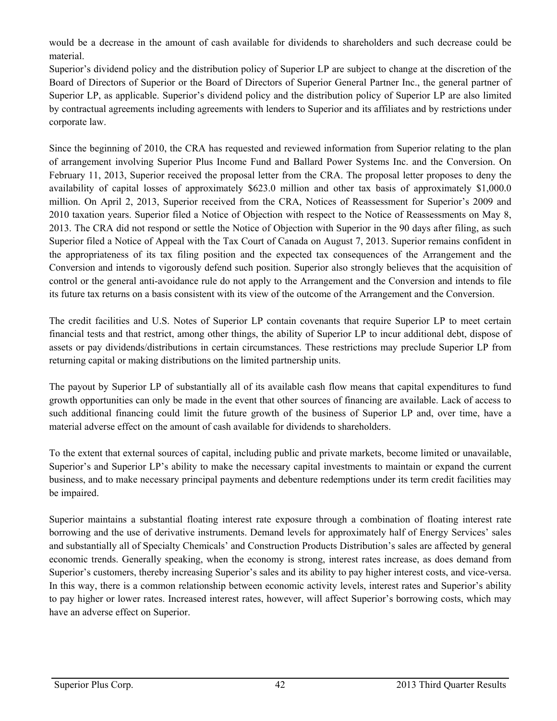would be a decrease in the amount of cash available for dividends to shareholders and such decrease could be material.

Superior's dividend policy and the distribution policy of Superior LP are subject to change at the discretion of the Board of Directors of Superior or the Board of Directors of Superior General Partner Inc., the general partner of Superior LP, as applicable. Superior's dividend policy and the distribution policy of Superior LP are also limited by contractual agreements including agreements with lenders to Superior and its affiliates and by restrictions under corporate law.

Since the beginning of 2010, the CRA has requested and reviewed information from Superior relating to the plan of arrangement involving Superior Plus Income Fund and Ballard Power Systems Inc. and the Conversion. On February 11, 2013, Superior received the proposal letter from the CRA. The proposal letter proposes to deny the availability of capital losses of approximately \$623.0 million and other tax basis of approximately \$1,000.0 million. On April 2, 2013, Superior received from the CRA, Notices of Reassessment for Superior's 2009 and 2010 taxation years. Superior filed a Notice of Objection with respect to the Notice of Reassessments on May 8, 2013. The CRA did not respond or settle the Notice of Objection with Superior in the 90 days after filing, as such Superior filed a Notice of Appeal with the Tax Court of Canada on August 7, 2013. Superior remains confident in the appropriateness of its tax filing position and the expected tax consequences of the Arrangement and the Conversion and intends to vigorously defend such position. Superior also strongly believes that the acquisition of control or the general anti-avoidance rule do not apply to the Arrangement and the Conversion and intends to file its future tax returns on a basis consistent with its view of the outcome of the Arrangement and the Conversion.

The credit facilities and U.S. Notes of Superior LP contain covenants that require Superior LP to meet certain financial tests and that restrict, among other things, the ability of Superior LP to incur additional debt, dispose of assets or pay dividends/distributions in certain circumstances. These restrictions may preclude Superior LP from returning capital or making distributions on the limited partnership units.

The payout by Superior LP of substantially all of its available cash flow means that capital expenditures to fund growth opportunities can only be made in the event that other sources of financing are available. Lack of access to such additional financing could limit the future growth of the business of Superior LP and, over time, have a material adverse effect on the amount of cash available for dividends to shareholders.

To the extent that external sources of capital, including public and private markets, become limited or unavailable, Superior's and Superior LP's ability to make the necessary capital investments to maintain or expand the current business, and to make necessary principal payments and debenture redemptions under its term credit facilities may be impaired.

Superior maintains a substantial floating interest rate exposure through a combination of floating interest rate borrowing and the use of derivative instruments. Demand levels for approximately half of Energy Services' sales and substantially all of Specialty Chemicals' and Construction Products Distribution's sales are affected by general economic trends. Generally speaking, when the economy is strong, interest rates increase, as does demand from Superior's customers, thereby increasing Superior's sales and its ability to pay higher interest costs, and vice-versa. In this way, there is a common relationship between economic activity levels, interest rates and Superior's ability to pay higher or lower rates. Increased interest rates, however, will affect Superior's borrowing costs, which may have an adverse effect on Superior.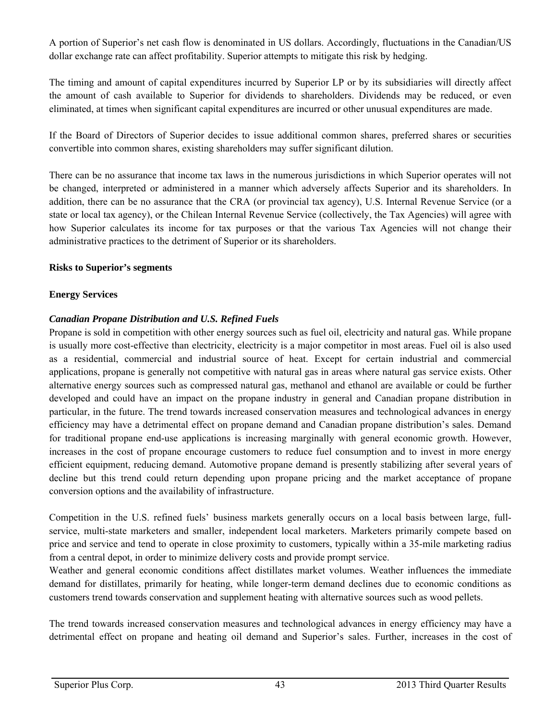A portion of Superior's net cash flow is denominated in US dollars. Accordingly, fluctuations in the Canadian/US dollar exchange rate can affect profitability. Superior attempts to mitigate this risk by hedging.

The timing and amount of capital expenditures incurred by Superior LP or by its subsidiaries will directly affect the amount of cash available to Superior for dividends to shareholders. Dividends may be reduced, or even eliminated, at times when significant capital expenditures are incurred or other unusual expenditures are made.

If the Board of Directors of Superior decides to issue additional common shares, preferred shares or securities convertible into common shares, existing shareholders may suffer significant dilution.

There can be no assurance that income tax laws in the numerous jurisdictions in which Superior operates will not be changed, interpreted or administered in a manner which adversely affects Superior and its shareholders. In addition, there can be no assurance that the CRA (or provincial tax agency), U.S. Internal Revenue Service (or a state or local tax agency), or the Chilean Internal Revenue Service (collectively, the Tax Agencies) will agree with how Superior calculates its income for tax purposes or that the various Tax Agencies will not change their administrative practices to the detriment of Superior or its shareholders.

## **Risks to Superior's segments**

## **Energy Services**

## *Canadian Propane Distribution and U.S. Refined Fuels*

Propane is sold in competition with other energy sources such as fuel oil, electricity and natural gas. While propane is usually more cost-effective than electricity, electricity is a major competitor in most areas. Fuel oil is also used as a residential, commercial and industrial source of heat. Except for certain industrial and commercial applications, propane is generally not competitive with natural gas in areas where natural gas service exists. Other alternative energy sources such as compressed natural gas, methanol and ethanol are available or could be further developed and could have an impact on the propane industry in general and Canadian propane distribution in particular, in the future. The trend towards increased conservation measures and technological advances in energy efficiency may have a detrimental effect on propane demand and Canadian propane distribution's sales. Demand for traditional propane end-use applications is increasing marginally with general economic growth. However, increases in the cost of propane encourage customers to reduce fuel consumption and to invest in more energy efficient equipment, reducing demand. Automotive propane demand is presently stabilizing after several years of decline but this trend could return depending upon propane pricing and the market acceptance of propane conversion options and the availability of infrastructure.

Competition in the U.S. refined fuels' business markets generally occurs on a local basis between large, fullservice, multi-state marketers and smaller, independent local marketers. Marketers primarily compete based on price and service and tend to operate in close proximity to customers, typically within a 35-mile marketing radius from a central depot, in order to minimize delivery costs and provide prompt service.

Weather and general economic conditions affect distillates market volumes. Weather influences the immediate demand for distillates, primarily for heating, while longer-term demand declines due to economic conditions as customers trend towards conservation and supplement heating with alternative sources such as wood pellets.

The trend towards increased conservation measures and technological advances in energy efficiency may have a detrimental effect on propane and heating oil demand and Superior's sales. Further, increases in the cost of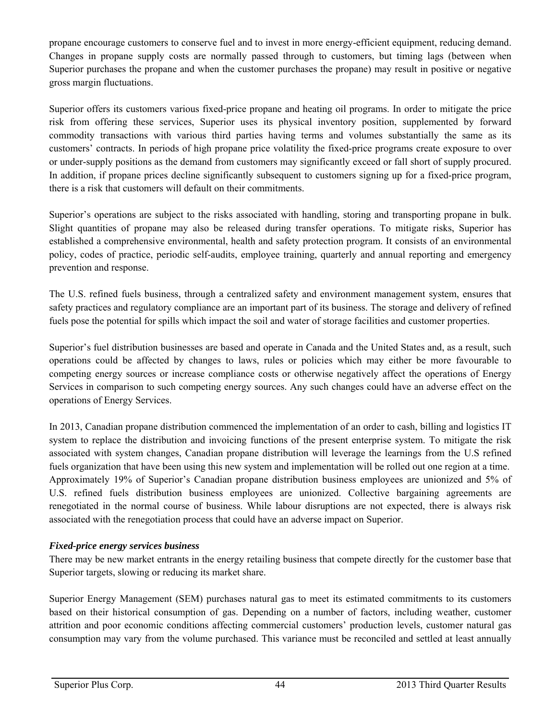propane encourage customers to conserve fuel and to invest in more energy-efficient equipment, reducing demand. Changes in propane supply costs are normally passed through to customers, but timing lags (between when Superior purchases the propane and when the customer purchases the propane) may result in positive or negative gross margin fluctuations.

Superior offers its customers various fixed-price propane and heating oil programs. In order to mitigate the price risk from offering these services, Superior uses its physical inventory position, supplemented by forward commodity transactions with various third parties having terms and volumes substantially the same as its customers' contracts. In periods of high propane price volatility the fixed-price programs create exposure to over or under-supply positions as the demand from customers may significantly exceed or fall short of supply procured. In addition, if propane prices decline significantly subsequent to customers signing up for a fixed-price program, there is a risk that customers will default on their commitments.

Superior's operations are subject to the risks associated with handling, storing and transporting propane in bulk. Slight quantities of propane may also be released during transfer operations. To mitigate risks, Superior has established a comprehensive environmental, health and safety protection program. It consists of an environmental policy, codes of practice, periodic self-audits, employee training, quarterly and annual reporting and emergency prevention and response.

The U.S. refined fuels business, through a centralized safety and environment management system, ensures that safety practices and regulatory compliance are an important part of its business. The storage and delivery of refined fuels pose the potential for spills which impact the soil and water of storage facilities and customer properties.

Superior's fuel distribution businesses are based and operate in Canada and the United States and, as a result, such operations could be affected by changes to laws, rules or policies which may either be more favourable to competing energy sources or increase compliance costs or otherwise negatively affect the operations of Energy Services in comparison to such competing energy sources. Any such changes could have an adverse effect on the operations of Energy Services.

In 2013, Canadian propane distribution commenced the implementation of an order to cash, billing and logistics IT system to replace the distribution and invoicing functions of the present enterprise system. To mitigate the risk associated with system changes, Canadian propane distribution will leverage the learnings from the U.S refined fuels organization that have been using this new system and implementation will be rolled out one region at a time. Approximately 19% of Superior's Canadian propane distribution business employees are unionized and 5% of U.S. refined fuels distribution business employees are unionized. Collective bargaining agreements are renegotiated in the normal course of business. While labour disruptions are not expected, there is always risk associated with the renegotiation process that could have an adverse impact on Superior.

# *Fixed-price energy services business*

There may be new market entrants in the energy retailing business that compete directly for the customer base that Superior targets, slowing or reducing its market share.

Superior Energy Management (SEM) purchases natural gas to meet its estimated commitments to its customers based on their historical consumption of gas. Depending on a number of factors, including weather, customer attrition and poor economic conditions affecting commercial customers' production levels, customer natural gas consumption may vary from the volume purchased. This variance must be reconciled and settled at least annually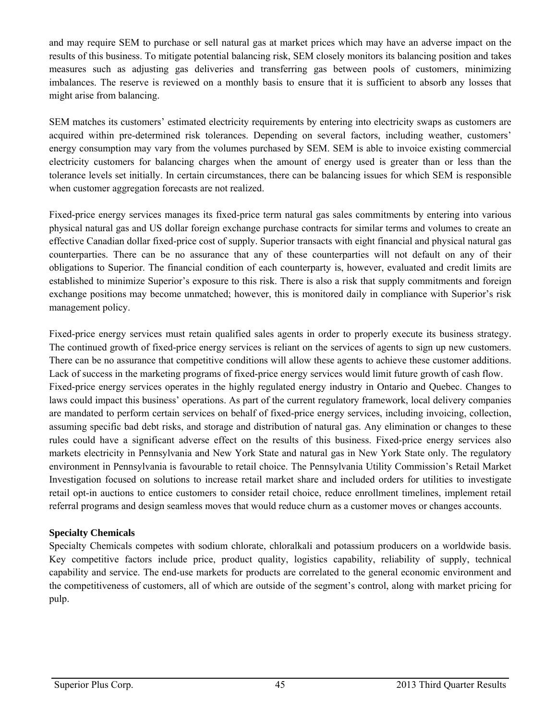and may require SEM to purchase or sell natural gas at market prices which may have an adverse impact on the results of this business. To mitigate potential balancing risk, SEM closely monitors its balancing position and takes measures such as adjusting gas deliveries and transferring gas between pools of customers, minimizing imbalances. The reserve is reviewed on a monthly basis to ensure that it is sufficient to absorb any losses that might arise from balancing.

SEM matches its customers' estimated electricity requirements by entering into electricity swaps as customers are acquired within pre-determined risk tolerances. Depending on several factors, including weather, customers' energy consumption may vary from the volumes purchased by SEM. SEM is able to invoice existing commercial electricity customers for balancing charges when the amount of energy used is greater than or less than the tolerance levels set initially. In certain circumstances, there can be balancing issues for which SEM is responsible when customer aggregation forecasts are not realized.

Fixed-price energy services manages its fixed-price term natural gas sales commitments by entering into various physical natural gas and US dollar foreign exchange purchase contracts for similar terms and volumes to create an effective Canadian dollar fixed-price cost of supply. Superior transacts with eight financial and physical natural gas counterparties. There can be no assurance that any of these counterparties will not default on any of their obligations to Superior. The financial condition of each counterparty is, however, evaluated and credit limits are established to minimize Superior's exposure to this risk. There is also a risk that supply commitments and foreign exchange positions may become unmatched; however, this is monitored daily in compliance with Superior's risk management policy.

Fixed-price energy services must retain qualified sales agents in order to properly execute its business strategy. The continued growth of fixed-price energy services is reliant on the services of agents to sign up new customers. There can be no assurance that competitive conditions will allow these agents to achieve these customer additions. Lack of success in the marketing programs of fixed-price energy services would limit future growth of cash flow. Fixed-price energy services operates in the highly regulated energy industry in Ontario and Quebec. Changes to laws could impact this business' operations. As part of the current regulatory framework, local delivery companies are mandated to perform certain services on behalf of fixed-price energy services, including invoicing, collection, assuming specific bad debt risks, and storage and distribution of natural gas. Any elimination or changes to these rules could have a significant adverse effect on the results of this business. Fixed-price energy services also markets electricity in Pennsylvania and New York State and natural gas in New York State only. The regulatory environment in Pennsylvania is favourable to retail choice. The Pennsylvania Utility Commission's Retail Market Investigation focused on solutions to increase retail market share and included orders for utilities to investigate retail opt-in auctions to entice customers to consider retail choice, reduce enrollment timelines, implement retail referral programs and design seamless moves that would reduce churn as a customer moves or changes accounts.

# **Specialty Chemicals**

Specialty Chemicals competes with sodium chlorate, chloralkali and potassium producers on a worldwide basis. Key competitive factors include price, product quality, logistics capability, reliability of supply, technical capability and service. The end-use markets for products are correlated to the general economic environment and the competitiveness of customers, all of which are outside of the segment's control, along with market pricing for pulp.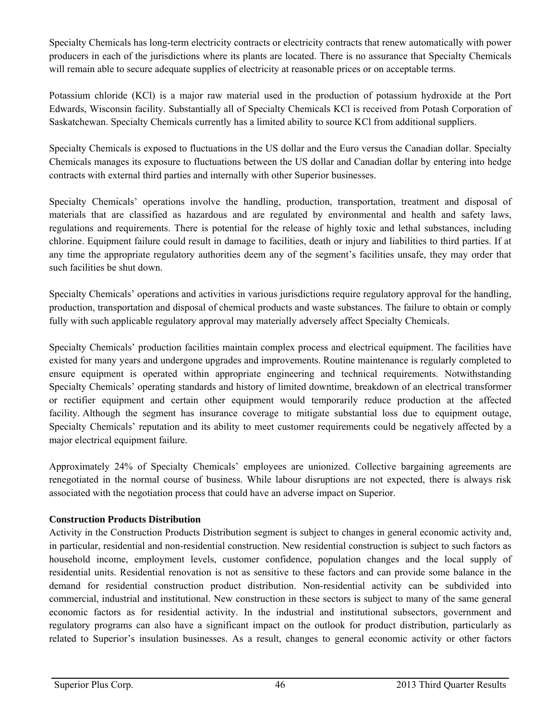Specialty Chemicals has long-term electricity contracts or electricity contracts that renew automatically with power producers in each of the jurisdictions where its plants are located. There is no assurance that Specialty Chemicals will remain able to secure adequate supplies of electricity at reasonable prices or on acceptable terms.

Potassium chloride (KCl) is a major raw material used in the production of potassium hydroxide at the Port Edwards, Wisconsin facility. Substantially all of Specialty Chemicals KCl is received from Potash Corporation of Saskatchewan. Specialty Chemicals currently has a limited ability to source KCl from additional suppliers.

Specialty Chemicals is exposed to fluctuations in the US dollar and the Euro versus the Canadian dollar. Specialty Chemicals manages its exposure to fluctuations between the US dollar and Canadian dollar by entering into hedge contracts with external third parties and internally with other Superior businesses.

Specialty Chemicals' operations involve the handling, production, transportation, treatment and disposal of materials that are classified as hazardous and are regulated by environmental and health and safety laws, regulations and requirements. There is potential for the release of highly toxic and lethal substances, including chlorine. Equipment failure could result in damage to facilities, death or injury and liabilities to third parties. If at any time the appropriate regulatory authorities deem any of the segment's facilities unsafe, they may order that such facilities be shut down.

Specialty Chemicals' operations and activities in various jurisdictions require regulatory approval for the handling, production, transportation and disposal of chemical products and waste substances. The failure to obtain or comply fully with such applicable regulatory approval may materially adversely affect Specialty Chemicals.

Specialty Chemicals' production facilities maintain complex process and electrical equipment. The facilities have existed for many years and undergone upgrades and improvements. Routine maintenance is regularly completed to ensure equipment is operated within appropriate engineering and technical requirements. Notwithstanding Specialty Chemicals' operating standards and history of limited downtime, breakdown of an electrical transformer or rectifier equipment and certain other equipment would temporarily reduce production at the affected facility. Although the segment has insurance coverage to mitigate substantial loss due to equipment outage, Specialty Chemicals' reputation and its ability to meet customer requirements could be negatively affected by a major electrical equipment failure.

Approximately 24% of Specialty Chemicals' employees are unionized. Collective bargaining agreements are renegotiated in the normal course of business. While labour disruptions are not expected, there is always risk associated with the negotiation process that could have an adverse impact on Superior.

# **Construction Products Distribution**

Activity in the Construction Products Distribution segment is subject to changes in general economic activity and, in particular, residential and non-residential construction. New residential construction is subject to such factors as household income, employment levels, customer confidence, population changes and the local supply of residential units. Residential renovation is not as sensitive to these factors and can provide some balance in the demand for residential construction product distribution. Non-residential activity can be subdivided into commercial, industrial and institutional. New construction in these sectors is subject to many of the same general economic factors as for residential activity. In the industrial and institutional subsectors, government and regulatory programs can also have a significant impact on the outlook for product distribution, particularly as related to Superior's insulation businesses. As a result, changes to general economic activity or other factors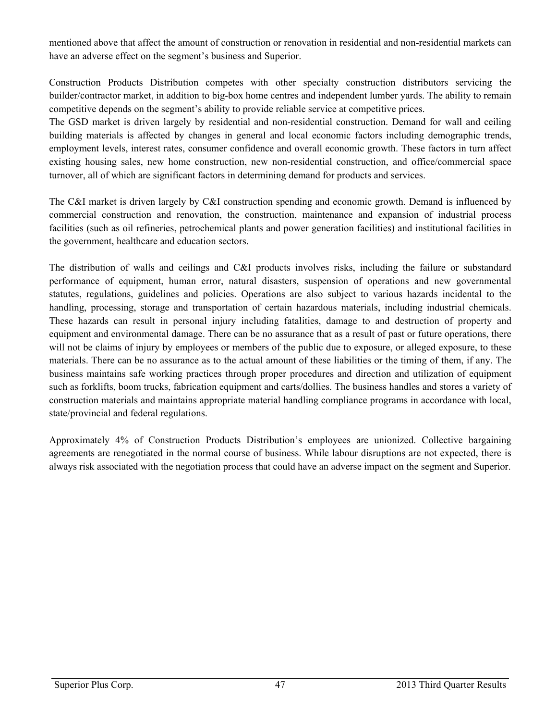mentioned above that affect the amount of construction or renovation in residential and non-residential markets can have an adverse effect on the segment's business and Superior.

Construction Products Distribution competes with other specialty construction distributors servicing the builder/contractor market, in addition to big-box home centres and independent lumber yards. The ability to remain competitive depends on the segment's ability to provide reliable service at competitive prices.

The GSD market is driven largely by residential and non-residential construction. Demand for wall and ceiling building materials is affected by changes in general and local economic factors including demographic trends, employment levels, interest rates, consumer confidence and overall economic growth. These factors in turn affect existing housing sales, new home construction, new non-residential construction, and office/commercial space turnover, all of which are significant factors in determining demand for products and services.

The C&I market is driven largely by C&I construction spending and economic growth. Demand is influenced by commercial construction and renovation, the construction, maintenance and expansion of industrial process facilities (such as oil refineries, petrochemical plants and power generation facilities) and institutional facilities in the government, healthcare and education sectors.

The distribution of walls and ceilings and C&I products involves risks, including the failure or substandard performance of equipment, human error, natural disasters, suspension of operations and new governmental statutes, regulations, guidelines and policies. Operations are also subject to various hazards incidental to the handling, processing, storage and transportation of certain hazardous materials, including industrial chemicals. These hazards can result in personal injury including fatalities, damage to and destruction of property and equipment and environmental damage. There can be no assurance that as a result of past or future operations, there will not be claims of injury by employees or members of the public due to exposure, or alleged exposure, to these materials. There can be no assurance as to the actual amount of these liabilities or the timing of them, if any. The business maintains safe working practices through proper procedures and direction and utilization of equipment such as forklifts, boom trucks, fabrication equipment and carts/dollies. The business handles and stores a variety of construction materials and maintains appropriate material handling compliance programs in accordance with local, state/provincial and federal regulations.

Approximately 4% of Construction Products Distribution's employees are unionized. Collective bargaining agreements are renegotiated in the normal course of business. While labour disruptions are not expected, there is always risk associated with the negotiation process that could have an adverse impact on the segment and Superior.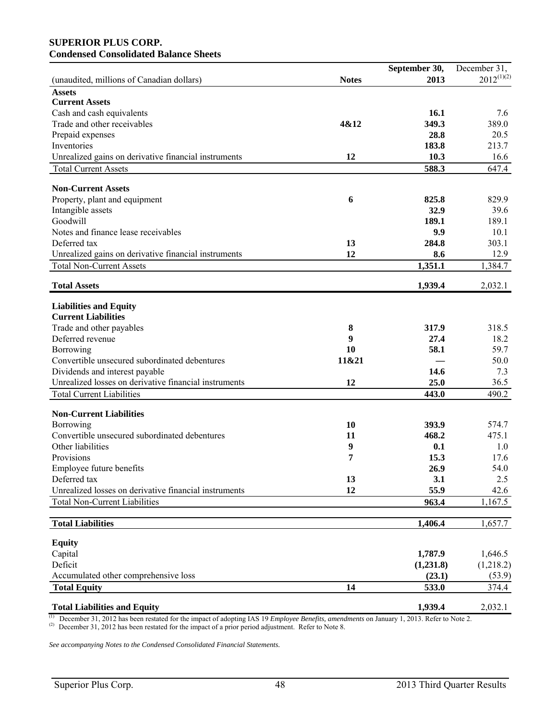#### **SUPERIOR PLUS CORP. Condensed Consolidated Balance Sheets**

|                                                             |              | September 30, | December 31,    |
|-------------------------------------------------------------|--------------|---------------|-----------------|
| (unaudited, millions of Canadian dollars)                   | <b>Notes</b> | 2013          | $2012^{(1)(2)}$ |
| <b>Assets</b>                                               |              |               |                 |
| <b>Current Assets</b>                                       |              |               |                 |
| Cash and cash equivalents                                   |              | 16.1          | 7.6             |
| Trade and other receivables                                 | 4&12         | 349.3         | 389.0           |
| Prepaid expenses                                            |              | 28.8          | 20.5            |
| Inventories                                                 |              | 183.8         | 213.7           |
| Unrealized gains on derivative financial instruments        | 12           | 10.3          | 16.6            |
| <b>Total Current Assets</b>                                 |              | 588.3         | 647.4           |
| <b>Non-Current Assets</b>                                   |              |               |                 |
| Property, plant and equipment                               | 6            | 825.8         | 829.9           |
| Intangible assets                                           |              | 32.9          | 39.6            |
| Goodwill                                                    |              | 189.1         | 189.1           |
| Notes and finance lease receivables                         |              | 9.9           | 10.1            |
| Deferred tax                                                | 13           | 284.8         | 303.1           |
| Unrealized gains on derivative financial instruments        | 12           | 8.6           | 12.9            |
|                                                             |              | 1,351.1       | 1,384.7         |
| <b>Total Non-Current Assets</b>                             |              |               |                 |
| <b>Total Assets</b>                                         |              | 1,939.4       | 2,032.1         |
|                                                             |              |               |                 |
| <b>Liabilities and Equity</b><br><b>Current Liabilities</b> |              |               |                 |
| Trade and other payables                                    |              | 317.9         | 318.5           |
| Deferred revenue                                            | 8<br>9       | 27.4          | 18.2            |
| Borrowing                                                   | 10           | 58.1          | 59.7            |
| Convertible unsecured subordinated debentures               | 11&21        |               | 50.0            |
|                                                             |              | 14.6          | 7.3             |
| Dividends and interest payable                              |              |               |                 |
| Unrealized losses on derivative financial instruments       | 12           | 25.0          | 36.5            |
| <b>Total Current Liabilities</b>                            |              | 443.0         | 490.2           |
| <b>Non-Current Liabilities</b>                              |              |               |                 |
| Borrowing                                                   | 10           | 393.9         | 574.7           |
| Convertible unsecured subordinated debentures               | 11           | 468.2         | 475.1           |
| Other liabilities                                           | 9            | 0.1           | 1.0             |
| Provisions                                                  | 7            | 15.3          | 17.6            |
| Employee future benefits                                    |              | 26.9          | 54.0            |
| Deferred tax                                                | 13           | 3.1           | 2.5             |
| Unrealized losses on derivative financial instruments       | 12           | 55.9          | 42.6            |
| <b>Total Non-Current Liabilities</b>                        |              | 963.4         | 1,167.5         |
|                                                             |              |               |                 |
| <b>Total Liabilities</b>                                    |              | 1,406.4       | 1,657.7         |
| <b>Equity</b>                                               |              |               |                 |
| Capital                                                     |              | 1,787.9       | 1,646.5         |
| Deficit                                                     |              | (1,231.8)     | (1,218.2)       |
| Accumulated other comprehensive loss                        |              | (23.1)        | (53.9)          |
| <b>Total Equity</b>                                         | 14           | 533.0         | 374.4           |
| <b>Total Liabilities and Equity</b>                         |              | 1,939.4       | 2,032.1         |

(1) December 31, 2012 has been restated for the impact of adopting IAS 19 *Employee Benefits, amendments* on January 1, 2013. Refer to Note 2.

(2) December 31, 2012 has been restated for the impact of a prior period adjustment. Refer to Note 8.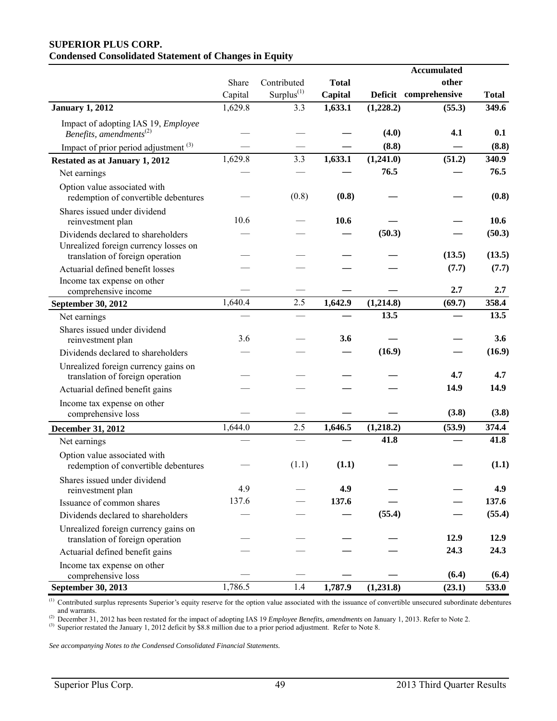#### **SUPERIOR PLUS CORP. Condensed Consolidated Statement of Changes in Equity**

|                                                                            |         |                        |              |           | <b>Accumulated</b>    |              |
|----------------------------------------------------------------------------|---------|------------------------|--------------|-----------|-----------------------|--------------|
|                                                                            | Share   | Contributed            | <b>Total</b> |           | other                 |              |
|                                                                            | Capital | Surplus <sup>(1)</sup> | Capital      |           | Deficit comprehensive | <b>Total</b> |
| <b>January 1, 2012</b>                                                     | 1,629.8 | 3.3                    | 1,633.1      | (1,228.2) | (55.3)                | 349.6        |
| Impact of adopting IAS 19, Employee<br>Benefits, amendments <sup>(2)</sup> |         |                        |              | (4.0)     | 4.1                   | 0.1          |
| Impact of prior period adjustment <sup>(3)</sup>                           |         |                        |              | (8.8)     |                       | (8.8)        |
| Restated as at January 1, 2012                                             | 1,629.8 | 3.3                    | 1,633.1      | (1,241.0) | (51.2)                | 340.9        |
| Net earnings                                                               |         |                        |              | 76.5      |                       | 76.5         |
| Option value associated with<br>redemption of convertible debentures       |         | (0.8)                  | (0.8)        |           |                       | (0.8)        |
| Shares issued under dividend<br>reinvestment plan                          | 10.6    |                        | 10.6         |           |                       | 10.6         |
| Dividends declared to shareholders                                         |         |                        |              | (50.3)    |                       | (50.3)       |
| Unrealized foreign currency losses on                                      |         |                        |              |           | (13.5)                | (13.5)       |
| translation of foreign operation                                           |         |                        |              |           | (7.7)                 | (7.7)        |
| Actuarial defined benefit losses<br>Income tax expense on other            |         |                        |              |           |                       |              |
| comprehensive income                                                       |         |                        |              |           | 2.7                   | 2.7          |
| <b>September 30, 2012</b>                                                  | 1,640.4 | 2.5                    | 1,642.9      | (1,214.8) | (69.7)                | 358.4        |
| Net earnings                                                               |         |                        |              | 13.5      |                       | 13.5         |
| Shares issued under dividend<br>reinvestment plan                          | 3.6     |                        | 3.6          |           |                       | 3.6          |
| Dividends declared to shareholders                                         |         |                        |              | (16.9)    |                       | (16.9)       |
| Unrealized foreign currency gains on<br>translation of foreign operation   |         |                        |              |           | 4.7                   | 4.7          |
| Actuarial defined benefit gains                                            |         |                        |              |           | 14.9                  | 14.9         |
| Income tax expense on other<br>comprehensive loss                          |         |                        |              |           | (3.8)                 | (3.8)        |
| December 31, 2012                                                          | 1,644.0 | 2.5                    | 1,646.5      | (1,218.2) | (53.9)                | 374.4        |
| Net earnings                                                               |         |                        |              | 41.8      |                       | 41.8         |
| Option value associated with<br>redemption of convertible debentures       |         | (1.1)                  | (1.1)        |           |                       | (1.1)        |
| Shares issued under dividend                                               |         |                        |              |           |                       |              |
| reinvestment plan                                                          | 4.9     |                        | 4.9          |           |                       | 4.9          |
| Issuance of common shares                                                  | 137.6   |                        | 137.6        |           |                       | 137.6        |
| Dividends declared to shareholders                                         |         |                        |              | (55.4)    |                       | (55.4)       |
| Unrealized foreign currency gains on<br>translation of foreign operation   |         |                        |              |           | 12.9                  | 12.9         |
| Actuarial defined benefit gains                                            |         |                        |              |           | 24.3                  | 24.3         |
| Income tax expense on other<br>comprehensive loss                          |         |                        |              |           | (6.4)                 | (6.4)        |
| September 30, 2013                                                         | 1,786.5 | 1.4                    | 1,787.9      | (1,231.8) | (23.1)                | 533.0        |

(1) Contributed surplus represents Superior's equity reserve for the option value associated with the issuance of convertible unsecured subordinate debentures and warrants.

(2) December 31, 2012 has been restated for the impact of adopting IAS 19 *Employee Benefits, amendments* on January 1, 2013. Refer to Note 2.

 $(3)$  Superior restated the January 1, 2012 deficit by \$8.8 million due to a prior period adjustment. Refer to Note 8.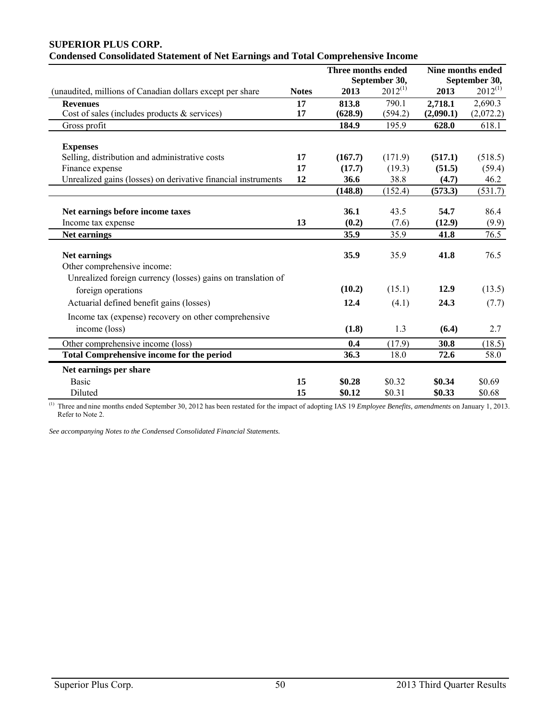|                                                               |              | Three months ended<br>September 30, |              |           | Nine months ended<br>September 30, |
|---------------------------------------------------------------|--------------|-------------------------------------|--------------|-----------|------------------------------------|
| (unaudited, millions of Canadian dollars except per share     | <b>Notes</b> | 2013                                | $2012^{(1)}$ | 2013      | $2012^{(1)}$                       |
| <b>Revenues</b>                                               | 17           | 813.8                               | 790.1        | 2,718.1   | 2,690.3                            |
| Cost of sales (includes products & services)                  | 17           | (628.9)                             | (594.2)      | (2,090.1) | (2,072.2)                          |
| Gross profit                                                  |              | 184.9                               | 195.9        | 628.0     | 618.1                              |
| <b>Expenses</b>                                               |              |                                     |              |           |                                    |
| Selling, distribution and administrative costs                | 17           | (167.7)                             | (171.9)      | (517.1)   | (518.5)                            |
| Finance expense                                               | 17           | (17.7)                              | (19.3)       | (51.5)    | (59.4)                             |
| Unrealized gains (losses) on derivative financial instruments | 12           | 36.6                                | 38.8         | (4.7)     | 46.2                               |
|                                                               |              | (148.8)                             | (152.4)      | (573.3)   | (531.7)                            |
| Net earnings before income taxes                              |              | 36.1                                | 43.5         | 54.7      | 86.4                               |
| Income tax expense                                            | 13           | (0.2)                               | (7.6)        | (12.9)    | (9.9)                              |
| <b>Net earnings</b>                                           |              | 35.9                                | 35.9         | 41.8      | 76.5                               |
| <b>Net earnings</b>                                           |              | 35.9                                | 35.9         | 41.8      | 76.5                               |
| Other comprehensive income:                                   |              |                                     |              |           |                                    |
| Unrealized foreign currency (losses) gains on translation of  |              |                                     |              |           |                                    |
| foreign operations                                            |              | (10.2)                              | (15.1)       | 12.9      | (13.5)                             |
| Actuarial defined benefit gains (losses)                      |              | 12.4                                | (4.1)        | 24.3      | (7.7)                              |
| Income tax (expense) recovery on other comprehensive          |              |                                     |              |           |                                    |
| income (loss)                                                 |              | (1.8)                               | 1.3          | (6.4)     | 2.7                                |
| Other comprehensive income (loss)                             |              | 0.4                                 | (17.9)       | 30.8      | (18.5)                             |
| <b>Total Comprehensive income for the period</b>              |              | 36.3                                | 18.0         | 72.6      | 58.0                               |
| Net earnings per share                                        |              |                                     |              |           |                                    |
| <b>Basic</b>                                                  | 15           | \$0.28                              | \$0.32       | \$0.34    | \$0.69                             |
| Diluted                                                       | 15           | \$0.12                              | \$0.31       | \$0.33    | \$0.68                             |

#### **SUPERIOR PLUS CORP. Condensed Consolidated Statement of Net Earnings and Total Comprehensive Income**

(1) Three and nine months ended September 30, 2012 has been restated for the impact of adopting IAS 19 *Employee Benefits, amendments* on January 1, 2013. Refer to Note 2.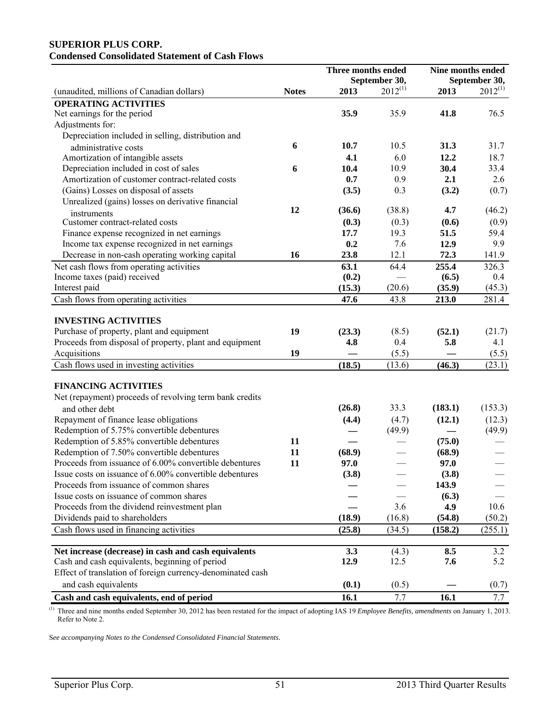#### **SUPERIOR PLUS CORP. Condensed Consolidated Statement of Cash Flows**

| September 30,<br>September 30,<br>$2012^{(1)}$<br>$2012^{(1)}$<br>(unaudited, millions of Canadian dollars)<br><b>Notes</b><br>2013<br>2013<br><b>OPERATING ACTIVITIES</b><br>Net earnings for the period<br>35.9<br>35.9<br>41.8<br>76.5<br>Adjustments for:<br>Depreciation included in selling, distribution and<br>31.7<br>10.7<br>10.5<br>31.3<br>6<br>administrative costs<br>12.2<br>Amortization of intangible assets<br>4.1<br>6.0<br>18.7<br>10.4<br>30.4<br>33.4<br>Depreciation included in cost of sales<br>10.9<br>6<br>Amortization of customer contract-related costs<br>0.7<br>2.1<br>0.9<br>2.6<br>(Gains) Losses on disposal of assets<br>(3.5)<br>0.3<br>(3.2)<br>(0.7)<br>Unrealized (gains) losses on derivative financial<br>12<br>(38.8)<br>4.7<br>(46.2)<br>(36.6)<br>instruments<br>Customer contract-related costs<br>(0.3)<br>(0.3)<br>(0.9)<br>(0.6)<br>Finance expense recognized in net earnings<br>17.7<br>19.3<br>51.5<br>59.4<br>Income tax expense recognized in net earnings<br>0.2<br>7.6<br>9.9<br>12.9<br>Decrease in non-cash operating working capital<br>16<br>23.8<br>12.1<br>72.3<br>141.9<br>Net cash flows from operating activities<br>64.4<br>326.3<br>63.1<br>255.4<br>(0.2)<br>Income taxes (paid) received<br>(6.5)<br>0.4<br>Interest paid<br>(15.3)<br>(20.6)<br>(35.9)<br>(45.3)<br>Cash flows from operating activities<br>43.8<br>281.4<br>47.6<br>213.0<br><b>INVESTING ACTIVITIES</b><br>Purchase of property, plant and equipment<br>19<br>(23.3)<br>(52.1)<br>(8.5)<br>(21.7)<br>Proceeds from disposal of property, plant and equipment<br>4.8<br>0.4<br>5.8<br>4.1<br>Acquisitions<br>19<br>(5.5)<br>(5.5)<br>Cash flows used in investing activities<br>(13.6)<br>(18.5)<br>(46.3)<br>(23.1)<br><b>FINANCING ACTIVITIES</b><br>Net (repayment) proceeds of revolving term bank credits<br>(26.8)<br>33.3<br>(183.1)<br>(153.3)<br>and other debt<br>Repayment of finance lease obligations<br>(12.3)<br>(4.4)<br>(12.1)<br>(4.7)<br>Redemption of 5.75% convertible debentures<br>(49.9)<br>(49.9)<br>Redemption of 5.85% convertible debentures<br>11<br>(75.0)<br>Redemption of 7.50% convertible debentures<br>11<br>(68.9)<br>(68.9)<br>11<br>97.0<br>Proceeds from issuance of 6.00% convertible debentures<br>97.0<br>(3.8)<br>(3.8)<br>Issue costs on issuance of 6.00% convertible debentures<br>Proceeds from issuance of common shares<br>143.9<br>Issue costs on issuance of common shares<br>(6.3)<br>4.9<br>Proceeds from the dividend reinvestment plan<br>3.6<br>10.6<br>Dividends paid to shareholders<br>(18.9)<br>(50.2)<br>(16.8)<br>(54.8)<br>Cash flows used in financing activities<br>(34.5)<br>(255.1)<br>(25.8)<br>(158.2)<br>Net increase (decrease) in cash and cash equivalents<br>3.3<br>(4.3)<br>8.5<br>3.2<br>Cash and cash equivalents, beginning of period<br>12.9<br>12.5<br>7.6<br>5.2<br>Effect of translation of foreign currency-denominated cash<br>and cash equivalents<br>(0.1)<br>(0.5)<br>(0.7) |  | Three months ended |  | Nine months ended |  |
|-----------------------------------------------------------------------------------------------------------------------------------------------------------------------------------------------------------------------------------------------------------------------------------------------------------------------------------------------------------------------------------------------------------------------------------------------------------------------------------------------------------------------------------------------------------------------------------------------------------------------------------------------------------------------------------------------------------------------------------------------------------------------------------------------------------------------------------------------------------------------------------------------------------------------------------------------------------------------------------------------------------------------------------------------------------------------------------------------------------------------------------------------------------------------------------------------------------------------------------------------------------------------------------------------------------------------------------------------------------------------------------------------------------------------------------------------------------------------------------------------------------------------------------------------------------------------------------------------------------------------------------------------------------------------------------------------------------------------------------------------------------------------------------------------------------------------------------------------------------------------------------------------------------------------------------------------------------------------------------------------------------------------------------------------------------------------------------------------------------------------------------------------------------------------------------------------------------------------------------------------------------------------------------------------------------------------------------------------------------------------------------------------------------------------------------------------------------------------------------------------------------------------------------------------------------------------------------------------------------------------------------------------------------------------------------------------------------------------------------------------------------------------------------------------------------------------------------------------------------------------------------------------------------------------------------------------------------------------------------------------------------|--|--------------------|--|-------------------|--|
|                                                                                                                                                                                                                                                                                                                                                                                                                                                                                                                                                                                                                                                                                                                                                                                                                                                                                                                                                                                                                                                                                                                                                                                                                                                                                                                                                                                                                                                                                                                                                                                                                                                                                                                                                                                                                                                                                                                                                                                                                                                                                                                                                                                                                                                                                                                                                                                                                                                                                                                                                                                                                                                                                                                                                                                                                                                                                                                                                                                                           |  |                    |  |                   |  |
|                                                                                                                                                                                                                                                                                                                                                                                                                                                                                                                                                                                                                                                                                                                                                                                                                                                                                                                                                                                                                                                                                                                                                                                                                                                                                                                                                                                                                                                                                                                                                                                                                                                                                                                                                                                                                                                                                                                                                                                                                                                                                                                                                                                                                                                                                                                                                                                                                                                                                                                                                                                                                                                                                                                                                                                                                                                                                                                                                                                                           |  |                    |  |                   |  |
|                                                                                                                                                                                                                                                                                                                                                                                                                                                                                                                                                                                                                                                                                                                                                                                                                                                                                                                                                                                                                                                                                                                                                                                                                                                                                                                                                                                                                                                                                                                                                                                                                                                                                                                                                                                                                                                                                                                                                                                                                                                                                                                                                                                                                                                                                                                                                                                                                                                                                                                                                                                                                                                                                                                                                                                                                                                                                                                                                                                                           |  |                    |  |                   |  |
|                                                                                                                                                                                                                                                                                                                                                                                                                                                                                                                                                                                                                                                                                                                                                                                                                                                                                                                                                                                                                                                                                                                                                                                                                                                                                                                                                                                                                                                                                                                                                                                                                                                                                                                                                                                                                                                                                                                                                                                                                                                                                                                                                                                                                                                                                                                                                                                                                                                                                                                                                                                                                                                                                                                                                                                                                                                                                                                                                                                                           |  |                    |  |                   |  |
|                                                                                                                                                                                                                                                                                                                                                                                                                                                                                                                                                                                                                                                                                                                                                                                                                                                                                                                                                                                                                                                                                                                                                                                                                                                                                                                                                                                                                                                                                                                                                                                                                                                                                                                                                                                                                                                                                                                                                                                                                                                                                                                                                                                                                                                                                                                                                                                                                                                                                                                                                                                                                                                                                                                                                                                                                                                                                                                                                                                                           |  |                    |  |                   |  |
|                                                                                                                                                                                                                                                                                                                                                                                                                                                                                                                                                                                                                                                                                                                                                                                                                                                                                                                                                                                                                                                                                                                                                                                                                                                                                                                                                                                                                                                                                                                                                                                                                                                                                                                                                                                                                                                                                                                                                                                                                                                                                                                                                                                                                                                                                                                                                                                                                                                                                                                                                                                                                                                                                                                                                                                                                                                                                                                                                                                                           |  |                    |  |                   |  |
|                                                                                                                                                                                                                                                                                                                                                                                                                                                                                                                                                                                                                                                                                                                                                                                                                                                                                                                                                                                                                                                                                                                                                                                                                                                                                                                                                                                                                                                                                                                                                                                                                                                                                                                                                                                                                                                                                                                                                                                                                                                                                                                                                                                                                                                                                                                                                                                                                                                                                                                                                                                                                                                                                                                                                                                                                                                                                                                                                                                                           |  |                    |  |                   |  |
|                                                                                                                                                                                                                                                                                                                                                                                                                                                                                                                                                                                                                                                                                                                                                                                                                                                                                                                                                                                                                                                                                                                                                                                                                                                                                                                                                                                                                                                                                                                                                                                                                                                                                                                                                                                                                                                                                                                                                                                                                                                                                                                                                                                                                                                                                                                                                                                                                                                                                                                                                                                                                                                                                                                                                                                                                                                                                                                                                                                                           |  |                    |  |                   |  |
|                                                                                                                                                                                                                                                                                                                                                                                                                                                                                                                                                                                                                                                                                                                                                                                                                                                                                                                                                                                                                                                                                                                                                                                                                                                                                                                                                                                                                                                                                                                                                                                                                                                                                                                                                                                                                                                                                                                                                                                                                                                                                                                                                                                                                                                                                                                                                                                                                                                                                                                                                                                                                                                                                                                                                                                                                                                                                                                                                                                                           |  |                    |  |                   |  |
|                                                                                                                                                                                                                                                                                                                                                                                                                                                                                                                                                                                                                                                                                                                                                                                                                                                                                                                                                                                                                                                                                                                                                                                                                                                                                                                                                                                                                                                                                                                                                                                                                                                                                                                                                                                                                                                                                                                                                                                                                                                                                                                                                                                                                                                                                                                                                                                                                                                                                                                                                                                                                                                                                                                                                                                                                                                                                                                                                                                                           |  |                    |  |                   |  |
|                                                                                                                                                                                                                                                                                                                                                                                                                                                                                                                                                                                                                                                                                                                                                                                                                                                                                                                                                                                                                                                                                                                                                                                                                                                                                                                                                                                                                                                                                                                                                                                                                                                                                                                                                                                                                                                                                                                                                                                                                                                                                                                                                                                                                                                                                                                                                                                                                                                                                                                                                                                                                                                                                                                                                                                                                                                                                                                                                                                                           |  |                    |  |                   |  |
|                                                                                                                                                                                                                                                                                                                                                                                                                                                                                                                                                                                                                                                                                                                                                                                                                                                                                                                                                                                                                                                                                                                                                                                                                                                                                                                                                                                                                                                                                                                                                                                                                                                                                                                                                                                                                                                                                                                                                                                                                                                                                                                                                                                                                                                                                                                                                                                                                                                                                                                                                                                                                                                                                                                                                                                                                                                                                                                                                                                                           |  |                    |  |                   |  |
|                                                                                                                                                                                                                                                                                                                                                                                                                                                                                                                                                                                                                                                                                                                                                                                                                                                                                                                                                                                                                                                                                                                                                                                                                                                                                                                                                                                                                                                                                                                                                                                                                                                                                                                                                                                                                                                                                                                                                                                                                                                                                                                                                                                                                                                                                                                                                                                                                                                                                                                                                                                                                                                                                                                                                                                                                                                                                                                                                                                                           |  |                    |  |                   |  |
|                                                                                                                                                                                                                                                                                                                                                                                                                                                                                                                                                                                                                                                                                                                                                                                                                                                                                                                                                                                                                                                                                                                                                                                                                                                                                                                                                                                                                                                                                                                                                                                                                                                                                                                                                                                                                                                                                                                                                                                                                                                                                                                                                                                                                                                                                                                                                                                                                                                                                                                                                                                                                                                                                                                                                                                                                                                                                                                                                                                                           |  |                    |  |                   |  |
|                                                                                                                                                                                                                                                                                                                                                                                                                                                                                                                                                                                                                                                                                                                                                                                                                                                                                                                                                                                                                                                                                                                                                                                                                                                                                                                                                                                                                                                                                                                                                                                                                                                                                                                                                                                                                                                                                                                                                                                                                                                                                                                                                                                                                                                                                                                                                                                                                                                                                                                                                                                                                                                                                                                                                                                                                                                                                                                                                                                                           |  |                    |  |                   |  |
|                                                                                                                                                                                                                                                                                                                                                                                                                                                                                                                                                                                                                                                                                                                                                                                                                                                                                                                                                                                                                                                                                                                                                                                                                                                                                                                                                                                                                                                                                                                                                                                                                                                                                                                                                                                                                                                                                                                                                                                                                                                                                                                                                                                                                                                                                                                                                                                                                                                                                                                                                                                                                                                                                                                                                                                                                                                                                                                                                                                                           |  |                    |  |                   |  |
|                                                                                                                                                                                                                                                                                                                                                                                                                                                                                                                                                                                                                                                                                                                                                                                                                                                                                                                                                                                                                                                                                                                                                                                                                                                                                                                                                                                                                                                                                                                                                                                                                                                                                                                                                                                                                                                                                                                                                                                                                                                                                                                                                                                                                                                                                                                                                                                                                                                                                                                                                                                                                                                                                                                                                                                                                                                                                                                                                                                                           |  |                    |  |                   |  |
|                                                                                                                                                                                                                                                                                                                                                                                                                                                                                                                                                                                                                                                                                                                                                                                                                                                                                                                                                                                                                                                                                                                                                                                                                                                                                                                                                                                                                                                                                                                                                                                                                                                                                                                                                                                                                                                                                                                                                                                                                                                                                                                                                                                                                                                                                                                                                                                                                                                                                                                                                                                                                                                                                                                                                                                                                                                                                                                                                                                                           |  |                    |  |                   |  |
|                                                                                                                                                                                                                                                                                                                                                                                                                                                                                                                                                                                                                                                                                                                                                                                                                                                                                                                                                                                                                                                                                                                                                                                                                                                                                                                                                                                                                                                                                                                                                                                                                                                                                                                                                                                                                                                                                                                                                                                                                                                                                                                                                                                                                                                                                                                                                                                                                                                                                                                                                                                                                                                                                                                                                                                                                                                                                                                                                                                                           |  |                    |  |                   |  |
|                                                                                                                                                                                                                                                                                                                                                                                                                                                                                                                                                                                                                                                                                                                                                                                                                                                                                                                                                                                                                                                                                                                                                                                                                                                                                                                                                                                                                                                                                                                                                                                                                                                                                                                                                                                                                                                                                                                                                                                                                                                                                                                                                                                                                                                                                                                                                                                                                                                                                                                                                                                                                                                                                                                                                                                                                                                                                                                                                                                                           |  |                    |  |                   |  |
|                                                                                                                                                                                                                                                                                                                                                                                                                                                                                                                                                                                                                                                                                                                                                                                                                                                                                                                                                                                                                                                                                                                                                                                                                                                                                                                                                                                                                                                                                                                                                                                                                                                                                                                                                                                                                                                                                                                                                                                                                                                                                                                                                                                                                                                                                                                                                                                                                                                                                                                                                                                                                                                                                                                                                                                                                                                                                                                                                                                                           |  |                    |  |                   |  |
|                                                                                                                                                                                                                                                                                                                                                                                                                                                                                                                                                                                                                                                                                                                                                                                                                                                                                                                                                                                                                                                                                                                                                                                                                                                                                                                                                                                                                                                                                                                                                                                                                                                                                                                                                                                                                                                                                                                                                                                                                                                                                                                                                                                                                                                                                                                                                                                                                                                                                                                                                                                                                                                                                                                                                                                                                                                                                                                                                                                                           |  |                    |  |                   |  |
|                                                                                                                                                                                                                                                                                                                                                                                                                                                                                                                                                                                                                                                                                                                                                                                                                                                                                                                                                                                                                                                                                                                                                                                                                                                                                                                                                                                                                                                                                                                                                                                                                                                                                                                                                                                                                                                                                                                                                                                                                                                                                                                                                                                                                                                                                                                                                                                                                                                                                                                                                                                                                                                                                                                                                                                                                                                                                                                                                                                                           |  |                    |  |                   |  |
|                                                                                                                                                                                                                                                                                                                                                                                                                                                                                                                                                                                                                                                                                                                                                                                                                                                                                                                                                                                                                                                                                                                                                                                                                                                                                                                                                                                                                                                                                                                                                                                                                                                                                                                                                                                                                                                                                                                                                                                                                                                                                                                                                                                                                                                                                                                                                                                                                                                                                                                                                                                                                                                                                                                                                                                                                                                                                                                                                                                                           |  |                    |  |                   |  |
|                                                                                                                                                                                                                                                                                                                                                                                                                                                                                                                                                                                                                                                                                                                                                                                                                                                                                                                                                                                                                                                                                                                                                                                                                                                                                                                                                                                                                                                                                                                                                                                                                                                                                                                                                                                                                                                                                                                                                                                                                                                                                                                                                                                                                                                                                                                                                                                                                                                                                                                                                                                                                                                                                                                                                                                                                                                                                                                                                                                                           |  |                    |  |                   |  |
|                                                                                                                                                                                                                                                                                                                                                                                                                                                                                                                                                                                                                                                                                                                                                                                                                                                                                                                                                                                                                                                                                                                                                                                                                                                                                                                                                                                                                                                                                                                                                                                                                                                                                                                                                                                                                                                                                                                                                                                                                                                                                                                                                                                                                                                                                                                                                                                                                                                                                                                                                                                                                                                                                                                                                                                                                                                                                                                                                                                                           |  |                    |  |                   |  |
|                                                                                                                                                                                                                                                                                                                                                                                                                                                                                                                                                                                                                                                                                                                                                                                                                                                                                                                                                                                                                                                                                                                                                                                                                                                                                                                                                                                                                                                                                                                                                                                                                                                                                                                                                                                                                                                                                                                                                                                                                                                                                                                                                                                                                                                                                                                                                                                                                                                                                                                                                                                                                                                                                                                                                                                                                                                                                                                                                                                                           |  |                    |  |                   |  |
|                                                                                                                                                                                                                                                                                                                                                                                                                                                                                                                                                                                                                                                                                                                                                                                                                                                                                                                                                                                                                                                                                                                                                                                                                                                                                                                                                                                                                                                                                                                                                                                                                                                                                                                                                                                                                                                                                                                                                                                                                                                                                                                                                                                                                                                                                                                                                                                                                                                                                                                                                                                                                                                                                                                                                                                                                                                                                                                                                                                                           |  |                    |  |                   |  |
|                                                                                                                                                                                                                                                                                                                                                                                                                                                                                                                                                                                                                                                                                                                                                                                                                                                                                                                                                                                                                                                                                                                                                                                                                                                                                                                                                                                                                                                                                                                                                                                                                                                                                                                                                                                                                                                                                                                                                                                                                                                                                                                                                                                                                                                                                                                                                                                                                                                                                                                                                                                                                                                                                                                                                                                                                                                                                                                                                                                                           |  |                    |  |                   |  |
|                                                                                                                                                                                                                                                                                                                                                                                                                                                                                                                                                                                                                                                                                                                                                                                                                                                                                                                                                                                                                                                                                                                                                                                                                                                                                                                                                                                                                                                                                                                                                                                                                                                                                                                                                                                                                                                                                                                                                                                                                                                                                                                                                                                                                                                                                                                                                                                                                                                                                                                                                                                                                                                                                                                                                                                                                                                                                                                                                                                                           |  |                    |  |                   |  |
|                                                                                                                                                                                                                                                                                                                                                                                                                                                                                                                                                                                                                                                                                                                                                                                                                                                                                                                                                                                                                                                                                                                                                                                                                                                                                                                                                                                                                                                                                                                                                                                                                                                                                                                                                                                                                                                                                                                                                                                                                                                                                                                                                                                                                                                                                                                                                                                                                                                                                                                                                                                                                                                                                                                                                                                                                                                                                                                                                                                                           |  |                    |  |                   |  |
|                                                                                                                                                                                                                                                                                                                                                                                                                                                                                                                                                                                                                                                                                                                                                                                                                                                                                                                                                                                                                                                                                                                                                                                                                                                                                                                                                                                                                                                                                                                                                                                                                                                                                                                                                                                                                                                                                                                                                                                                                                                                                                                                                                                                                                                                                                                                                                                                                                                                                                                                                                                                                                                                                                                                                                                                                                                                                                                                                                                                           |  |                    |  |                   |  |
|                                                                                                                                                                                                                                                                                                                                                                                                                                                                                                                                                                                                                                                                                                                                                                                                                                                                                                                                                                                                                                                                                                                                                                                                                                                                                                                                                                                                                                                                                                                                                                                                                                                                                                                                                                                                                                                                                                                                                                                                                                                                                                                                                                                                                                                                                                                                                                                                                                                                                                                                                                                                                                                                                                                                                                                                                                                                                                                                                                                                           |  |                    |  |                   |  |
|                                                                                                                                                                                                                                                                                                                                                                                                                                                                                                                                                                                                                                                                                                                                                                                                                                                                                                                                                                                                                                                                                                                                                                                                                                                                                                                                                                                                                                                                                                                                                                                                                                                                                                                                                                                                                                                                                                                                                                                                                                                                                                                                                                                                                                                                                                                                                                                                                                                                                                                                                                                                                                                                                                                                                                                                                                                                                                                                                                                                           |  |                    |  |                   |  |
|                                                                                                                                                                                                                                                                                                                                                                                                                                                                                                                                                                                                                                                                                                                                                                                                                                                                                                                                                                                                                                                                                                                                                                                                                                                                                                                                                                                                                                                                                                                                                                                                                                                                                                                                                                                                                                                                                                                                                                                                                                                                                                                                                                                                                                                                                                                                                                                                                                                                                                                                                                                                                                                                                                                                                                                                                                                                                                                                                                                                           |  |                    |  |                   |  |
|                                                                                                                                                                                                                                                                                                                                                                                                                                                                                                                                                                                                                                                                                                                                                                                                                                                                                                                                                                                                                                                                                                                                                                                                                                                                                                                                                                                                                                                                                                                                                                                                                                                                                                                                                                                                                                                                                                                                                                                                                                                                                                                                                                                                                                                                                                                                                                                                                                                                                                                                                                                                                                                                                                                                                                                                                                                                                                                                                                                                           |  |                    |  |                   |  |
|                                                                                                                                                                                                                                                                                                                                                                                                                                                                                                                                                                                                                                                                                                                                                                                                                                                                                                                                                                                                                                                                                                                                                                                                                                                                                                                                                                                                                                                                                                                                                                                                                                                                                                                                                                                                                                                                                                                                                                                                                                                                                                                                                                                                                                                                                                                                                                                                                                                                                                                                                                                                                                                                                                                                                                                                                                                                                                                                                                                                           |  |                    |  |                   |  |
|                                                                                                                                                                                                                                                                                                                                                                                                                                                                                                                                                                                                                                                                                                                                                                                                                                                                                                                                                                                                                                                                                                                                                                                                                                                                                                                                                                                                                                                                                                                                                                                                                                                                                                                                                                                                                                                                                                                                                                                                                                                                                                                                                                                                                                                                                                                                                                                                                                                                                                                                                                                                                                                                                                                                                                                                                                                                                                                                                                                                           |  |                    |  |                   |  |
|                                                                                                                                                                                                                                                                                                                                                                                                                                                                                                                                                                                                                                                                                                                                                                                                                                                                                                                                                                                                                                                                                                                                                                                                                                                                                                                                                                                                                                                                                                                                                                                                                                                                                                                                                                                                                                                                                                                                                                                                                                                                                                                                                                                                                                                                                                                                                                                                                                                                                                                                                                                                                                                                                                                                                                                                                                                                                                                                                                                                           |  |                    |  |                   |  |
|                                                                                                                                                                                                                                                                                                                                                                                                                                                                                                                                                                                                                                                                                                                                                                                                                                                                                                                                                                                                                                                                                                                                                                                                                                                                                                                                                                                                                                                                                                                                                                                                                                                                                                                                                                                                                                                                                                                                                                                                                                                                                                                                                                                                                                                                                                                                                                                                                                                                                                                                                                                                                                                                                                                                                                                                                                                                                                                                                                                                           |  |                    |  |                   |  |
|                                                                                                                                                                                                                                                                                                                                                                                                                                                                                                                                                                                                                                                                                                                                                                                                                                                                                                                                                                                                                                                                                                                                                                                                                                                                                                                                                                                                                                                                                                                                                                                                                                                                                                                                                                                                                                                                                                                                                                                                                                                                                                                                                                                                                                                                                                                                                                                                                                                                                                                                                                                                                                                                                                                                                                                                                                                                                                                                                                                                           |  |                    |  |                   |  |
|                                                                                                                                                                                                                                                                                                                                                                                                                                                                                                                                                                                                                                                                                                                                                                                                                                                                                                                                                                                                                                                                                                                                                                                                                                                                                                                                                                                                                                                                                                                                                                                                                                                                                                                                                                                                                                                                                                                                                                                                                                                                                                                                                                                                                                                                                                                                                                                                                                                                                                                                                                                                                                                                                                                                                                                                                                                                                                                                                                                                           |  |                    |  |                   |  |
|                                                                                                                                                                                                                                                                                                                                                                                                                                                                                                                                                                                                                                                                                                                                                                                                                                                                                                                                                                                                                                                                                                                                                                                                                                                                                                                                                                                                                                                                                                                                                                                                                                                                                                                                                                                                                                                                                                                                                                                                                                                                                                                                                                                                                                                                                                                                                                                                                                                                                                                                                                                                                                                                                                                                                                                                                                                                                                                                                                                                           |  |                    |  |                   |  |
|                                                                                                                                                                                                                                                                                                                                                                                                                                                                                                                                                                                                                                                                                                                                                                                                                                                                                                                                                                                                                                                                                                                                                                                                                                                                                                                                                                                                                                                                                                                                                                                                                                                                                                                                                                                                                                                                                                                                                                                                                                                                                                                                                                                                                                                                                                                                                                                                                                                                                                                                                                                                                                                                                                                                                                                                                                                                                                                                                                                                           |  |                    |  |                   |  |
|                                                                                                                                                                                                                                                                                                                                                                                                                                                                                                                                                                                                                                                                                                                                                                                                                                                                                                                                                                                                                                                                                                                                                                                                                                                                                                                                                                                                                                                                                                                                                                                                                                                                                                                                                                                                                                                                                                                                                                                                                                                                                                                                                                                                                                                                                                                                                                                                                                                                                                                                                                                                                                                                                                                                                                                                                                                                                                                                                                                                           |  |                    |  |                   |  |
| 7.7<br>7.7<br>Cash and cash equivalents, end of period<br>16.1<br>16.1                                                                                                                                                                                                                                                                                                                                                                                                                                                                                                                                                                                                                                                                                                                                                                                                                                                                                                                                                                                                                                                                                                                                                                                                                                                                                                                                                                                                                                                                                                                                                                                                                                                                                                                                                                                                                                                                                                                                                                                                                                                                                                                                                                                                                                                                                                                                                                                                                                                                                                                                                                                                                                                                                                                                                                                                                                                                                                                                    |  |                    |  |                   |  |

(1) Three and nine months ended September 30, 2012 has been restated for the impact of adopting IAS 19 *Employee Benefits, amendments* on January 1, 2013. Refer to Note 2.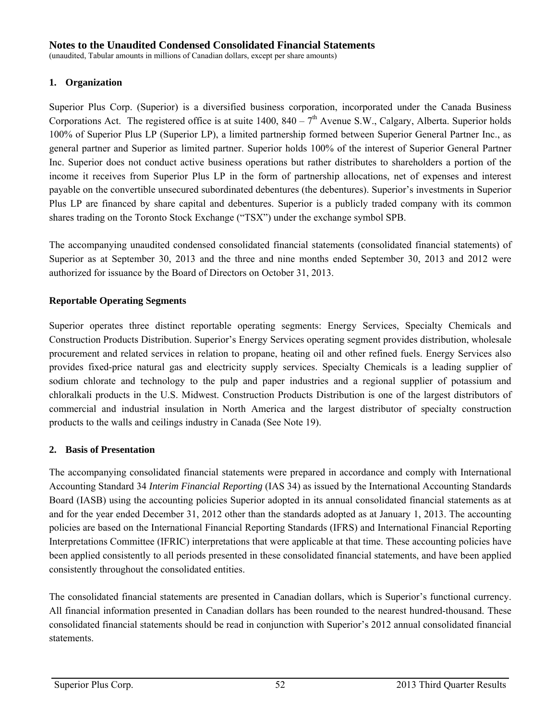# **Notes to the Unaudited Condensed Consolidated Financial Statements**

(unaudited, Tabular amounts in millions of Canadian dollars, except per share amounts)

## **1. Organization**

Superior Plus Corp. (Superior) is a diversified business corporation, incorporated under the Canada Business Corporations Act. The registered office is at suite  $1400$ ,  $840 - 7<sup>th</sup>$  Avenue S.W., Calgary, Alberta. Superior holds 100% of Superior Plus LP (Superior LP), a limited partnership formed between Superior General Partner Inc., as general partner and Superior as limited partner. Superior holds 100% of the interest of Superior General Partner Inc. Superior does not conduct active business operations but rather distributes to shareholders a portion of the income it receives from Superior Plus LP in the form of partnership allocations, net of expenses and interest payable on the convertible unsecured subordinated debentures (the debentures). Superior's investments in Superior Plus LP are financed by share capital and debentures. Superior is a publicly traded company with its common shares trading on the Toronto Stock Exchange ("TSX") under the exchange symbol SPB.

The accompanying unaudited condensed consolidated financial statements (consolidated financial statements) of Superior as at September 30, 2013 and the three and nine months ended September 30, 2013 and 2012 were authorized for issuance by the Board of Directors on October 31, 2013.

## **Reportable Operating Segments**

Superior operates three distinct reportable operating segments: Energy Services, Specialty Chemicals and Construction Products Distribution. Superior's Energy Services operating segment provides distribution, wholesale procurement and related services in relation to propane, heating oil and other refined fuels. Energy Services also provides fixed-price natural gas and electricity supply services. Specialty Chemicals is a leading supplier of sodium chlorate and technology to the pulp and paper industries and a regional supplier of potassium and chloralkali products in the U.S. Midwest. Construction Products Distribution is one of the largest distributors of commercial and industrial insulation in North America and the largest distributor of specialty construction products to the walls and ceilings industry in Canada (See Note 19).

### **2. Basis of Presentation**

The accompanying consolidated financial statements were prepared in accordance and comply with International Accounting Standard 34 *Interim Financial Reporting* (IAS 34) as issued by the International Accounting Standards Board (IASB) using the accounting policies Superior adopted in its annual consolidated financial statements as at and for the year ended December 31, 2012 other than the standards adopted as at January 1, 2013. The accounting policies are based on the International Financial Reporting Standards (IFRS) and International Financial Reporting Interpretations Committee (IFRIC) interpretations that were applicable at that time. These accounting policies have been applied consistently to all periods presented in these consolidated financial statements, and have been applied consistently throughout the consolidated entities.

The consolidated financial statements are presented in Canadian dollars, which is Superior's functional currency. All financial information presented in Canadian dollars has been rounded to the nearest hundred-thousand. These consolidated financial statements should be read in conjunction with Superior's 2012 annual consolidated financial statements.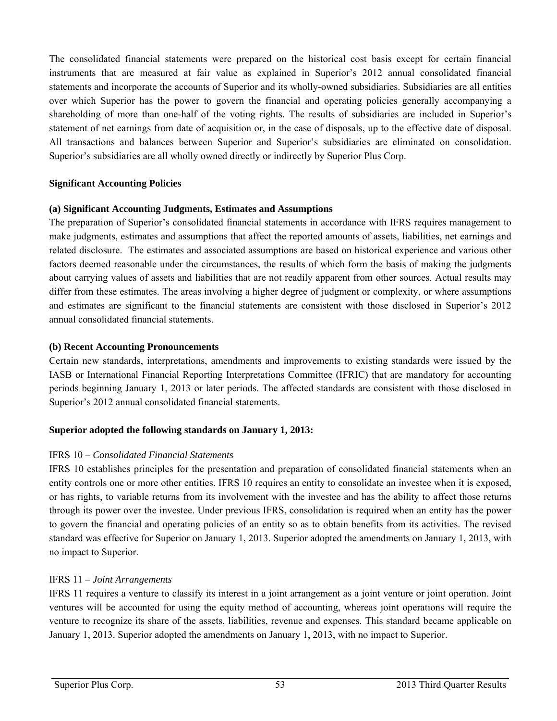The consolidated financial statements were prepared on the historical cost basis except for certain financial instruments that are measured at fair value as explained in Superior's 2012 annual consolidated financial statements and incorporate the accounts of Superior and its wholly-owned subsidiaries. Subsidiaries are all entities over which Superior has the power to govern the financial and operating policies generally accompanying a shareholding of more than one-half of the voting rights. The results of subsidiaries are included in Superior's statement of net earnings from date of acquisition or, in the case of disposals, up to the effective date of disposal. All transactions and balances between Superior and Superior's subsidiaries are eliminated on consolidation. Superior's subsidiaries are all wholly owned directly or indirectly by Superior Plus Corp.

## **Significant Accounting Policies**

### **(a) Significant Accounting Judgments, Estimates and Assumptions**

The preparation of Superior's consolidated financial statements in accordance with IFRS requires management to make judgments, estimates and assumptions that affect the reported amounts of assets, liabilities, net earnings and related disclosure. The estimates and associated assumptions are based on historical experience and various other factors deemed reasonable under the circumstances, the results of which form the basis of making the judgments about carrying values of assets and liabilities that are not readily apparent from other sources. Actual results may differ from these estimates. The areas involving a higher degree of judgment or complexity, or where assumptions and estimates are significant to the financial statements are consistent with those disclosed in Superior's 2012 annual consolidated financial statements.

## **(b) Recent Accounting Pronouncements**

Certain new standards, interpretations, amendments and improvements to existing standards were issued by the IASB or International Financial Reporting Interpretations Committee (IFRIC) that are mandatory for accounting periods beginning January 1, 2013 or later periods. The affected standards are consistent with those disclosed in Superior's 2012 annual consolidated financial statements.

# **Superior adopted the following standards on January 1, 2013:**

# IFRS 10 – *Consolidated Financial Statements*

IFRS 10 establishes principles for the presentation and preparation of consolidated financial statements when an entity controls one or more other entities. IFRS 10 requires an entity to consolidate an investee when it is exposed, or has rights, to variable returns from its involvement with the investee and has the ability to affect those returns through its power over the investee. Under previous IFRS, consolidation is required when an entity has the power to govern the financial and operating policies of an entity so as to obtain benefits from its activities. The revised standard was effective for Superior on January 1, 2013. Superior adopted the amendments on January 1, 2013, with no impact to Superior.

# IFRS 11 – *Joint Arrangements*

IFRS 11 requires a venture to classify its interest in a joint arrangement as a joint venture or joint operation. Joint ventures will be accounted for using the equity method of accounting, whereas joint operations will require the venture to recognize its share of the assets, liabilities, revenue and expenses. This standard became applicable on January 1, 2013. Superior adopted the amendments on January 1, 2013, with no impact to Superior.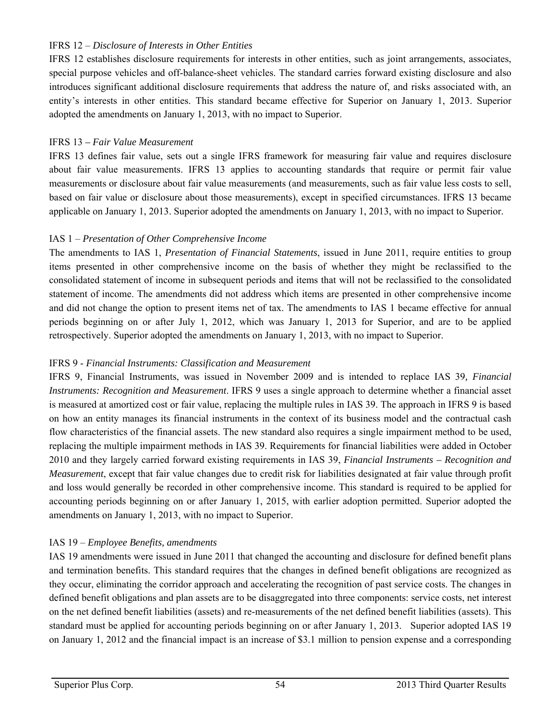## IFRS 12 – *Disclosure of Interests in Other Entities*

IFRS 12 establishes disclosure requirements for interests in other entities, such as joint arrangements, associates, special purpose vehicles and off-balance-sheet vehicles. The standard carries forward existing disclosure and also introduces significant additional disclosure requirements that address the nature of, and risks associated with, an entity's interests in other entities. This standard became effective for Superior on January 1, 2013. Superior adopted the amendments on January 1, 2013, with no impact to Superior.

## IFRS 13 *– Fair Value Measurement*

IFRS 13 defines fair value, sets out a single IFRS framework for measuring fair value and requires disclosure about fair value measurements. IFRS 13 applies to accounting standards that require or permit fair value measurements or disclosure about fair value measurements (and measurements, such as fair value less costs to sell, based on fair value or disclosure about those measurements), except in specified circumstances. IFRS 13 became applicable on January 1, 2013. Superior adopted the amendments on January 1, 2013, with no impact to Superior.

# IAS 1 – *Presentation of Other Comprehensive Income*

The amendments to IAS 1, *Presentation of Financial Statements*, issued in June 2011, require entities to group items presented in other comprehensive income on the basis of whether they might be reclassified to the consolidated statement of income in subsequent periods and items that will not be reclassified to the consolidated statement of income. The amendments did not address which items are presented in other comprehensive income and did not change the option to present items net of tax. The amendments to IAS 1 became effective for annual periods beginning on or after July 1, 2012, which was January 1, 2013 for Superior, and are to be applied retrospectively. Superior adopted the amendments on January 1, 2013, with no impact to Superior.

# IFRS 9 - *Financial Instruments: Classification and Measurement*

IFRS 9, Financial Instruments, was issued in November 2009 and is intended to replace IAS 39*, Financial Instruments: Recognition and Measurement*. IFRS 9 uses a single approach to determine whether a financial asset is measured at amortized cost or fair value, replacing the multiple rules in IAS 39. The approach in IFRS 9 is based on how an entity manages its financial instruments in the context of its business model and the contractual cash flow characteristics of the financial assets. The new standard also requires a single impairment method to be used, replacing the multiple impairment methods in IAS 39. Requirements for financial liabilities were added in October 2010 and they largely carried forward existing requirements in IAS 39, *Financial Instruments – Recognition and Measurement*, except that fair value changes due to credit risk for liabilities designated at fair value through profit and loss would generally be recorded in other comprehensive income. This standard is required to be applied for accounting periods beginning on or after January 1, 2015, with earlier adoption permitted. Superior adopted the amendments on January 1, 2013, with no impact to Superior.

# IAS 19 – *Employee Benefits, amendments*

IAS 19 amendments were issued in June 2011 that changed the accounting and disclosure for defined benefit plans and termination benefits. This standard requires that the changes in defined benefit obligations are recognized as they occur, eliminating the corridor approach and accelerating the recognition of past service costs. The changes in defined benefit obligations and plan assets are to be disaggregated into three components: service costs, net interest on the net defined benefit liabilities (assets) and re-measurements of the net defined benefit liabilities (assets). This standard must be applied for accounting periods beginning on or after January 1, 2013. Superior adopted IAS 19 on January 1, 2012 and the financial impact is an increase of \$3.1 million to pension expense and a corresponding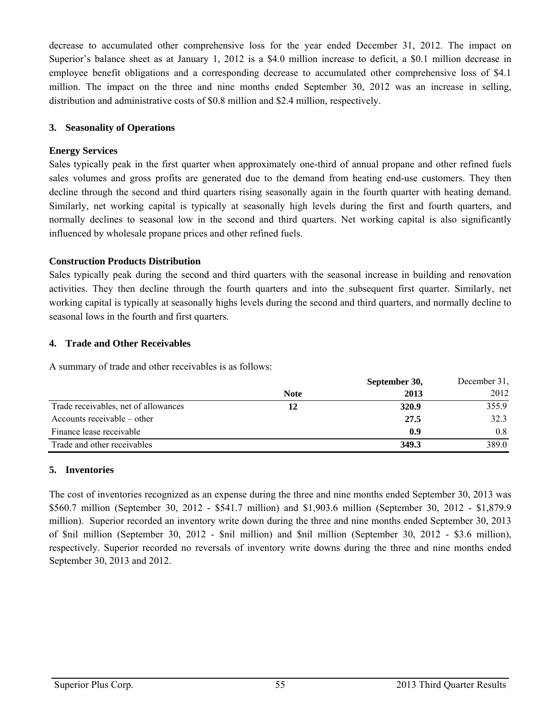decrease to accumulated other comprehensive loss for the year ended December 31, 2012. The impact on Superior's balance sheet as at January 1, 2012 is a \$4.0 million increase to deficit, a \$0.1 million decrease in employee benefit obligations and a corresponding decrease to accumulated other comprehensive loss of \$4.1 million. The impact on the three and nine months ended September 30, 2012 was an increase in selling, distribution and administrative costs of \$0.8 million and \$2.4 million, respectively.

## **3. Seasonality of Operations**

## **Energy Services**

Sales typically peak in the first quarter when approximately one-third of annual propane and other refined fuels sales volumes and gross profits are generated due to the demand from heating end-use customers. They then decline through the second and third quarters rising seasonally again in the fourth quarter with heating demand. Similarly, net working capital is typically at seasonally high levels during the first and fourth quarters, and normally declines to seasonal low in the second and third quarters. Net working capital is also significantly influenced by wholesale propane prices and other refined fuels.

## **Construction Products Distribution**

Sales typically peak during the second and third quarters with the seasonal increase in building and renovation activities. They then decline through the fourth quarters and into the subsequent first quarter. Similarly, net working capital is typically at seasonally highs levels during the second and third quarters, and normally decline to seasonal lows in the fourth and first quarters.

## **4. Trade and Other Receivables**

A summary of trade and other receivables is as follows:

|                                      |             | September 30, | December 31, |
|--------------------------------------|-------------|---------------|--------------|
|                                      | <b>Note</b> | 2013          | 2012         |
| Trade receivables, net of allowances |             | 320.9         | 355.9        |
| Accounts receivable – other          |             | 27.5          | 32.3         |
| Finance lease receivable             |             | 0.9           | 0.8          |
| Trade and other receivables          |             | 349.3         | 389.0        |

### **5. Inventories**

The cost of inventories recognized as an expense during the three and nine months ended September 30, 2013 was \$560.7 million (September 30, 2012 - \$541.7 million) and \$1,903.6 million (September 30, 2012 - \$1,879.9 million). Superior recorded an inventory write down during the three and nine months ended September 30, 2013 of \$nil million (September 30, 2012 - \$nil million) and \$nil million (September 30, 2012 - \$3.6 million), respectively. Superior recorded no reversals of inventory write downs during the three and nine months ended September 30, 2013 and 2012.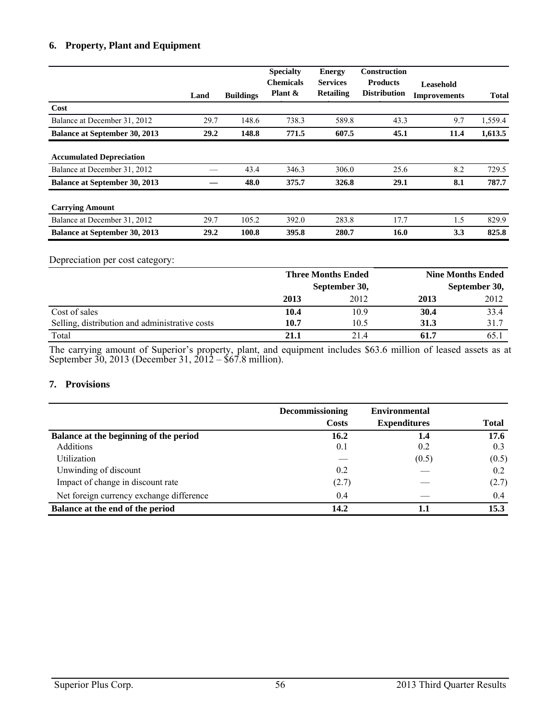## **6. Property, Plant and Equipment**

|                                      | Land | <b>Buildings</b> | <b>Specialty</b><br><b>Chemicals</b><br>Plant & | <b>Energy</b><br><b>Services</b><br><b>Retailing</b> | <b>Construction</b><br><b>Products</b><br><b>Distribution</b> | Leasehold<br><b>Improvements</b> | <b>Total</b> |
|--------------------------------------|------|------------------|-------------------------------------------------|------------------------------------------------------|---------------------------------------------------------------|----------------------------------|--------------|
| Cost                                 |      |                  |                                                 |                                                      |                                                               |                                  |              |
| Balance at December 31, 2012         | 29.7 | 148.6            | 738.3                                           | 589.8                                                | 43.3                                                          | 9.7                              | 1,559.4      |
| <b>Balance at September 30, 2013</b> | 29.2 | 148.8            | 771.5                                           | 607.5                                                | 45.1                                                          | 11.4                             | 1,613.5      |
| <b>Accumulated Depreciation</b>      |      |                  |                                                 |                                                      |                                                               |                                  |              |
| Balance at December 31, 2012         |      | 43.4             | 346.3                                           | 306.0                                                | 25.6                                                          | 8.2                              | 729.5        |
| <b>Balance at September 30, 2013</b> |      | 48.0             | 375.7                                           | 326.8                                                | 29.1                                                          | 8.1                              | 787.7        |
| <b>Carrying Amount</b>               |      |                  |                                                 |                                                      |                                                               |                                  |              |
| Balance at December 31, 2012         | 29.7 | 105.2            | 392.0                                           | 283.8                                                | 17.7                                                          | 1.5                              | 829.9        |
| <b>Balance at September 30, 2013</b> | 29.2 | 100.8            | 395.8                                           | 280.7                                                | 16.0                                                          | 3.3                              | 825.8        |

Depreciation per cost category:

|                                                |      | <b>Three Months Ended</b> | <b>Nine Months Ended</b> |      |  |
|------------------------------------------------|------|---------------------------|--------------------------|------|--|
|                                                |      | September 30,             | September 30,            |      |  |
|                                                | 2013 | 2012                      | 2013                     | 2012 |  |
| Cost of sales                                  | 10.4 | 10.9                      | 30.4                     | 33.4 |  |
| Selling, distribution and administrative costs | 10.7 | 10.5                      | 31.3                     | 31.7 |  |
| Total                                          | 21.1 | 21.4                      | 61.7                     | 65.1 |  |

The carrying amount of Superior's property, plant, and equipment includes \$63.6 million of leased assets as at September 30, 2013 (December 31, 2012 – \$67.8 million).

#### **7. Provisions**

|                                          | <b>Decommissioning</b><br><b>Costs</b> | <b>Environmental</b><br><b>Expenditures</b> | <b>Total</b> |
|------------------------------------------|----------------------------------------|---------------------------------------------|--------------|
| Balance at the beginning of the period   | 16.2                                   | 1.4                                         | 17.6         |
| Additions                                | 0.1                                    | 0.2                                         | 0.3          |
| Utilization                              |                                        | (0.5)                                       | (0.5)        |
| Unwinding of discount                    | 0.2                                    |                                             | 0.2          |
| Impact of change in discount rate        | (2.7)                                  |                                             | (2.7)        |
| Net foreign currency exchange difference | 0.4                                    |                                             | 0.4          |
| Balance at the end of the period         | 14.2                                   | 1.1                                         | 15.3         |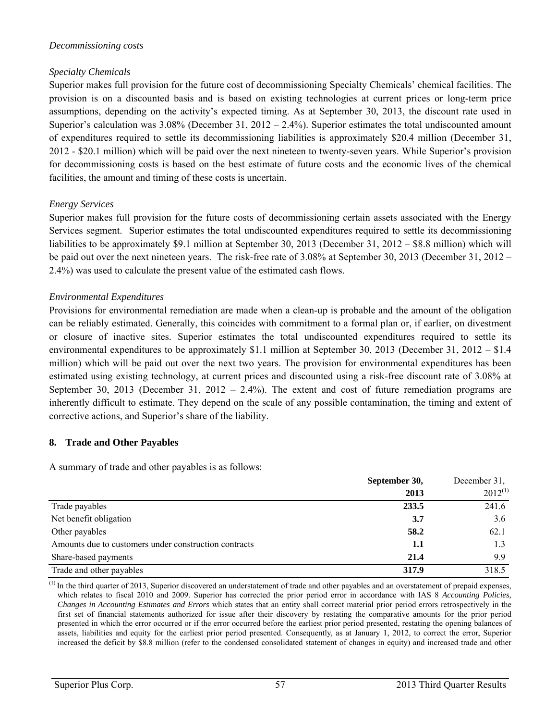### *Decommissioning costs*

## *Specialty Chemicals*

Superior makes full provision for the future cost of decommissioning Specialty Chemicals' chemical facilities. The provision is on a discounted basis and is based on existing technologies at current prices or long-term price assumptions, depending on the activity's expected timing. As at September 30, 2013, the discount rate used in Superior's calculation was 3.08% (December 31, 2012 – 2.4%). Superior estimates the total undiscounted amount of expenditures required to settle its decommissioning liabilities is approximately \$20.4 million (December 31, 2012 - \$20.1 million) which will be paid over the next nineteen to twenty-seven years. While Superior's provision for decommissioning costs is based on the best estimate of future costs and the economic lives of the chemical facilities, the amount and timing of these costs is uncertain.

### *Energy Services*

Superior makes full provision for the future costs of decommissioning certain assets associated with the Energy Services segment. Superior estimates the total undiscounted expenditures required to settle its decommissioning liabilities to be approximately \$9.1 million at September 30, 2013 (December 31, 2012 – \$8.8 million) which will be paid out over the next nineteen years. The risk-free rate of 3.08% at September 30, 2013 (December 31, 2012 – 2.4%) was used to calculate the present value of the estimated cash flows.

## *Environmental Expenditures*

Provisions for environmental remediation are made when a clean-up is probable and the amount of the obligation can be reliably estimated. Generally, this coincides with commitment to a formal plan or, if earlier, on divestment or closure of inactive sites. Superior estimates the total undiscounted expenditures required to settle its environmental expenditures to be approximately \$1.1 million at September 30, 2013 (December 31, 2012 – \$1.4 million) which will be paid out over the next two years. The provision for environmental expenditures has been estimated using existing technology, at current prices and discounted using a risk-free discount rate of 3.08% at September 30, 2013 (December 31, 2012 – 2.4%). The extent and cost of future remediation programs are inherently difficult to estimate. They depend on the scale of any possible contamination, the timing and extent of corrective actions, and Superior's share of the liability.

### **8. Trade and Other Payables**

A summary of trade and other payables is as follows:

|                                                       | September 30, | December 31, |  |
|-------------------------------------------------------|---------------|--------------|--|
|                                                       | 2013          | $2012^{(1)}$ |  |
| Trade payables                                        | 233.5         | 241.6        |  |
| Net benefit obligation                                | 3.7           | 3.6          |  |
| Other payables                                        | 58.2          | 62.1         |  |
| Amounts due to customers under construction contracts | $1.1\,$       | 1.3          |  |
| Share-based payments                                  | 21.4          | 9.9          |  |
| Trade and other payables                              | 317.9         | 318.5        |  |

<sup>(1)</sup> In the third quarter of 2013, Superior discovered an understatement of trade and other payables and an overstatement of prepaid expenses, which relates to fiscal 2010 and 2009. Superior has corrected the prior period error in accordance with IAS 8 *Accounting Policies, Changes in Accounting Estimates and Errors* which states that an entity shall correct material prior period errors retrospectively in the first set of financial statements authorized for issue after their discovery by restating the comparative amounts for the prior period presented in which the error occurred or if the error occurred before the earliest prior period presented, restating the opening balances of assets, liabilities and equity for the earliest prior period presented. Consequently, as at January 1, 2012, to correct the error, Superior increased the deficit by \$8.8 million (refer to the condensed consolidated statement of changes in equity) and increased trade and other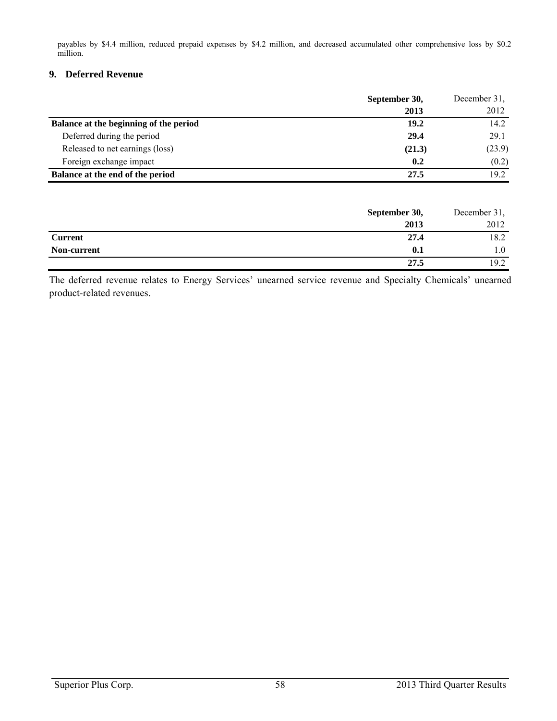payables by \$4.4 million, reduced prepaid expenses by \$4.2 million, and decreased accumulated other comprehensive loss by \$0.2 million.

#### **9. Deferred Revenue**

|                                        | September 30, | December 31, |
|----------------------------------------|---------------|--------------|
|                                        | 2013          | 2012         |
| Balance at the beginning of the period | 19.2          | 14.2         |
| Deferred during the period             | 29.4          | 29.1         |
| Released to net earnings (loss)        | (21.3)        | (23.9)       |
| Foreign exchange impact                | 0.2           | (0.2)        |
| Balance at the end of the period       | 27.5          | 19.2         |

|                | September 30, | December 31, |
|----------------|---------------|--------------|
|                | 2013          | 2012         |
| <b>Current</b> | 27.4          | 18.2         |
| Non-current    | 0.1           | 0.1          |
|                | 27.5          | 19.2         |

The deferred revenue relates to Energy Services' unearned service revenue and Specialty Chemicals' unearned product-related revenues.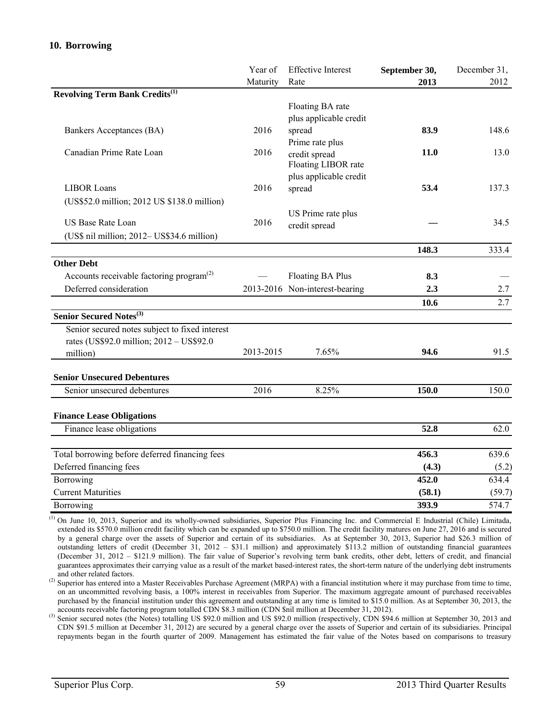#### **10. Borrowing**

|                                                                   | Year of   | <b>Effective Interest</b>      | September 30, | December 31, |
|-------------------------------------------------------------------|-----------|--------------------------------|---------------|--------------|
|                                                                   | Maturity  | Rate                           | 2013          | 2012         |
| <b>Revolving Term Bank Credits</b> <sup>(1)</sup>                 |           |                                |               |              |
|                                                                   |           | Floating BA rate               |               |              |
|                                                                   |           | plus applicable credit         |               |              |
| Bankers Acceptances (BA)                                          | 2016      | spread                         | 83.9          | 148.6        |
|                                                                   |           | Prime rate plus                |               |              |
| Canadian Prime Rate Loan                                          | 2016      | credit spread                  | 11.0          | 13.0         |
|                                                                   |           | Floating LIBOR rate            |               |              |
|                                                                   |           | plus applicable credit         |               |              |
| <b>LIBOR</b> Loans                                                | 2016      | spread                         | 53.4          | 137.3        |
| (US\$52.0 million; 2012 US \$138.0 million)                       |           |                                |               |              |
|                                                                   |           | US Prime rate plus             |               |              |
| <b>US Base Rate Loan</b>                                          | 2016      | credit spread                  |               | 34.5         |
| (US\$ nil million; 2012- US\$34.6 million)                        |           |                                |               |              |
|                                                                   |           |                                | 148.3         | 333.4        |
| <b>Other Debt</b>                                                 |           |                                |               |              |
| Accounts receivable factoring program <sup><math>(2)</math></sup> |           | <b>Floating BA Plus</b>        | 8.3           |              |
| Deferred consideration                                            |           | 2013-2016 Non-interest-bearing | 2.3           | 2.7          |
|                                                                   |           |                                | 10.6          | 2.7          |
| <b>Senior Secured Notes</b> <sup>(3)</sup>                        |           |                                |               |              |
| Senior secured notes subject to fixed interest                    |           |                                |               |              |
| rates (US\$92.0 million; 2012 - US\$92.0                          |           |                                |               |              |
| million)                                                          | 2013-2015 | 7.65%                          | 94.6          | 91.5         |
| <b>Senior Unsecured Debentures</b>                                |           |                                |               |              |
| Senior unsecured debentures                                       | 2016      | 8.25%                          | 150.0         | 150.0        |
|                                                                   |           |                                |               |              |
| <b>Finance Lease Obligations</b>                                  |           |                                |               |              |
| Finance lease obligations                                         |           |                                | 52.8          | 62.0         |
|                                                                   |           |                                |               |              |
| Total borrowing before deferred financing fees                    |           |                                | 456.3         | 639.6        |
| Deferred financing fees                                           |           |                                | (4.3)         | (5.2)        |
| Borrowing                                                         |           |                                | 452.0         | 634.4        |
| <b>Current Maturities</b>                                         |           |                                | (58.1)        | (59.7)       |
| Borrowing                                                         |           |                                | 393.9         | 574.7        |

(1) On June 10, 2013, Superior and its wholly-owned subsidiaries, Superior Plus Financing Inc. and Commercial E Industrial (Chile) Limitada, extended its \$570.0 million credit facility which can be expanded up to \$750.0 million. The credit facility matures on June 27, 2016 and is secured by a general charge over the assets of Superior and certain of its subsidiaries. As at September 30, 2013, Superior had \$26.3 million of outstanding letters of credit (December 31, 2012 – \$31.1 million) and approximately \$113.2 million of outstanding financial guarantees (December 31, 2012 – \$121.9 million). The fair value of Superior's revolving term bank credits, other debt, letters of credit, and financial guarantees approximates their carrying value as a result of the market based-interest rates, the short-term nature of the underlying debt instruments and other related factors.

<sup>(2)</sup> Superior has entered into a Master Receivables Purchase Agreement (MRPA) with a financial institution where it may purchase from time to time, on an uncommitted revolving basis, a 100% interest in receivables from Superior. The maximum aggregate amount of purchased receivables purchased by the financial institution under this agreement and outstanding at any time is limited to \$15.0 million. As at September 30, 2013, the accounts receivable factoring program totalled CDN \$8.3 million (CDN \$nil million at December 31, 2012).

(3) Senior secured notes (the Notes) totalling US \$92.0 million and US \$92.0 million (respectively, CDN \$94.6 million at September 30, 2013 and CDN \$91.5 million at December 31, 2012) are secured by a general charge over the assets of Superior and certain of its subsidiaries. Principal repayments began in the fourth quarter of 2009. Management has estimated the fair value of the Notes based on comparisons to treasury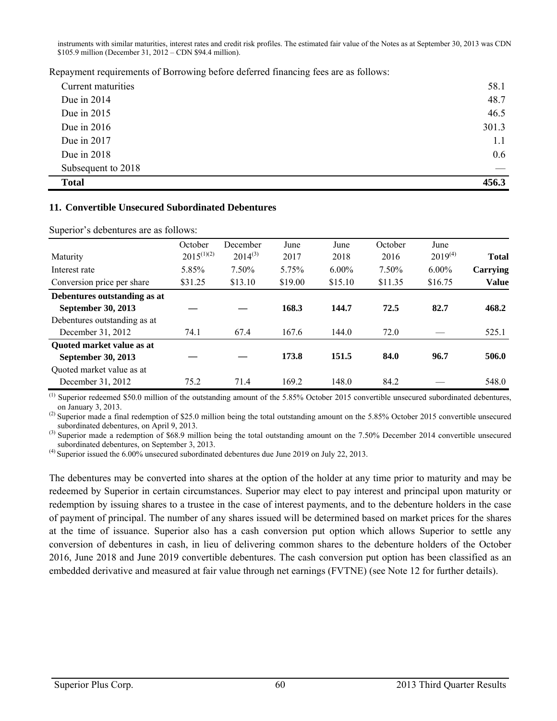instruments with similar maturities, interest rates and credit risk profiles. The estimated fair value of the Notes as at September 30, 2013 was CDN \$105.9 million (December 31, 2012 – CDN \$94.4 million).

Repayment requirements of Borrowing before deferred financing fees are as follows:

| Current maturities | 58.1  |
|--------------------|-------|
| Due in 2014        | 48.7  |
| Due in 2015        | 46.5  |
| Due in $2016$      | 301.3 |
| Due in 2017        | 1.1   |
| Due in 2018        | 0.6   |
| Subsequent to 2018 |       |
| <b>Total</b>       | 456.3 |

#### **11. Convertible Unsecured Subordinated Debentures**

Superior's debentures are as follows:

|                              | October         | December     | June    | June     | October | June         |              |
|------------------------------|-----------------|--------------|---------|----------|---------|--------------|--------------|
| Maturity                     | $2015^{(1)(2)}$ | $2014^{(3)}$ | 2017    | 2018     | 2016    | $2019^{(4)}$ | <b>Total</b> |
| Interest rate                | 5.85%           | $7.50\%$     | 5.75%   | $6.00\%$ | 7.50%   | $6.00\%$     | Carrying     |
| Conversion price per share   | \$31.25         | \$13.10      | \$19.00 | \$15.10  | \$11.35 | \$16.75      | <b>Value</b> |
| Debentures outstanding as at |                 |              |         |          |         |              |              |
| September 30, 2013           |                 |              | 168.3   | 144.7    | 72.5    | 82.7         | 468.2        |
| Debentures outstanding as at |                 |              |         |          |         |              |              |
| December 31, 2012            | 74.1            | 67.4         | 167.6   | 144.0    | 72.0    |              | 525.1        |
| Quoted market value as at    |                 |              |         |          |         |              |              |
| September 30, 2013           |                 |              | 173.8   | 151.5    | 84.0    | 96.7         | 506.0        |
| Quoted market value as at    |                 |              |         |          |         |              |              |
| December 31, 2012            | 75.2            | 71.4         | 169.2   | 148.0    | 84.2    |              | 548.0        |

(1) Superior redeemed \$50.0 million of the outstanding amount of the 5.85% October 2015 convertible unsecured subordinated debentures, on January 3, 2013.

<sup>(2)</sup> Superior made a final redemption of \$25.0 million being the total outstanding amount on the 5.85% October 2015 convertible unsecured subordinated debentures, on April 9, 2013.

<sup>(3)</sup> Superior made a redemption of \$68.9 million being the total outstanding amount on the 7.50% December 2014 convertible unsecured subordinated debentures, on September 3, 2013.

 $^{(4)}$  Superior issued the 6.00% unsecured subordinated debentures due June 2019 on July 22, 2013.

The debentures may be converted into shares at the option of the holder at any time prior to maturity and may be redeemed by Superior in certain circumstances. Superior may elect to pay interest and principal upon maturity or redemption by issuing shares to a trustee in the case of interest payments, and to the debenture holders in the case of payment of principal. The number of any shares issued will be determined based on market prices for the shares at the time of issuance. Superior also has a cash conversion put option which allows Superior to settle any conversion of debentures in cash, in lieu of delivering common shares to the debenture holders of the October 2016, June 2018 and June 2019 convertible debentures. The cash conversion put option has been classified as an embedded derivative and measured at fair value through net earnings (FVTNE) (see Note 12 for further details).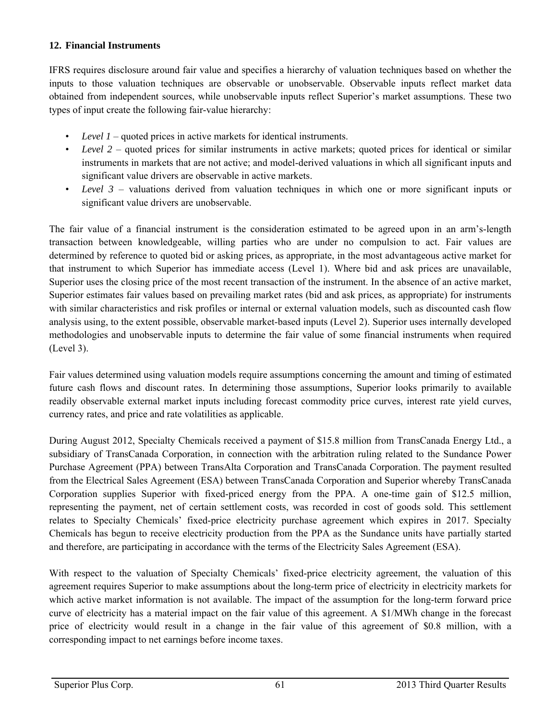# **12. Financial Instruments**

IFRS requires disclosure around fair value and specifies a hierarchy of valuation techniques based on whether the inputs to those valuation techniques are observable or unobservable. Observable inputs reflect market data obtained from independent sources, while unobservable inputs reflect Superior's market assumptions. These two types of input create the following fair-value hierarchy:

- *Level 1* quoted prices in active markets for identical instruments.
- *Level 2* quoted prices for similar instruments in active markets; quoted prices for identical or similar instruments in markets that are not active; and model-derived valuations in which all significant inputs and significant value drivers are observable in active markets.
- *Level 3* valuations derived from valuation techniques in which one or more significant inputs or significant value drivers are unobservable.

The fair value of a financial instrument is the consideration estimated to be agreed upon in an arm's-length transaction between knowledgeable, willing parties who are under no compulsion to act. Fair values are determined by reference to quoted bid or asking prices, as appropriate, in the most advantageous active market for that instrument to which Superior has immediate access (Level 1). Where bid and ask prices are unavailable, Superior uses the closing price of the most recent transaction of the instrument. In the absence of an active market, Superior estimates fair values based on prevailing market rates (bid and ask prices, as appropriate) for instruments with similar characteristics and risk profiles or internal or external valuation models, such as discounted cash flow analysis using, to the extent possible, observable market-based inputs (Level 2). Superior uses internally developed methodologies and unobservable inputs to determine the fair value of some financial instruments when required (Level 3).

Fair values determined using valuation models require assumptions concerning the amount and timing of estimated future cash flows and discount rates. In determining those assumptions, Superior looks primarily to available readily observable external market inputs including forecast commodity price curves, interest rate yield curves, currency rates, and price and rate volatilities as applicable.

During August 2012, Specialty Chemicals received a payment of \$15.8 million from TransCanada Energy Ltd., a subsidiary of TransCanada Corporation, in connection with the arbitration ruling related to the Sundance Power Purchase Agreement (PPA) between TransAlta Corporation and TransCanada Corporation. The payment resulted from the Electrical Sales Agreement (ESA) between TransCanada Corporation and Superior whereby TransCanada Corporation supplies Superior with fixed-priced energy from the PPA. A one-time gain of \$12.5 million, representing the payment, net of certain settlement costs, was recorded in cost of goods sold. This settlement relates to Specialty Chemicals' fixed-price electricity purchase agreement which expires in 2017. Specialty Chemicals has begun to receive electricity production from the PPA as the Sundance units have partially started and therefore, are participating in accordance with the terms of the Electricity Sales Agreement (ESA).

With respect to the valuation of Specialty Chemicals' fixed-price electricity agreement, the valuation of this agreement requires Superior to make assumptions about the long-term price of electricity in electricity markets for which active market information is not available. The impact of the assumption for the long-term forward price curve of electricity has a material impact on the fair value of this agreement. A \$1/MWh change in the forecast price of electricity would result in a change in the fair value of this agreement of \$0.8 million, with a corresponding impact to net earnings before income taxes.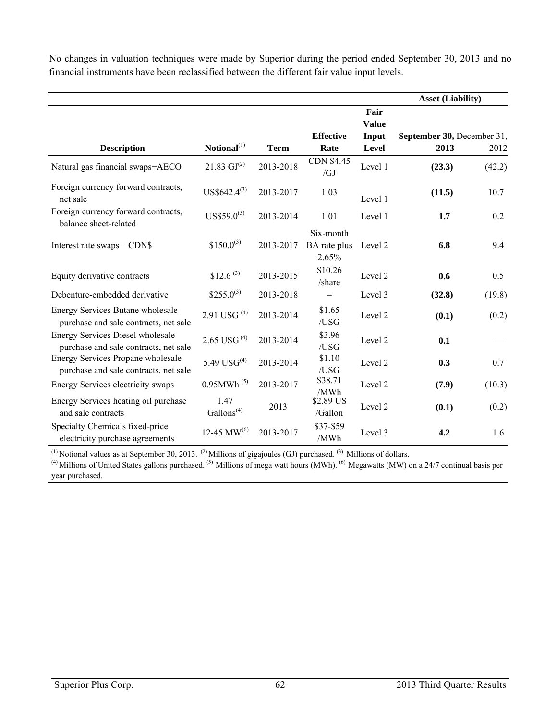No changes in valuation techniques were made by Superior during the period ended September 30, 2013 and no financial instruments have been reclassified between the different fair value input levels.

|                                                                                  |                                |             |                                    |                      | <b>Asset (Liability)</b>   |        |
|----------------------------------------------------------------------------------|--------------------------------|-------------|------------------------------------|----------------------|----------------------------|--------|
|                                                                                  |                                |             |                                    | Fair<br><b>Value</b> |                            |        |
|                                                                                  |                                |             | <b>Effective</b>                   | Input                | September 30, December 31, |        |
| <b>Description</b>                                                               | Notional <sup>(1)</sup>        | <b>Term</b> | Rate                               | Level                | 2013                       | 2012   |
| Natural gas financial swaps-AECO                                                 | $21.83 \text{ GJ}^{(2)}$       | 2013-2018   | <b>CDN \$4.45</b><br>/GJ           | Level 1              | (23.3)                     | (42.2) |
| Foreign currency forward contracts,<br>net sale                                  | $US$642.4^{(3)}$               | 2013-2017   | 1.03                               | Level 1              | (11.5)                     | 10.7   |
| Foreign currency forward contracts,<br>balance sheet-related                     | $US$59.0^{(3)}$                | 2013-2014   | 1.01                               | Level 1              | 1.7                        | 0.2    |
| Interest rate swaps - CDN\$                                                      | $$150.0^{(3)}$                 | 2013-2017   | Six-month<br>BA rate plus<br>2.65% | Level 2              | 6.8                        | 9.4    |
| Equity derivative contracts                                                      | \$12.6 <sup>(3)</sup>          | 2013-2015   | \$10.26<br>/share                  | Level 2              | 0.6                        | 0.5    |
| Debenture-embedded derivative                                                    | $$255.0^{(3)}$                 | 2013-2018   |                                    | Level 3              | (32.8)                     | (19.8) |
| Energy Services Butane wholesale<br>purchase and sale contracts, net sale        | 2.91 USG $(4)$                 | 2013-2014   | \$1.65<br>/USG                     | Level 2              | (0.1)                      | (0.2)  |
| <b>Energy Services Diesel wholesale</b><br>purchase and sale contracts, net sale | $2.65$ USG <sup>(4)</sup>      | 2013-2014   | \$3.96<br>/USG                     | Level 2              | 0.1                        |        |
| Energy Services Propane wholesale<br>purchase and sale contracts, net sale       | 5.49 $USG^{(4)}$               | 2013-2014   | \$1.10<br>/USG                     | Level 2              | 0.3                        | 0.7    |
| Energy Services electricity swaps                                                | $0.95$ MWh $(5)$               | 2013-2017   | \$38.71<br>/MWh                    | Level 2              | (7.9)                      | (10.3) |
| Energy Services heating oil purchase<br>and sale contracts                       | 1.47<br>Gallons <sup>(4)</sup> | 2013        | \$2.89 US<br>/Gallon               | Level 2              | (0.1)                      | (0.2)  |
| Specialty Chemicals fixed-price<br>electricity purchase agreements               | 12-45 $MW^{(6)}$               | 2013-2017   | \$37-\$59<br>/MWh                  | Level 3              | 4.2                        | 1.6    |

<sup>(1)</sup> Notional values as at September 30, 2013. <sup>(2)</sup> Millions of gigajoules (GJ) purchased. <sup>(3)</sup> Millions of dollars.

 $<sup>(4)</sup>$  Millions of United States gallons purchased. <sup>(5)</sup> Millions of mega watt hours (MWh). <sup>(6)</sup> Megawatts (MW) on a 24/7 continual basis per</sup> year purchased.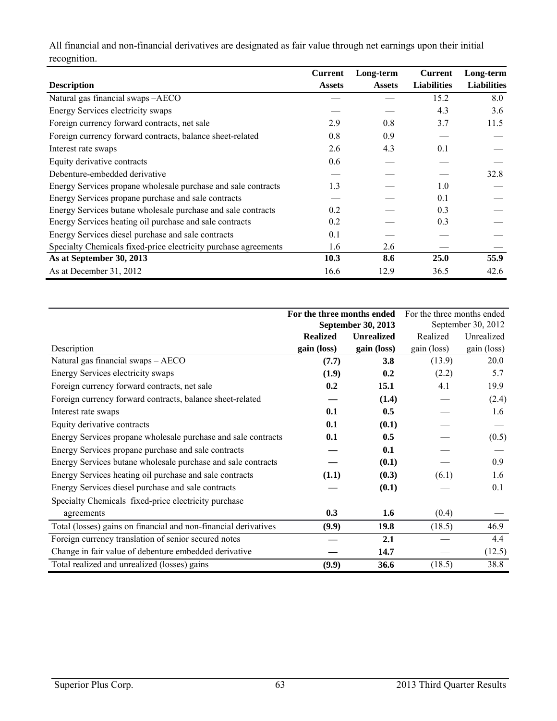|                                                                 | <b>Current</b> | Long-term     | <b>Current</b>     | Long-term          |
|-----------------------------------------------------------------|----------------|---------------|--------------------|--------------------|
| <b>Description</b>                                              | <b>Assets</b>  | <b>Assets</b> | <b>Liabilities</b> | <b>Liabilities</b> |
| Natural gas financial swaps -AECO                               |                |               | 15.2               | 8.0                |
| Energy Services electricity swaps                               |                |               | 4.3                | 3.6                |
| Foreign currency forward contracts, net sale                    | 2.9            | 0.8           | 3.7                | 11.5               |
| Foreign currency forward contracts, balance sheet-related       | 0.8            | 0.9           |                    |                    |
| Interest rate swaps                                             | 2.6            | 4.3           | 0.1                |                    |
| Equity derivative contracts                                     | 0.6            |               |                    |                    |
| Debenture-embedded derivative                                   |                |               |                    | 32.8               |
| Energy Services propane wholesale purchase and sale contracts   | 1.3            |               | 1.0                |                    |
| Energy Services propane purchase and sale contracts             |                |               | 0.1                |                    |
| Energy Services butane wholesale purchase and sale contracts    | 0.2            |               | 0.3                |                    |
| Energy Services heating oil purchase and sale contracts         | 0.2            |               | 0.3                |                    |
| Energy Services diesel purchase and sale contracts              | 0.1            |               |                    |                    |
| Specialty Chemicals fixed-price electricity purchase agreements | 1.6            | 2.6           |                    |                    |
| As at September 30, 2013                                        | 10.3           | 8.6           | 25.0               | 55.9               |
| As at December 31, 2012                                         | 16.6           | 12.9          | 36.5               | 42.6               |

All financial and non-financial derivatives are designated as fair value through net earnings upon their initial recognition.

|                                                                 | For the three months ended |                           | For the three months ended |                    |  |
|-----------------------------------------------------------------|----------------------------|---------------------------|----------------------------|--------------------|--|
|                                                                 |                            | <b>September 30, 2013</b> |                            | September 30, 2012 |  |
|                                                                 | <b>Realized</b>            | <b>Unrealized</b>         | Realized                   | Unrealized         |  |
| Description                                                     | gain (loss)                | gain (loss)               | gain (loss)                | gain (loss)        |  |
| Natural gas financial swaps - AECO                              | (7.7)                      | 3.8                       | (13.9)                     | 20.0               |  |
| Energy Services electricity swaps                               | (1.9)                      | 0.2                       | (2.2)                      | 5.7                |  |
| Foreign currency forward contracts, net sale                    | 0.2                        | 15.1                      | 4.1                        | 19.9               |  |
| Foreign currency forward contracts, balance sheet-related       |                            | (1.4)                     |                            | (2.4)              |  |
| Interest rate swaps                                             | 0.1                        | 0.5                       |                            | 1.6                |  |
| Equity derivative contracts                                     | 0.1                        | (0.1)                     |                            |                    |  |
| Energy Services propane wholesale purchase and sale contracts   | 0.1                        | 0.5                       |                            | (0.5)              |  |
| Energy Services propane purchase and sale contracts             |                            | 0.1                       |                            |                    |  |
| Energy Services butane wholesale purchase and sale contracts    |                            | (0.1)                     |                            | 0.9                |  |
| Energy Services heating oil purchase and sale contracts         | (1.1)                      | (0.3)                     | (6.1)                      | 1.6                |  |
| Energy Services diesel purchase and sale contracts              |                            | (0.1)                     |                            | 0.1                |  |
| Specialty Chemicals fixed-price electricity purchase            |                            |                           |                            |                    |  |
| agreements                                                      | 0.3                        | 1.6                       | (0.4)                      |                    |  |
| Total (losses) gains on financial and non-financial derivatives | (9.9)                      | 19.8                      | (18.5)                     | 46.9               |  |
| Foreign currency translation of senior secured notes            |                            | 2.1                       |                            | 4.4                |  |
| Change in fair value of debenture embedded derivative           |                            | 14.7                      |                            | (12.5)             |  |
| Total realized and unrealized (losses) gains                    | (9.9)                      | 36.6                      | (18.5)                     | 38.8               |  |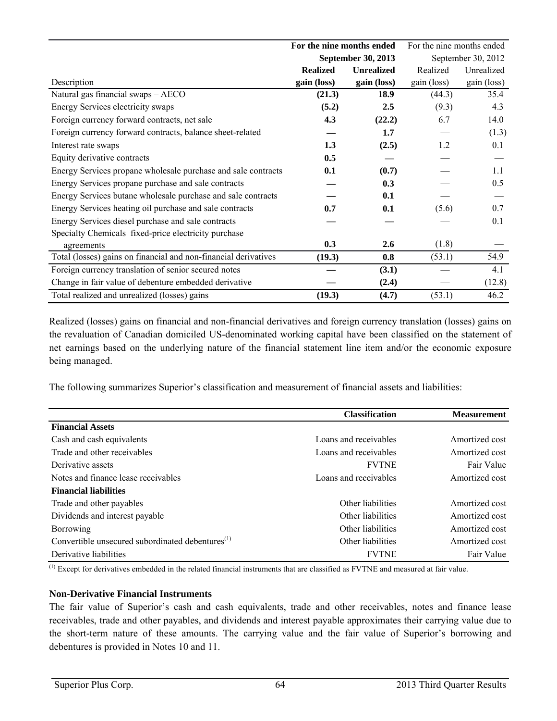|                                                                 | For the nine months ended |                   | For the nine months ended |             |
|-----------------------------------------------------------------|---------------------------|-------------------|---------------------------|-------------|
|                                                                 | September 30, 2013        |                   | September 30, 2012        |             |
|                                                                 | <b>Realized</b>           | <b>Unrealized</b> | Realized                  | Unrealized  |
| Description                                                     | gain (loss)               | gain (loss)       | gain (loss)               | gain (loss) |
| Natural gas financial swaps - AECO                              | (21.3)                    | 18.9              | (44.3)                    | 35.4        |
| Energy Services electricity swaps                               | (5.2)                     | 2.5               | (9.3)                     | 4.3         |
| Foreign currency forward contracts, net sale                    | 4.3                       | (22.2)            | 6.7                       | 14.0        |
| Foreign currency forward contracts, balance sheet-related       |                           | 1.7               |                           | (1.3)       |
| Interest rate swaps                                             | 1.3                       | (2.5)             | 1.2                       | 0.1         |
| Equity derivative contracts                                     | 0.5                       |                   |                           |             |
| Energy Services propane wholesale purchase and sale contracts   | 0.1                       | (0.7)             |                           | 1.1         |
| Energy Services propane purchase and sale contracts             |                           | 0.3               |                           | 0.5         |
| Energy Services butane wholesale purchase and sale contracts    |                           | 0.1               |                           |             |
| Energy Services heating oil purchase and sale contracts         | 0.7                       | 0.1               | (5.6)                     | 0.7         |
| Energy Services diesel purchase and sale contracts              |                           |                   |                           | 0.1         |
| Specialty Chemicals fixed-price electricity purchase            |                           |                   |                           |             |
| agreements                                                      | 0.3                       | 2.6               | (1.8)                     |             |
| Total (losses) gains on financial and non-financial derivatives | (19.3)                    | 0.8               | (53.1)                    | 54.9        |
| Foreign currency translation of senior secured notes            |                           | (3.1)             |                           | 4.1         |
| Change in fair value of debenture embedded derivative           |                           | (2.4)             |                           | (12.8)      |
| Total realized and unrealized (losses) gains                    | (19.3)                    | (4.7)             | (53.1)                    | 46.2        |

Realized (losses) gains on financial and non-financial derivatives and foreign currency translation (losses) gains on the revaluation of Canadian domiciled US-denominated working capital have been classified on the statement of net earnings based on the underlying nature of the financial statement line item and/or the economic exposure being managed.

The following summarizes Superior's classification and measurement of financial assets and liabilities:

|                                                              | <b>Classification</b> | <b>Measurement</b> |
|--------------------------------------------------------------|-----------------------|--------------------|
| <b>Financial Assets</b>                                      |                       |                    |
| Cash and cash equivalents                                    | Loans and receivables | Amortized cost     |
| Trade and other receivables                                  | Loans and receivables | Amortized cost     |
| Derivative assets                                            | <b>FVTNE</b>          | Fair Value         |
| Notes and finance lease receivables                          | Loans and receivables | Amortized cost     |
| <b>Financial liabilities</b>                                 |                       |                    |
| Trade and other payables                                     | Other liabilities     | Amortized cost     |
| Dividends and interest payable                               | Other liabilities     | Amortized cost     |
| <b>Borrowing</b>                                             | Other liabilities     | Amortized cost     |
| Convertible unsecured subordinated debentures <sup>(1)</sup> | Other liabilities     | Amortized cost     |
| Derivative liabilities                                       | <b>FVTNE</b>          | Fair Value         |

 $<sup>(1)</sup>$  Except for derivatives embedded in the related financial instruments that are classified as FVTNE and measured at fair value.</sup>

### **Non-Derivative Financial Instruments**

The fair value of Superior's cash and cash equivalents, trade and other receivables, notes and finance lease receivables, trade and other payables, and dividends and interest payable approximates their carrying value due to the short-term nature of these amounts. The carrying value and the fair value of Superior's borrowing and debentures is provided in Notes 10 and 11.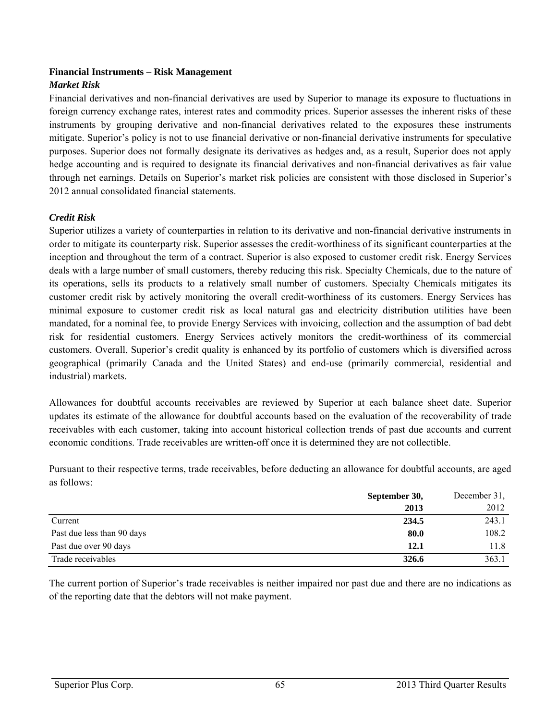#### **Financial Instruments – Risk Management**  *Market Risk*

Financial derivatives and non-financial derivatives are used by Superior to manage its exposure to fluctuations in foreign currency exchange rates, interest rates and commodity prices. Superior assesses the inherent risks of these instruments by grouping derivative and non-financial derivatives related to the exposures these instruments mitigate. Superior's policy is not to use financial derivative or non-financial derivative instruments for speculative purposes. Superior does not formally designate its derivatives as hedges and, as a result, Superior does not apply hedge accounting and is required to designate its financial derivatives and non-financial derivatives as fair value through net earnings. Details on Superior's market risk policies are consistent with those disclosed in Superior's 2012 annual consolidated financial statements.

# *Credit Risk*

Superior utilizes a variety of counterparties in relation to its derivative and non-financial derivative instruments in order to mitigate its counterparty risk. Superior assesses the credit-worthiness of its significant counterparties at the inception and throughout the term of a contract. Superior is also exposed to customer credit risk. Energy Services deals with a large number of small customers, thereby reducing this risk. Specialty Chemicals, due to the nature of its operations, sells its products to a relatively small number of customers. Specialty Chemicals mitigates its customer credit risk by actively monitoring the overall credit-worthiness of its customers. Energy Services has minimal exposure to customer credit risk as local natural gas and electricity distribution utilities have been mandated, for a nominal fee, to provide Energy Services with invoicing, collection and the assumption of bad debt risk for residential customers. Energy Services actively monitors the credit-worthiness of its commercial customers. Overall, Superior's credit quality is enhanced by its portfolio of customers which is diversified across geographical (primarily Canada and the United States) and end-use (primarily commercial, residential and industrial) markets.

Allowances for doubtful accounts receivables are reviewed by Superior at each balance sheet date. Superior updates its estimate of the allowance for doubtful accounts based on the evaluation of the recoverability of trade receivables with each customer, taking into account historical collection trends of past due accounts and current economic conditions. Trade receivables are written-off once it is determined they are not collectible.

|                            | September 30, | December 31, |
|----------------------------|---------------|--------------|
|                            | 2013          | 2012         |
| Current                    | 234.5         | 243.1        |
| Past due less than 90 days | 80.0          | 108.2        |
| Past due over 90 days      | 12.1          | 11.8         |
| Trade receivables          | 326.6         | 363.1        |

Pursuant to their respective terms, trade receivables, before deducting an allowance for doubtful accounts, are aged as follows:

The current portion of Superior's trade receivables is neither impaired nor past due and there are no indications as of the reporting date that the debtors will not make payment.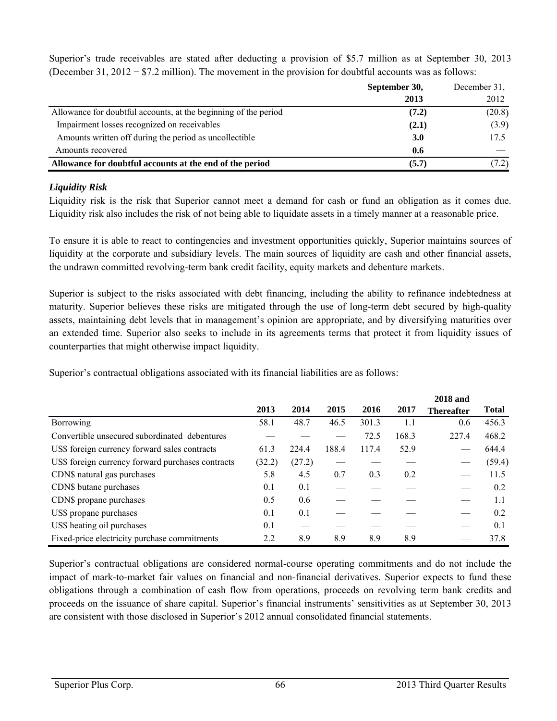Superior's trade receivables are stated after deducting a provision of \$5.7 million as at September 30, 2013 (December 31, 2012 − \$7.2 million). The movement in the provision for doubtful accounts was as follows:

|                                                                 | September 30, | December 31. |  |
|-----------------------------------------------------------------|---------------|--------------|--|
|                                                                 | 2013          | 2012         |  |
| Allowance for doubtful accounts, at the beginning of the period | (7.2)         | (20.8)       |  |
| Impairment losses recognized on receivables                     | (2.1)         | (3.9)        |  |
| Amounts written off during the period as uncollectible          | <b>3.0</b>    | 17.5         |  |
| Amounts recovered                                               | 0.6           |              |  |
| Allowance for doubtful accounts at the end of the period        | (5.7)         | 7.2)         |  |

# *Liquidity Risk*

Liquidity risk is the risk that Superior cannot meet a demand for cash or fund an obligation as it comes due. Liquidity risk also includes the risk of not being able to liquidate assets in a timely manner at a reasonable price.

To ensure it is able to react to contingencies and investment opportunities quickly, Superior maintains sources of liquidity at the corporate and subsidiary levels. The main sources of liquidity are cash and other financial assets, the undrawn committed revolving-term bank credit facility, equity markets and debenture markets.

Superior is subject to the risks associated with debt financing, including the ability to refinance indebtedness at maturity. Superior believes these risks are mitigated through the use of long-term debt secured by high-quality assets, maintaining debt levels that in management's opinion are appropriate, and by diversifying maturities over an extended time. Superior also seeks to include in its agreements terms that protect it from liquidity issues of counterparties that might otherwise impact liquidity.

Superior's contractual obligations associated with its financial liabilities are as follows:

|                                                   |        |        |       |       |       | <b>2018</b> and   |              |
|---------------------------------------------------|--------|--------|-------|-------|-------|-------------------|--------------|
|                                                   | 2013   | 2014   | 2015  | 2016  | 2017  | <b>Thereafter</b> | <b>Total</b> |
| <b>Borrowing</b>                                  | 58.1   | 48.7   | 46.5  | 301.3 | 1.1   | 0.6               | 456.3        |
| Convertible unsecured subordinated debentures     |        |        |       | 72.5  | 168.3 | 227.4             | 468.2        |
| US\$ foreign currency forward sales contracts     | 61.3   | 224.4  | 188.4 | 117.4 | 52.9  |                   | 644.4        |
| US\$ foreign currency forward purchases contracts | (32.2) | (27.2) |       |       |       |                   | (59.4)       |
| CDN\$ natural gas purchases                       | 5.8    | 4.5    | 0.7   | 0.3   | 0.2   |                   | 11.5         |
| CDN\$ butane purchases                            | 0.1    | 0.1    |       |       |       |                   | 0.2          |
| CDN\$ propane purchases                           | 0.5    | 0.6    |       |       |       |                   | 1.1          |
| US\$ propane purchases                            | 0.1    | 0.1    |       |       |       |                   | 0.2          |
| US\$ heating oil purchases                        | 0.1    |        |       |       |       |                   | 0.1          |
| Fixed-price electricity purchase commitments      | 2.2    | 8.9    | 8.9   | 8.9   | 8.9   |                   | 37.8         |

Superior's contractual obligations are considered normal-course operating commitments and do not include the impact of mark-to-market fair values on financial and non-financial derivatives. Superior expects to fund these obligations through a combination of cash flow from operations, proceeds on revolving term bank credits and proceeds on the issuance of share capital. Superior's financial instruments' sensitivities as at September 30, 2013 are consistent with those disclosed in Superior's 2012 annual consolidated financial statements.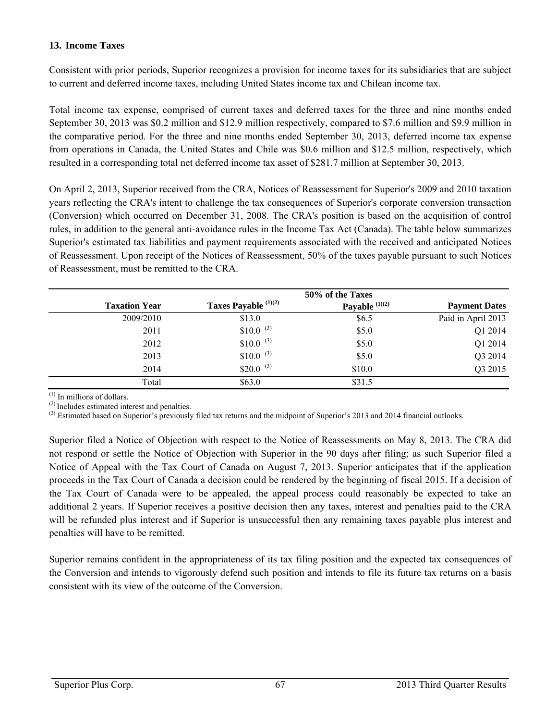# **13. Income Taxes**

Consistent with prior periods, Superior recognizes a provision for income taxes for its subsidiaries that are subject to current and deferred income taxes, including United States income tax and Chilean income tax.

Total income tax expense, comprised of current taxes and deferred taxes for the three and nine months ended September 30, 2013 was \$0.2 million and \$12.9 million respectively, compared to \$7.6 million and \$9.9 million in the comparative period. For the three and nine months ended September 30, 2013, deferred income tax expense from operations in Canada, the United States and Chile was \$0.6 million and \$12.5 million, respectively, which resulted in a corresponding total net deferred income tax asset of \$281.7 million at September 30, 2013.

On April 2, 2013, Superior received from the CRA, Notices of Reassessment for Superior's 2009 and 2010 taxation years reflecting the CRA's intent to challenge the tax consequences of Superior's corporate conversion transaction (Conversion) which occurred on December 31, 2008. The CRA's position is based on the acquisition of control rules, in addition to the general anti-avoidance rules in the Income Tax Act (Canada). The table below summarizes Superior's estimated tax liabilities and payment requirements associated with the received and anticipated Notices of Reassessment. Upon receipt of the Notices of Reassessment, 50% of the taxes payable pursuant to such Notices of Reassessment, must be remitted to the CRA.

|                      |                        | 50% of the Taxes |                      |
|----------------------|------------------------|------------------|----------------------|
| <b>Taxation Year</b> | Taxes Payable (1)(2)   | Payable $(1)(2)$ | <b>Payment Dates</b> |
| 2009/2010            | \$13.0                 | \$6.5            | Paid in April 2013   |
| 2011                 | $$10.0$ <sup>(3)</sup> | \$5.0            | Q1 2014              |
| 2012                 | $$10.0$ <sup>(3)</sup> | \$5.0            | Q1 2014              |
| 2013                 | $$10.0$ <sup>(3)</sup> | \$5.0            | Q3 2014              |
| 2014                 | $$20.0$ <sup>(3)</sup> | \$10.0           | Q3 2015              |
| Total                | \$63.0                 | \$31.5           |                      |

 $(1)$  In millions of dollars.

(2) Includes estimated interest and penalties.

<sup>(3)</sup> Estimated based on Superior's previously filed tax returns and the midpoint of Superior's 2013 and 2014 financial outlooks.

Superior filed a Notice of Objection with respect to the Notice of Reassessments on May 8, 2013. The CRA did not respond or settle the Notice of Objection with Superior in the 90 days after filing; as such Superior filed a Notice of Appeal with the Tax Court of Canada on August 7, 2013. Superior anticipates that if the application proceeds in the Tax Court of Canada a decision could be rendered by the beginning of fiscal 2015. If a decision of the Tax Court of Canada were to be appealed, the appeal process could reasonably be expected to take an additional 2 years. If Superior receives a positive decision then any taxes, interest and penalties paid to the CRA will be refunded plus interest and if Superior is unsuccessful then any remaining taxes payable plus interest and penalties will have to be remitted.

Superior remains confident in the appropriateness of its tax filing position and the expected tax consequences of the Conversion and intends to vigorously defend such position and intends to file its future tax returns on a basis consistent with its view of the outcome of the Conversion.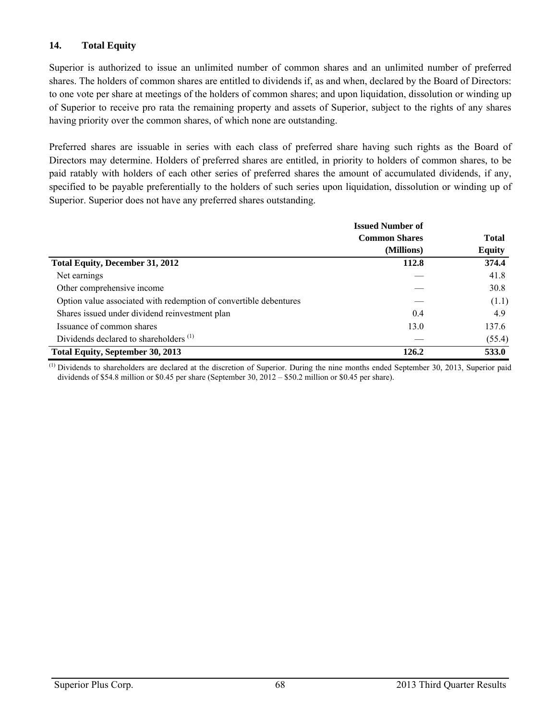# **14. Total Equity**

Superior is authorized to issue an unlimited number of common shares and an unlimited number of preferred shares. The holders of common shares are entitled to dividends if, as and when, declared by the Board of Directors: to one vote per share at meetings of the holders of common shares; and upon liquidation, dissolution or winding up of Superior to receive pro rata the remaining property and assets of Superior, subject to the rights of any shares having priority over the common shares, of which none are outstanding.

Preferred shares are issuable in series with each class of preferred share having such rights as the Board of Directors may determine. Holders of preferred shares are entitled, in priority to holders of common shares, to be paid ratably with holders of each other series of preferred shares the amount of accumulated dividends, if any, specified to be payable preferentially to the holders of such series upon liquidation, dissolution or winding up of Superior. Superior does not have any preferred shares outstanding.

|                                                                   | <b>Issued Number of</b> | <b>Total</b>  |  |
|-------------------------------------------------------------------|-------------------------|---------------|--|
|                                                                   | <b>Common Shares</b>    |               |  |
|                                                                   | (Millions)              | <b>Equity</b> |  |
| <b>Total Equity, December 31, 2012</b>                            | 112.8                   | 374.4         |  |
| Net earnings                                                      |                         | 41.8          |  |
| Other comprehensive income                                        |                         | 30.8          |  |
| Option value associated with redemption of convertible debentures |                         | (1.1)         |  |
| Shares issued under dividend reinvestment plan                    | 0.4                     | 4.9           |  |
| Issuance of common shares                                         | 13.0                    | 137.6         |  |
| Dividends declared to shareholders <sup>(1)</sup>                 |                         | (55.4)        |  |
| Total Equity, September 30, 2013                                  | 126.2                   | 533.0         |  |

(1) Dividends to shareholders are declared at the discretion of Superior. During the nine months ended September 30, 2013, Superior paid dividends of \$54.8 million or \$0.45 per share (September 30, 2012 – \$50.2 million or \$0.45 per share).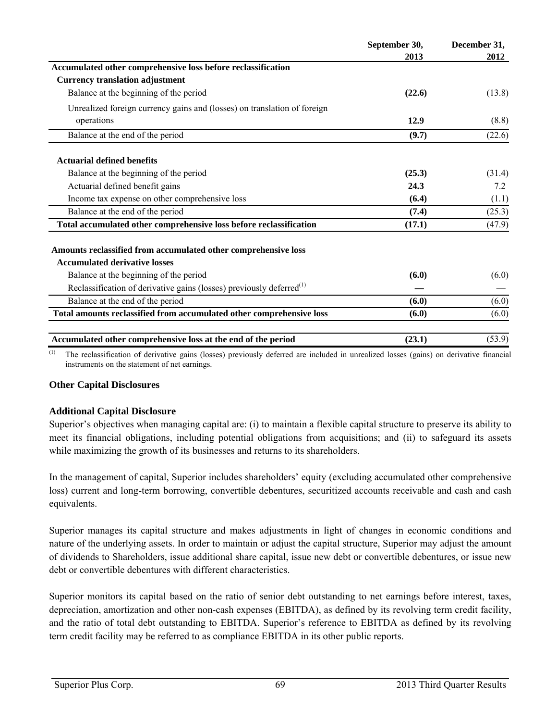|                                                                                  | September 30, | December 31, |
|----------------------------------------------------------------------------------|---------------|--------------|
|                                                                                  | 2013          | 2012         |
| Accumulated other comprehensive loss before reclassification                     |               |              |
| <b>Currency translation adjustment</b>                                           |               |              |
| Balance at the beginning of the period                                           | (22.6)        | (13.8)       |
| Unrealized foreign currency gains and (losses) on translation of foreign         |               |              |
| operations                                                                       | 12.9          | (8.8)        |
| Balance at the end of the period                                                 | (9.7)         | (22.6)       |
| <b>Actuarial defined benefits</b>                                                |               |              |
| Balance at the beginning of the period                                           | (25.3)        | (31.4)       |
| Actuarial defined benefit gains                                                  | 24.3          | 7.2          |
| Income tax expense on other comprehensive loss                                   | (6.4)         | (1.1)        |
| Balance at the end of the period                                                 | (7.4)         | (25.3)       |
| Total accumulated other comprehensive loss before reclassification               | (17.1)        | (47.9)       |
| Amounts reclassified from accumulated other comprehensive loss                   |               |              |
| <b>Accumulated derivative losses</b>                                             |               |              |
| Balance at the beginning of the period                                           | (6.0)         | (6.0)        |
| Reclassification of derivative gains (losses) previously deferred <sup>(1)</sup> |               |              |
| Balance at the end of the period                                                 | (6.0)         | (6.0)        |
| Total amounts reclassified from accumulated other comprehensive loss             | (6.0)         | (6.0)        |
| Accumulated other comprehensive loss at the end of the period                    | (23.1)        | (53.9)       |

 $\overline{p_{(1)}$  The reclassification of derivative gains (losses) previously deferred are included in unrealized losses (gains) on derivative financial instruments on the statement of net earnings.

### **Other Capital Disclosures**

### **Additional Capital Disclosure**

Superior's objectives when managing capital are: (i) to maintain a flexible capital structure to preserve its ability to meet its financial obligations, including potential obligations from acquisitions; and (ii) to safeguard its assets while maximizing the growth of its businesses and returns to its shareholders.

In the management of capital, Superior includes shareholders' equity (excluding accumulated other comprehensive loss) current and long-term borrowing, convertible debentures, securitized accounts receivable and cash and cash equivalents.

Superior manages its capital structure and makes adjustments in light of changes in economic conditions and nature of the underlying assets. In order to maintain or adjust the capital structure, Superior may adjust the amount of dividends to Shareholders, issue additional share capital, issue new debt or convertible debentures, or issue new debt or convertible debentures with different characteristics.

Superior monitors its capital based on the ratio of senior debt outstanding to net earnings before interest, taxes, depreciation, amortization and other non-cash expenses (EBITDA), as defined by its revolving term credit facility, and the ratio of total debt outstanding to EBITDA. Superior's reference to EBITDA as defined by its revolving term credit facility may be referred to as compliance EBITDA in its other public reports.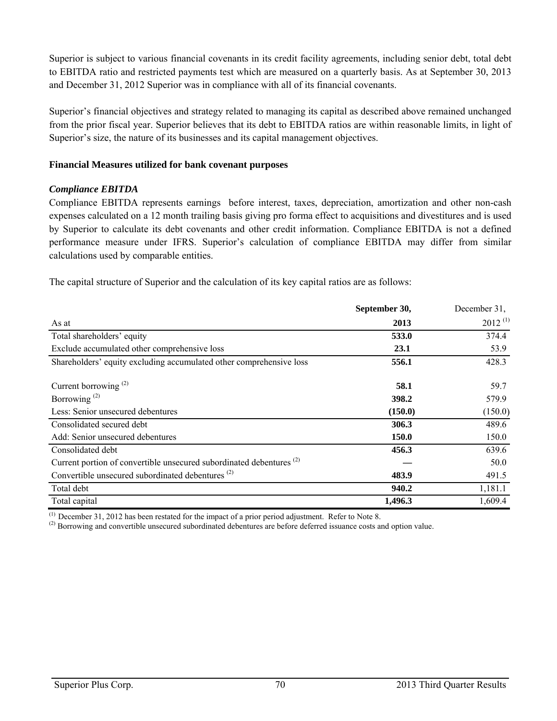Superior is subject to various financial covenants in its credit facility agreements, including senior debt, total debt to EBITDA ratio and restricted payments test which are measured on a quarterly basis. As at September 30, 2013 and December 31, 2012 Superior was in compliance with all of its financial covenants.

Superior's financial objectives and strategy related to managing its capital as described above remained unchanged from the prior fiscal year. Superior believes that its debt to EBITDA ratios are within reasonable limits, in light of Superior's size, the nature of its businesses and its capital management objectives.

### **Financial Measures utilized for bank covenant purposes**

## *Compliance EBITDA*

Compliance EBITDA represents earnings before interest, taxes, depreciation, amortization and other non-cash expenses calculated on a 12 month trailing basis giving pro forma effect to acquisitions and divestitures and is used by Superior to calculate its debt covenants and other credit information. Compliance EBITDA is not a defined performance measure under IFRS. Superior's calculation of compliance EBITDA may differ from similar calculations used by comparable entities.

The capital structure of Superior and the calculation of its key capital ratios are as follows:

|                                                                                 | September 30, | December 31, |
|---------------------------------------------------------------------------------|---------------|--------------|
| As at                                                                           | 2013          | $2012^{(1)}$ |
| Total shareholders' equity                                                      | 533.0         | 374.4        |
| Exclude accumulated other comprehensive loss                                    | 23.1          | 53.9         |
| Shareholders' equity excluding accumulated other comprehensive loss             | 556.1         | 428.3        |
| Current borrowing $(2)$                                                         | 58.1          | 59.7         |
| Borrowing $(2)$                                                                 | 398.2         | 579.9        |
| Less: Senior unsecured debentures                                               | (150.0)       | (150.0)      |
| Consolidated secured debt                                                       | 306.3         | 489.6        |
| Add: Senior unsecured debentures                                                | <b>150.0</b>  | 150.0        |
| Consolidated debt                                                               | 456.3         | 639.6        |
| Current portion of convertible unsecured subordinated debentures <sup>(2)</sup> |               | 50.0         |
| Convertible unsecured subordinated debentures <sup>(2)</sup>                    | 483.9         | 491.5        |
| Total debt                                                                      | 940.2         | 1,181.1      |
| Total capital                                                                   | 1,496.3       | 1,609.4      |

(1) December 31, 2012 has been restated for the impact of a prior period adjustment. Refer to Note 8.

<sup>(2)</sup> Borrowing and convertible unsecured subordinated debentures are before deferred issuance costs and option value.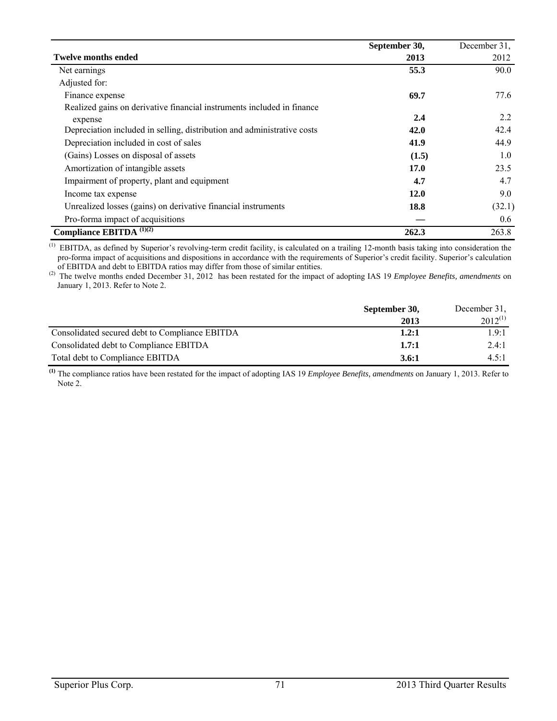|                                                                         | September 30, | December 31, |
|-------------------------------------------------------------------------|---------------|--------------|
| <b>Twelve months ended</b>                                              | 2013          | 2012         |
| Net earnings                                                            | 55.3          | 90.0         |
| Adjusted for:                                                           |               |              |
| Finance expense                                                         | 69.7          | 77.6         |
| Realized gains on derivative financial instruments included in finance  |               |              |
| expense                                                                 | 2.4           | 2.2          |
| Depreciation included in selling, distribution and administrative costs | 42.0          | 42.4         |
| Depreciation included in cost of sales                                  | 41.9          | 44.9         |
| (Gains) Losses on disposal of assets                                    | (1.5)         | 1.0          |
| Amortization of intangible assets                                       | 17.0          | 23.5         |
| Impairment of property, plant and equipment                             | 4.7           | 4.7          |
| Income tax expense                                                      | 12.0          | 9.0          |
| Unrealized losses (gains) on derivative financial instruments           | 18.8          | (32.1)       |
| Pro-forma impact of acquisitions                                        |               | 0.6          |
| Compliance EBITDA $(1)(2)$                                              | 262.3         | 263.8        |

<sup>(1)</sup> EBITDA, as defined by Superior's revolving-term credit facility, is calculated on a trailing 12-month basis taking into consideration the pro-forma impact of acquisitions and dispositions in accordance with the requirements of Superior's credit facility. Superior's calculation of EBITDA and debt to EBITDA ratios may differ from those of similar entities.

(2) The twelve months ended December 31, 2012 has been restated for the impact of adopting IAS 19 *Employee Benefits, amendments* on January 1, 2013. Refer to Note 2.

|                                                | September 30, | December 31. |
|------------------------------------------------|---------------|--------------|
|                                                | 2013          | $2012^{(1)}$ |
| Consolidated secured debt to Compliance EBITDA | 1.2:1         | 1.9:1        |
| Consolidated debt to Compliance EBITDA         | 1.7:1         | 2.4:1        |
| Total debt to Compliance EBITDA                | 3.6:1         | 4.5:1        |

**(1)** The compliance ratios have been restated for the impact of adopting IAS 19 *Employee Benefits, amendments* on January 1, 2013. Refer to Note 2.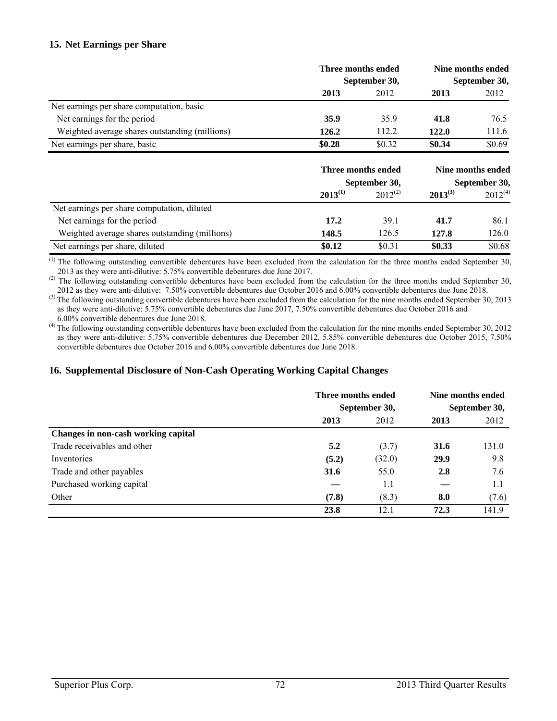#### **15. Net Earnings per Share**

|                                                | Three months ended<br>September 30, |                    | Nine months ended<br>September 30, |                   |
|------------------------------------------------|-------------------------------------|--------------------|------------------------------------|-------------------|
|                                                | 2013                                | 2012               | 2013                               | 2012              |
| Net earnings per share computation, basic      |                                     |                    |                                    |                   |
| Net earnings for the period                    | 35.9                                | 35.9               | 41.8                               | 76.5              |
| Weighted average shares outstanding (millions) | 126.2                               | 112.2              | 122.0                              | 111.6             |
| Net earnings per share, basic                  | \$0.28                              | \$0.32             | \$0.34                             | \$0.69            |
|                                                |                                     | Three months ended |                                    | Nine months ended |
|                                                |                                     | September 30,      |                                    | September 30,     |
|                                                | $2013^{(1)}$                        | $2012^{(2)}$       | $2013^{(3)}$                       | $2012^{(4)}$      |
| Net earnings per share computation, diluted    |                                     |                    |                                    |                   |
| Net earnings for the period                    | 17.2                                | 39.1               | 41.7                               | 86.1              |
| Weighted average shares outstanding (millions) | 148.5                               | 126.5              | 127.8                              | 126.0             |
| Net earnings per share, diluted                | \$0.12                              | \$0.31             | \$0.33                             | \$0.68            |

 $<sup>(1)</sup>$  The following outstanding convertible debentures have been excluded from the calculation for the three months ended September 30,</sup> 2013 as they were anti-dilutive: 5.75% convertible debentures due June 2017.

 $^{(2)}$  The following outstanding convertible debentures have been excluded from the calculation for the three months ended September 30, 2012 as they were anti-dilutive: 7.50% convertible debentures due October 2016 and 6.00% convertible debentures due June 2018.

<sup>(3)</sup> The following outstanding convertible debentures have been excluded from the calculation for the nine months ended September 30, 2013 as they were anti-dilutive: 5.75% convertible debentures due June 2017, 7.50% convertible debentures due October 2016 and 6.00% convertible debentures due June 2018.

 $^{(4)}$  The following outstanding convertible debentures have been excluded from the calculation for the nine months ended September 30, 2012 as they were anti-dilutive: 5.75% convertible debentures due December 2012, 5.85% convertible debentures due October 2015, 7.50% convertible debentures due October 2016 and 6.00% convertible debentures due June 2018.

#### **16. Supplemental Disclosure of Non-Cash Operating Working Capital Changes**

|                                     | Three months ended<br>September 30, |        | Nine months ended<br>September 30, |       |
|-------------------------------------|-------------------------------------|--------|------------------------------------|-------|
|                                     | 2013                                | 2012   | 2013                               | 2012  |
| Changes in non-cash working capital |                                     |        |                                    |       |
| Trade receivables and other         | 5.2                                 | (3.7)  | 31.6                               | 131.0 |
| Inventories                         | (5.2)                               | (32.0) | 29.9                               | 9.8   |
| Trade and other payables            | 31.6                                | 55.0   | 2.8                                | 7.6   |
| Purchased working capital           |                                     | 1.1    |                                    | 1.1   |
| Other                               | (7.8)                               | (8.3)  | 8.0                                | (7.6) |
|                                     | 23.8                                | 12.1   | 72.3                               | 141.9 |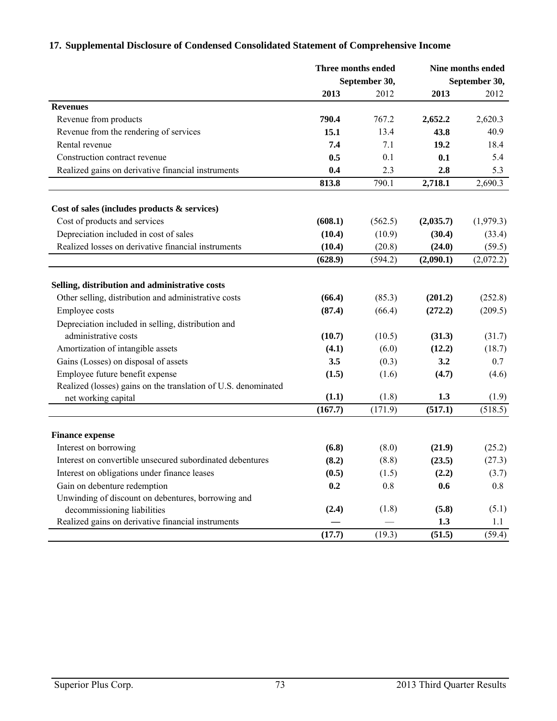# **17. Supplemental Disclosure of Condensed Consolidated Statement of Comprehensive Income**

|                                                                | Three months ended<br>September 30, |         | Nine months ended<br>September 30, |           |
|----------------------------------------------------------------|-------------------------------------|---------|------------------------------------|-----------|
|                                                                |                                     |         |                                    |           |
|                                                                | 2013                                | 2012    | 2013                               | 2012      |
| <b>Revenues</b>                                                |                                     |         |                                    |           |
| Revenue from products                                          | 790.4                               | 767.2   | 2,652.2                            | 2,620.3   |
| Revenue from the rendering of services                         | 15.1                                | 13.4    | 43.8                               | 40.9      |
| Rental revenue                                                 | 7.4                                 | 7.1     | 19.2                               | 18.4      |
| Construction contract revenue                                  | 0.5                                 | 0.1     | 0.1                                | 5.4       |
| Realized gains on derivative financial instruments             | 0.4                                 | 2.3     | 2.8                                | 5.3       |
|                                                                | 813.8                               | 790.1   | 2,718.1                            | 2,690.3   |
| Cost of sales (includes products $\&$ services)                |                                     |         |                                    |           |
| Cost of products and services                                  | (608.1)                             | (562.5) | (2,035.7)                          | (1,979.3) |
| Depreciation included in cost of sales                         | (10.4)                              | (10.9)  | (30.4)                             | (33.4)    |
| Realized losses on derivative financial instruments            | (10.4)                              | (20.8)  | (24.0)                             | (59.5)    |
|                                                                | (628.9)                             | (594.2) | (2,090.1)                          | (2,072.2) |
| Selling, distribution and administrative costs                 |                                     |         |                                    |           |
| Other selling, distribution and administrative costs           | (66.4)                              | (85.3)  | (201.2)                            | (252.8)   |
| Employee costs                                                 | (87.4)                              | (66.4)  | (272.2)                            | (209.5)   |
| Depreciation included in selling, distribution and             |                                     |         |                                    |           |
| administrative costs                                           | (10.7)                              | (10.5)  | (31.3)                             | (31.7)    |
| Amortization of intangible assets                              | (4.1)                               | (6.0)   | (12.2)                             | (18.7)    |
| Gains (Losses) on disposal of assets                           | 3.5                                 | (0.3)   | 3.2                                | 0.7       |
| Employee future benefit expense                                | (1.5)                               | (1.6)   | (4.7)                              | (4.6)     |
| Realized (losses) gains on the translation of U.S. denominated |                                     |         |                                    |           |
| net working capital                                            | (1.1)                               | (1.8)   | 1.3                                | (1.9)     |
|                                                                | (167.7)                             | (171.9) | (517.1)                            | (518.5)   |
| <b>Finance expense</b>                                         |                                     |         |                                    |           |
| Interest on borrowing                                          | (6.8)                               | (8.0)   | (21.9)                             | (25.2)    |
| Interest on convertible unsecured subordinated debentures      | (8.2)                               | (8.8)   | (23.5)                             | (27.3)    |
| Interest on obligations under finance leases                   | (0.5)                               | (1.5)   | (2.2)                              | (3.7)     |
| Gain on debenture redemption                                   | 0.2                                 | $0.8\,$ | 0.6                                | 0.8       |
| Unwinding of discount on debentures, borrowing and             |                                     |         |                                    |           |
| decommissioning liabilities                                    | (2.4)                               | (1.8)   | (5.8)                              | (5.1)     |
| Realized gains on derivative financial instruments             |                                     |         | 1.3                                | 1.1       |
|                                                                | (17.7)                              | (19.3)  | (51.5)                             | (59.4)    |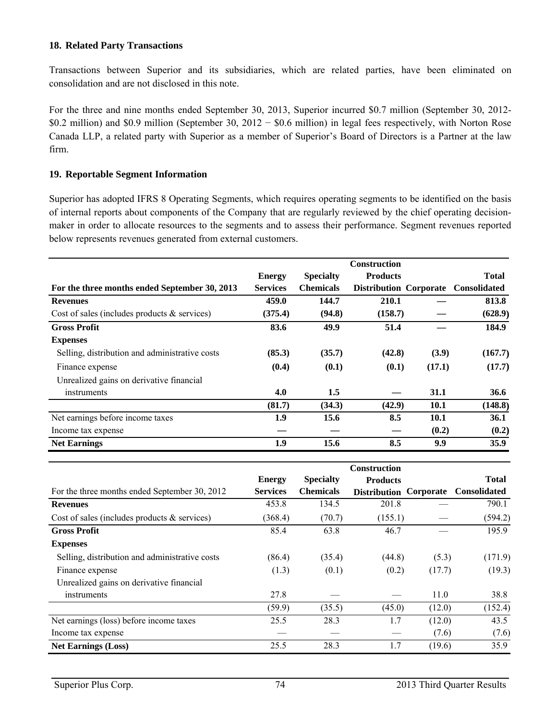## **18. Related Party Transactions**

Transactions between Superior and its subsidiaries, which are related parties, have been eliminated on consolidation and are not disclosed in this note.

For the three and nine months ended September 30, 2013, Superior incurred \$0.7 million (September 30, 2012- \$0.2 million) and \$0.9 million (September 30, 2012 − \$0.6 million) in legal fees respectively, with Norton Rose Canada LLP, a related party with Superior as a member of Superior's Board of Directors is a Partner at the law firm.

## **19. Reportable Segment Information**

Superior has adopted IFRS 8 Operating Segments, which requires operating segments to be identified on the basis of internal reports about components of the Company that are regularly reviewed by the chief operating decisionmaker in order to allocate resources to the segments and to assess their performance. Segment revenues reported below represents revenues generated from external customers.

|                                                 | <b>Construction</b> |                  |                 |             |                                     |  |
|-------------------------------------------------|---------------------|------------------|-----------------|-------------|-------------------------------------|--|
|                                                 | <b>Energy</b>       | <b>Specialty</b> | <b>Products</b> |             | <b>Total</b>                        |  |
| For the three months ended September 30, 2013   | <b>Services</b>     | <b>Chemicals</b> |                 |             | Distribution Corporate Consolidated |  |
| <b>Revenues</b>                                 | 459.0               | 144.7            | 210.1           |             | 813.8                               |  |
| Cost of sales (includes products $\&$ services) | (375.4)             | (94.8)           | (158.7)         |             | (628.9)                             |  |
| <b>Gross Profit</b>                             | 83.6                | 49.9             | 51.4            |             | 184.9                               |  |
| <b>Expenses</b>                                 |                     |                  |                 |             |                                     |  |
| Selling, distribution and administrative costs  | (85.3)              | (35.7)           | (42.8)          | (3.9)       | (167.7)                             |  |
| Finance expense                                 | (0.4)               | (0.1)            | (0.1)           | (17.1)      | (17.7)                              |  |
| Unrealized gains on derivative financial        |                     |                  |                 |             |                                     |  |
| instruments                                     | 4.0                 | 1.5              |                 | <b>31.1</b> | 36.6                                |  |
|                                                 | (81.7)              | (34.3)           | (42.9)          | <b>10.1</b> | (148.8)                             |  |
| Net earnings before income taxes                | 1.9                 | 15.6             | 8.5             | 10.1        | 36.1                                |  |
| Income tax expense                              |                     |                  |                 | (0.2)       | (0.2)                               |  |
| <b>Net Earnings</b>                             | 1.9                 | 15.6             | 8.5             | 9.9         | 35.9                                |  |

|                                                 | Construction    |                  |                               |        |                     |
|-------------------------------------------------|-----------------|------------------|-------------------------------|--------|---------------------|
|                                                 | <b>Energy</b>   | <b>Specialty</b> | <b>Products</b>               |        | <b>Total</b>        |
| For the three months ended September 30, 2012   | <b>Services</b> | <b>Chemicals</b> | <b>Distribution Corporate</b> |        | <b>Consolidated</b> |
| <b>Revenues</b>                                 | 453.8           | 134.5            | 201.8                         |        | 790.1               |
| Cost of sales (includes products $\&$ services) | (368.4)         | (70.7)           | (155.1)                       |        | (594.2)             |
| <b>Gross Profit</b>                             | 85.4            | 63.8             | 46.7                          |        | 195.9               |
| <b>Expenses</b>                                 |                 |                  |                               |        |                     |
| Selling, distribution and administrative costs  | (86.4)          | (35.4)           | (44.8)                        | (5.3)  | (171.9)             |
| Finance expense                                 | (1.3)           | (0.1)            | (0.2)                         | (17.7) | (19.3)              |
| Unrealized gains on derivative financial        |                 |                  |                               |        |                     |
| instruments                                     | 27.8            |                  |                               | 11.0   | 38.8                |
|                                                 | (59.9)          | (35.5)           | (45.0)                        | (12.0) | (152.4)             |
| Net earnings (loss) before income taxes         | 25.5            | 28.3             | 1.7                           | (12.0) | 43.5                |
| Income tax expense                              |                 |                  |                               | (7.6)  | (7.6)               |
| <b>Net Earnings (Loss)</b>                      | 25.5            | 28.3             | 1.7                           | (19.6) | 35.9                |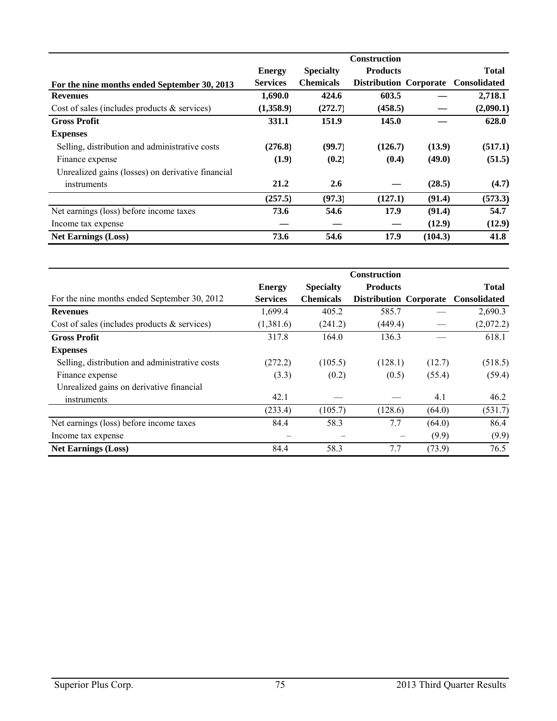|                                                   | <b>Construction</b> |                  |                               |         |                     |
|---------------------------------------------------|---------------------|------------------|-------------------------------|---------|---------------------|
|                                                   | <b>Energy</b>       | <b>Specialty</b> | <b>Products</b>               |         | <b>Total</b>        |
| For the nine months ended September 30, 2013      | <b>Services</b>     | <b>Chemicals</b> | <b>Distribution Corporate</b> |         | <b>Consolidated</b> |
| <b>Revenues</b>                                   | 1,690.0             | 424.6            | 603.5                         |         | 2,718.1             |
| Cost of sales (includes products $\&$ services)   | (1,358.9)           | (272.7)          | (458.5)                       |         | (2,090.1)           |
| <b>Gross Profit</b>                               | 331.1               | 151.9            | 145.0                         |         | 628.0               |
| <b>Expenses</b>                                   |                     |                  |                               |         |                     |
| Selling, distribution and administrative costs    | (276.8)             | (99.7)           | (126.7)                       | (13.9)  | (517.1)             |
| Finance expense                                   | (1.9)               | (0.2)            | (0.4)                         | (49.0)  | (51.5)              |
| Unrealized gains (losses) on derivative financial |                     |                  |                               |         |                     |
| instruments                                       | 21.2                | 2.6              |                               | (28.5)  | (4.7)               |
|                                                   | (257.5)             | (97.3)           | (127.1)                       | (91.4)  | (573.3)             |
| Net earnings (loss) before income taxes           | 73.6                | 54.6             | 17.9                          | (91.4)  | 54.7                |
| Income tax expense                                |                     |                  |                               | (12.9)  | (12.9)              |
| <b>Net Earnings (Loss)</b>                        | 73.6                | 54.6             | 17.9                          | (104.3) | 41.8                |

|                                                 | <b>Construction</b> |                  |                               |        |                     |  |
|-------------------------------------------------|---------------------|------------------|-------------------------------|--------|---------------------|--|
|                                                 | <b>Energy</b>       | <b>Specialty</b> | <b>Products</b>               |        | <b>Total</b>        |  |
| For the nine months ended September 30, 2012    | <b>Services</b>     | <b>Chemicals</b> | <b>Distribution Corporate</b> |        | <b>Consolidated</b> |  |
| <b>Revenues</b>                                 | 1,699.4             | 405.2            | 585.7                         |        | 2,690.3             |  |
| Cost of sales (includes products $\&$ services) | (1,381.6)           | (241.2)          | (449.4)                       |        | (2,072.2)           |  |
| <b>Gross Profit</b>                             | 317.8               | 164.0            | 136.3                         |        | 618.1               |  |
| <b>Expenses</b>                                 |                     |                  |                               |        |                     |  |
| Selling, distribution and administrative costs  | (272.2)             | (105.5)          | (128.1)                       | (12.7) | (518.5)             |  |
| Finance expense                                 | (3.3)               | (0.2)            | (0.5)                         | (55.4) | (59.4)              |  |
| Unrealized gains on derivative financial        |                     |                  |                               |        |                     |  |
| instruments                                     | 42.1                |                  |                               | 4.1    | 46.2                |  |
|                                                 | (233.4)             | (105.7)          | (128.6)                       | (64.0) | (531.7)             |  |
| Net earnings (loss) before income taxes         | 84.4                | 58.3             | 7.7                           | (64.0) | 86.4                |  |
| Income tax expense                              |                     |                  |                               | (9.9)  | (9.9)               |  |
| <b>Net Earnings (Loss)</b>                      | 84.4                | 58.3             | 7.7                           | (73.9) | 76.5                |  |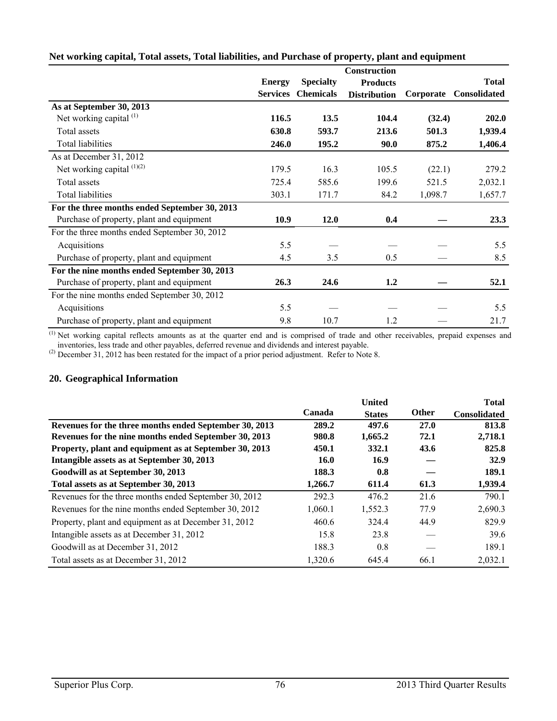|                                               |                 |                  | Construction        |           |              |
|-----------------------------------------------|-----------------|------------------|---------------------|-----------|--------------|
|                                               | <b>Energy</b>   | <b>Specialty</b> | <b>Products</b>     |           | <b>Total</b> |
|                                               | <b>Services</b> | <b>Chemicals</b> | <b>Distribution</b> | Corporate | Consolidated |
| As at September 30, 2013                      |                 |                  |                     |           |              |
| Net working capital $(1)$                     | 116.5           | 13.5             | 104.4               | (32.4)    | 202.0        |
| Total assets                                  | 630.8           | 593.7            | 213.6               | 501.3     | 1,939.4      |
| Total liabilities                             | 246.0           | 195.2            | <b>90.0</b>         | 875.2     | 1,406.4      |
| As at December 31, 2012                       |                 |                  |                     |           |              |
| Net working capital $^{(1)(2)}$               | 179.5           | 16.3             | 105.5               | (22.1)    | 279.2        |
| Total assets                                  | 725.4           | 585.6            | 199.6               | 521.5     | 2,032.1      |
| Total liabilities                             | 303.1           | 171.7            | 84.2                | 1,098.7   | 1,657.7      |
| For the three months ended September 30, 2013 |                 |                  |                     |           |              |
| Purchase of property, plant and equipment     | 10.9            | <b>12.0</b>      | 0.4                 |           | 23.3         |
| For the three months ended September 30, 2012 |                 |                  |                     |           |              |
| Acquisitions                                  | 5.5             |                  |                     |           | 5.5          |
| Purchase of property, plant and equipment     | 4.5             | 3.5              | 0.5                 |           | 8.5          |
| For the nine months ended September 30, 2013  |                 |                  |                     |           |              |
| Purchase of property, plant and equipment     | 26.3            | 24.6             | 1.2                 |           | 52.1         |
| For the nine months ended September 30, 2012  |                 |                  |                     |           |              |
| Acquisitions                                  | 5.5             |                  |                     |           | 5.5          |
| Purchase of property, plant and equipment     | 9.8             | 10.7             | 1.2                 |           | 21.7         |

#### **Net working capital, Total assets, Total liabilities, and Purchase of property, plant and equipment**

 $<sup>(1)</sup>$  Net working capital reflects amounts as at the quarter end and is comprised of trade and other receivables, prepaid expenses and</sup> inventories, less trade and other payables, deferred revenue and dividends and interest payable.

<sup>(2)</sup> December 31, 2012 has been restated for the impact of a prior period adjustment. Refer to Note 8.

#### **20. Geographical Information**

|                                                        | Canada  | <b>United</b><br><b>States</b> | <b>Other</b> | <b>Total</b><br><b>Consolidated</b> |
|--------------------------------------------------------|---------|--------------------------------|--------------|-------------------------------------|
| Revenues for the three months ended September 30, 2013 | 289.2   | 497.6                          | 27.0         | 813.8                               |
| Revenues for the nine months ended September 30, 2013  | 980.8   | 1,665.2                        | 72.1         | 2,718.1                             |
| Property, plant and equipment as at September 30, 2013 | 450.1   | 332.1                          | 43.6         | 825.8                               |
| Intangible assets as at September 30, 2013             | 16.0    | 16.9                           |              | <b>32.9</b>                         |
| Goodwill as at September 30, 2013                      | 188.3   | 0.8                            |              | 189.1                               |
| Total assets as at September 30, 2013                  | 1,266.7 | 611.4                          | 61.3         | 1,939.4                             |
| Revenues for the three months ended September 30, 2012 | 292.3   | 476.2                          | 21.6         | 790.1                               |
| Revenues for the nine months ended September 30, 2012  | 1,060.1 | 1,552.3                        | 77.9         | 2,690.3                             |
| Property, plant and equipment as at December 31, 2012  | 460.6   | 324.4                          | 44.9         | 829.9                               |
| Intangible assets as at December 31, 2012              | 15.8    | 23.8                           |              | 39.6                                |
| Goodwill as at December 31, 2012                       | 188.3   | 0.8                            |              | 189.1                               |
| Total assets as at December 31, 2012                   | 1,320.6 | 645.4                          | 66.1         | 2,032.1                             |